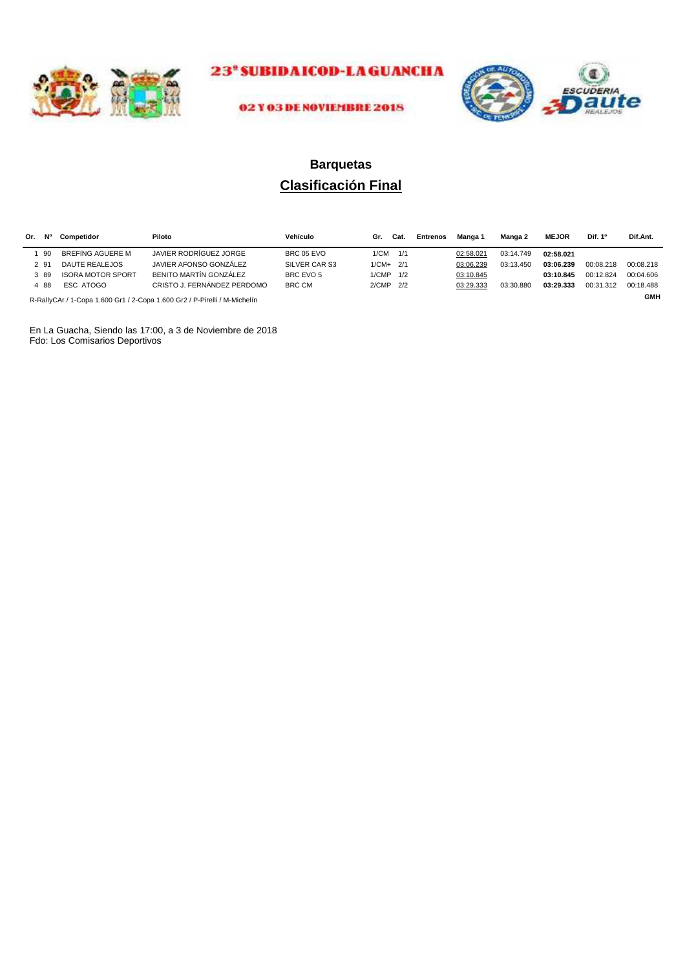



## **Clasificación Final Barquetas**

| Or. | N°   | Competidor               | Piloto                                                                    | Vehículo      | Gr.        | Cat. | <b>Entrenos</b> | Manga 1   | Manga 2   | <b>MEJOR</b> | Dif. 1 <sup>o</sup> | Dif.Ant.   |
|-----|------|--------------------------|---------------------------------------------------------------------------|---------------|------------|------|-----------------|-----------|-----------|--------------|---------------------|------------|
|     | 90   | BREFING AGUERE M         | JAVIER RODRÍGUEZ JORGE                                                    | BRC 05 EVO    | 1/CM       | 1/1  |                 | 02:58.021 | 03:14.749 | 02:58.021    |                     |            |
|     | 2 91 | DAUTE REALEJOS           | JAVIER AFONSO GONZÁLEZ                                                    | SILVER CAR S3 | $1/CM+2/1$ |      |                 | 03:06.239 | 03:13.450 | 03:06.239    | 00:08.218           | 00:08.218  |
|     | 3 89 | <b>ISORA MOTOR SPORT</b> | BENITO MARTÍN GONZÁLEZ                                                    | BRC EVO 5     | 1/CMP 1/2  |      |                 | 03:10.845 |           | 03:10.845    | 00:12.824           | 00:04.606  |
|     | 488  | ESC ATOGO                | CRISTO J. FERNÁNDEZ PERDOMO                                               | BRC CM        | 2/CMP 2/2  |      |                 | 03:29.333 | 03:30.880 | 03:29.333    | 00:31.312           | 00:18.488  |
|     |      |                          | R-RallyCAr / 1-Cona 1.600 Gr1 / 2-Cona 1.600 Gr2 / P-Pirelli / M-Michelín |               |            |      |                 |           |           |              |                     | <b>GMH</b> |

R-RallyCAr / 1-Copa 1.600 Gr1 / 2-Copa 1.600 Gr2 / P-Pirelli / M-Michelín

En La Guacha, Siendo las 17:00, a 3 de Noviembre de 2018 Fdo: Los Comisarios Deportivos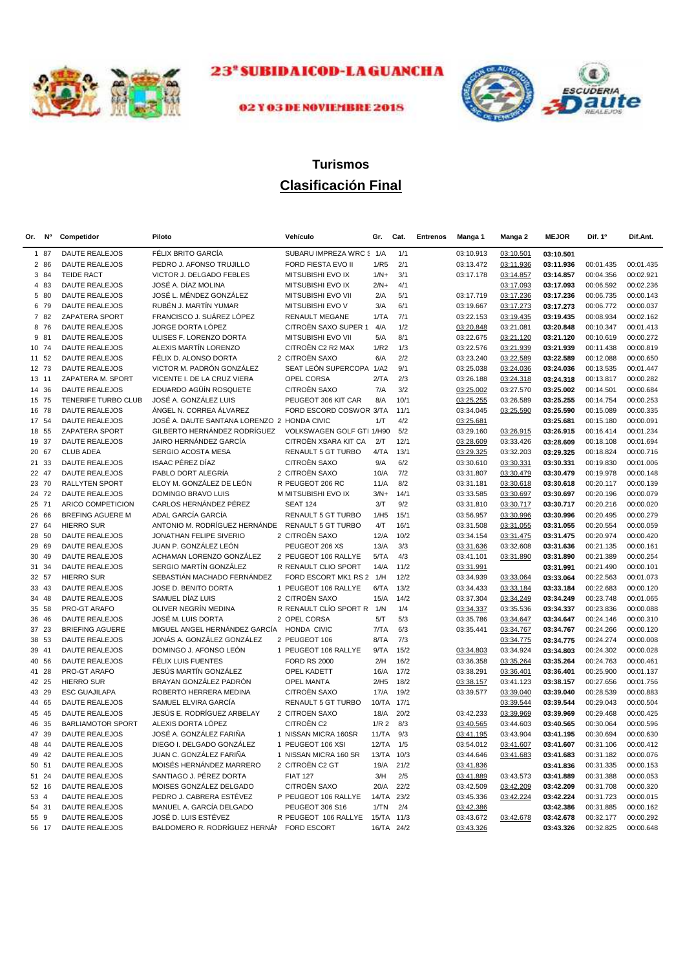



## 02 Y 03 DE NOVIEMBRE 2018

## **Clasificación Final Turismos**

| Or. | <b>No</b> | Competidor               | Piloto                                      | Vehículo                   | Gr.              | Cat. | <b>Entrenos</b> | Manga 1   | Manga 2   | <b>MEJOR</b> | Dif. 1º   | Dif.Ant.  |
|-----|-----------|--------------------------|---------------------------------------------|----------------------------|------------------|------|-----------------|-----------|-----------|--------------|-----------|-----------|
|     | 1 87      | <b>DAUTE REALEJOS</b>    | FÉLIX BRITO GARCÍA                          | SUBARU IMPREZA WRC \$ 1/A  |                  | 1/1  |                 | 03:10.913 | 03:10.501 | 03:10.501    |           |           |
|     | 2 86      | <b>DAUTE REALEJOS</b>    | PEDRO J. AFONSO TRUJILLO                    | FORD FIESTA EVO II         | 1/R5             | 2/1  |                 | 03:13.472 | 03:11.936 | 03:11.936    | 00:01.435 | 00:01.435 |
|     | 3 84      | <b>TEIDE RACT</b>        | VICTOR J. DELGADO FEBLES                    | MITSUBISHI EVO IX          | $1/N+$           | 3/1  |                 | 03:17.178 | 03:14.857 | 03:14.857    | 00:04.356 | 00:02.921 |
|     | 4 83      | DAUTE REALEJOS           | JOSÉ A. DÍAZ MOLINA                         | MITSUBISHI EVO IX          | $2/N+$           | 4/1  |                 |           | 03:17.093 | 03:17.093    | 00:06.592 | 00:02.236 |
|     | 5 80      | DAUTE REALEJOS           | JOSÉ L. MÉNDEZ GONZÁLEZ                     | MITSUBISHI EVO VII         | 2/A              | 5/1  |                 | 03:17.719 | 03:17.236 | 03:17.236    | 00:06.735 | 00:00.143 |
|     | 6 79      | <b>DAUTE REALEJOS</b>    | RUBÉN J. MARTÍN YUMAR                       | MITSUBISHI EVO V           | 3/A              | 6/1  |                 | 03:19.667 | 03:17.273 | 03:17.273    | 00:06.772 | 00:00.037 |
|     | 7 82      | ZAPATERA SPORT           | FRANCISCO J. SUÁREZ LÓPEZ                   | <b>RENAULT MEGANE</b>      | 1/TA             | 7/1  |                 | 03:22.153 | 03:19.435 | 03:19.435    | 00:08.934 | 00:02.162 |
| 8   | 76        | <b>DAUTE REALEJOS</b>    | JORGE DORTA LÓPEZ                           | CITROËN SAXO SUPER 1       | 4/A              | 1/2  |                 | 03:20.848 | 03:21.081 | 03:20.848    | 00:10.347 | 00:01.413 |
|     | 9 81      | <b>DAUTE REALEJOS</b>    | ULISES F. LORENZO DORTA                     | MITSUBISHI EVO VII         | 5/A              | 8/1  |                 | 03:22.675 | 03:21.120 | 03:21.120    | 00:10.619 | 00:00.272 |
|     | 10 74     | <b>DAUTE REALEJOS</b>    | ALEXIS MARTÍN LORENZO                       | CITROËN C2 R2 MAX          | 1/R2             | 1/3  |                 | 03:22.576 | 03:21.939 | 03:21.939    | 00:11.438 | 00:00.819 |
|     | 11 52     | <b>DAUTE REALEJOS</b>    | FÉLIX D. ALONSO DORTA                       | 2 CITROËN SAXO             | 6/A              | 2/2  |                 | 03:23.240 | 03:22.589 | 03:22.589    | 00:12.088 | 00:00.650 |
|     | 12 73     | <b>DAUTE REALEJOS</b>    | VICTOR M. PADRÓN GONZÁLEZ                   | SEAT LEÓN SUPERCOPA        | 1/A2             | 9/1  |                 | 03:25.038 | 03:24.036 | 03:24.036    | 00:13.535 | 00:01.447 |
|     | 13 11     | ZAPATERA M. SPORT        | VICENTE I. DE LA CRUZ VIERA                 | OPEL CORSA                 | 2/TA             | 2/3  |                 | 03:26.188 | 03:24.318 | 03:24.318    | 00:13.817 | 00:00.282 |
|     | 14 36     | <b>DAUTE REALEJOS</b>    | EDUARDO AGÜÍN ROSQUETE                      | CITROËN SAXO               | 7/A              | 3/2  |                 | 03:25.002 | 03:27.570 | 03:25.002    | 00:14.501 | 00:00.684 |
|     | 15 75     | TENERIFE TURBO CLUB      | JOSÉ A. GONZÁLEZ LUIS                       | PEUGEOT 306 KIT CAR        | 8/A              | 10/1 |                 | 03:25.255 | 03:26.589 | 03:25.255    | 00:14.754 | 00:00.253 |
|     | 16 78     | <b>DAUTE REALEJOS</b>    | ÁNGEL N. CORREA ÁLVAREZ                     | FORD ESCORD COSWOR 3/TA    |                  | 11/1 |                 | 03:34.045 | 03:25.590 | 03:25.590    | 00:15.089 | 00:00.335 |
|     | 17 54     | <b>DAUTE REALEJOS</b>    | JOSÉ A. DAUTE SANTANA LORENZO 2 HONDA CIVIC |                            | 1/T              | 4/2  |                 | 03:25.681 |           | 03:25.681    | 00:15.180 | 00:00.091 |
| 18  | 55        | ZAPATERA SPORT           | GILBERTO HERNÁNDEZ RODRÍGUEZ                | VOLKSWAGEN GOLF GTI 1/H90  |                  | 5/2  |                 | 03:29.160 | 03:26.915 | 03:26.915    | 00:16.414 | 00:01.234 |
|     | 19 37     | <b>DAUTE REALEJOS</b>    | JAIRO HERNÁNDEZ GARCÍA                      | CITROËN XSARA KIT CA       | 2/T              | 12/1 |                 | 03:28.609 | 03:33.426 | 03:28.609    | 00:18.108 | 00:01.694 |
|     | 20 67     | <b>CLUB ADEA</b>         | SERGIO ACOSTA MESA                          | RENAULT 5 GT TURBO         | 4/TA             | 13/1 |                 | 03:29.325 | 03:32.203 | 03:29.325    | 00:18.824 | 00:00.716 |
|     | 21 33     | <b>DAUTE REALEJOS</b>    | <b>ISAAC PÉREZ DÍAZ</b>                     | CITROËN SAXO               | 9/A              | 6/2  |                 | 03:30.610 | 03:30.331 | 03:30.331    | 00:19.830 | 00:01.006 |
| 22  | 47        | <b>DAUTE REALEJOS</b>    | PABLO DORT ALEGRÍA                          | 2 CITROËN SAXO             | 10/A             | 7/2  |                 | 03:31.807 | 03:30.479 | 03:30.479    | 00:19.978 | 00:00.148 |
|     | 23 70     | <b>RALLYTEN SPORT</b>    | ELOY M. GONZÁLEZ DE LEÓN                    | R PEUGEOT 206 RC           | 11/A             | 8/2  |                 | 03:31.181 | 03:30.618 | 03:30.618    | 00:20.117 | 00:00.139 |
|     | 24 72     | <b>DAUTE REALEJOS</b>    | DOMINGO BRAVO LUIS                          | M MITSUBISHI EVO IX        | $3/N+$           | 14/1 |                 | 03:33.585 | 03:30.697 | 03:30.697    | 00:20.196 | 00:00.079 |
| 25  | 71        | ARICO COMPETICION        | CARLOS HERNÁNDEZ PÉREZ                      | <b>SEAT 124</b>            | 3/T              | 9/2  |                 | 03:31.810 | 03:30.717 | 03:30.717    | 00:20.216 | 00:00.020 |
|     | 26 66     | BREFING AGUERE M         | ADAL GARCÍA GARCÍA                          | RENAULT 5 GT TURBO         | 1/H5             | 15/1 |                 | 03:56.957 | 03:30.996 | 03:30.996    | 00:20.495 | 00:00.279 |
|     | 27 64     | <b>HIERRO SUR</b>        | ANTONIO M. RODRÍGUEZ HERNÁNDE.              | RENAULT 5 GT TURBO         | 4/T              | 16/1 |                 | 03:31.508 | 03:31.055 | 03:31.055    | 00:20.554 | 00:00.059 |
| 28  | 50        | <b>DAUTE REALEJOS</b>    | JONATHAN FELIPE SIVERIO                     | 2 CITROËN SAXO             | 12/A             | 10/2 |                 | 03:34.154 | 03:31.475 | 03:31.475    | 00:20.974 | 00:00.420 |
| 29  | 69        | <b>DAUTE REALEJOS</b>    | JUAN P. GONZÁLEZ LEÓN                       | PEUGEOT 206 XS             | 13/A             | 3/3  |                 | 03:31.636 | 03:32.608 | 03:31.636    | 00:21.135 | 00:00.161 |
| 30  | 49        | <b>DAUTE REALEJOS</b>    | ACHAMAN LORENZO GONZÁLEZ                    | 2 PEUGEOT 106 RALLYE       | 5/TA             | 4/3  |                 | 03:41.101 | 03:31.890 | 03:31.890    | 00:21.389 | 00:00.254 |
|     | 31 34     | <b>DAUTE REALEJOS</b>    | SERGIO MARTÍN GONZÁLEZ                      | R RENAULT CLIO SPORT       | 14/A             | 11/2 |                 | 03:31.991 |           | 03:31.991    | 00:21.490 | 00:00.101 |
|     | 32 57     | <b>HIERRO SUR</b>        | SEBASTIÁN MACHADO FERNÁNDEZ                 | FORD ESCORT MK1 RS 2       | 1/H              | 12/2 |                 | 03:34.939 | 03:33.064 | 03:33.064    | 00:22.563 | 00:01.073 |
|     | 33 43     | <b>DAUTE REALEJOS</b>    | JOSE D. BENITO DORTA                        | 1 PEUGEOT 106 RALLYE       | 6/TA             | 13/2 |                 | 03:34.433 | 03:33.184 | 03:33.184    | 00:22.683 | 00:00.120 |
| 34  | 48        | <b>DAUTE REALEJOS</b>    | SAMUEL DÍAZ LUIS                            | 2 CITROËN SAXO             | 15/A             | 14/2 |                 | 03:37.304 | 03:34.249 | 03:34.249    | 00:23.748 | 00:01.065 |
| 35  | 58        | PRO-GT ARAFO             | OLIVER NEGRÍN MEDINA                        | R RENAULT CLÍO SPORT R 1/N |                  | 1/4  |                 | 03:34.337 | 03:35.536 | 03:34.337    | 00:23.836 | 00:00.088 |
| 36  | 46        | <b>DAUTE REALEJOS</b>    | JOSÉ M. LUIS DORTA                          | 2 OPEL CORSA               | 5/T              | 5/3  |                 | 03:35.786 | 03:34.647 | 03:34.647    | 00:24.146 | 00:00.310 |
| 37  | -23       | <b>BRIEFING AGUERE</b>   | MIGUEL ANGEL HERNÁNDEZ GARCÍA               | HONDA CIVIC                | 7/TA             | 6/3  |                 | 03:35.441 | 03:34.767 | 03:34.767    | 00:24.266 | 00:00.120 |
| 38  | 53        | <b>DAUTE REALEJOS</b>    | JONÁS A. GONZÁLEZ GONZÁLEZ                  | 2 PEUGEOT 106              | 8/TA             | 7/3  |                 |           | 03:34.775 | 03:34.775    | 00:24.274 | 00:00.008 |
| 39  | 41        | <b>DAUTE REALEJOS</b>    | DOMINGO J. AFONSO LEÓN                      | 1 PEUGEOT 106 RALLYE       | 9/TA             | 15/2 |                 | 03:34.803 | 03:34.924 | 03:34.803    | 00:24.302 | 00:00.028 |
|     | 40 56     | <b>DAUTE REALEJOS</b>    | FÉLIX LUIS FUENTES                          | <b>FORD RS 2000</b>        | 2/H              | 16/2 |                 | 03:36.358 | 03:35.264 | 03:35.264    | 00:24.763 | 00:00.461 |
|     | 41 28     | PRO-GT ARAFO             | JESÚS MARTÍN GONZÁLEZ                       | <b>OPEL KADETT</b>         | 16/A             | 17/2 |                 | 03:38.291 | 03:36.401 | 03:36.401    | 00:25.900 | 00:01.137 |
| 42  | -25       | <b>HIERRO SUR</b>        | BRAYAN GONZÁLEZ PADRÓN                      | <b>OPEL MANTA</b>          | 2/H5             | 18/2 |                 | 03:38.157 | 03:41.123 | 03:38.157    | 00:27.656 | 00:01.756 |
|     | 43 29     | <b>ESC GUAJILAPA</b>     | ROBERTO HERRERA MEDINA                      | <b>CITROËN SAXO</b>        | 17/A             | 19/2 |                 | 03:39.577 | 03:39.040 | 03:39.040    | 00:28.539 | 00:00.883 |
| 44  | 65        | <b>DAUTE REALEJOS</b>    | SAMUEL ELVIRA GARCÍA                        | RENAULT 5 GT TURBO         | 10/TA            | 17/1 |                 |           | 03:39.544 | 03:39.544    | 00:29.043 | 00:00.504 |
| 45  | 45        | <b>DAUTE REALEJOS</b>    | JESÚS E. RODRÍGUEZ ARBELAY                  | 2 CITROEN SAXO             | 18/A             | 20/2 |                 | 03:42.233 | 03:39.969 | 03:39.969    | 00:29.468 | 00:00.425 |
| 46  | 35        | <b>BARLIAMOTOR SPORT</b> | ALEXIS DORTA LÓPEZ                          | CITROËN C2                 | 1/R <sub>2</sub> | 8/3  |                 | 03:40.565 | 03:44.603 | 03:40.565    | 00:30.064 | 00:00.596 |
| 47  | 39        | <b>DAUTE REALEJOS</b>    | JOSÉ A. GONZÁLEZ FARIÑA                     | 1 NISSAN MICRA 160SR       | 11/TA            | 9/3  |                 | 03:41.195 | 03:43.904 | 03:41.195    | 00:30.694 | 00:00.630 |
| 48  | 44        | <b>DAUTE REALEJOS</b>    | DIEGO I. DELGADO GONZÁLEZ                   | 1 PEUGEOT 106 XSI          | 12/TA            | 1/5  |                 | 03:54.012 | 03:41.607 | 03:41.607    | 00:31.106 | 00:00.412 |
| 49  | 42        | DAUTE REALEJOS           | JUAN C. GONZÁLEZ FARIÑA                     | 1 NISSAN MICRA 160 SR      | 13/TA            | 10/3 |                 | 03:44.646 | 03:41.683 | 03:41.683    | 00:31.182 | 00:00.076 |
|     | 50 51     | DAUTE REALEJOS           | MOISÉS HERNÁNDEZ MARRERO                    | 2 CITROËN C2 GT            | 19/A             | 21/2 |                 | 03:41.836 |           | 03:41.836    | 00:31.335 | 00:00.153 |
|     | 51 24     | DAUTE REALEJOS           | SANTIAGO J. PÉREZ DORTA                     | <b>FIAT 127</b>            | 3/H              | 2/5  |                 | 03:41.889 | 03:43.573 | 03:41.889    | 00:31.388 | 00:00.053 |
|     | 52 16     | DAUTE REALEJOS           | MOISES GONZÁLEZ DELGADO                     | CITROËN SAXO               | 20/A             | 22/2 |                 | 03:42.509 | 03:42.209 | 03:42.209    | 00:31.708 | 00:00.320 |
|     | 53 4      | <b>DAUTE REALEJOS</b>    | PEDRO J. CABRERA ESTÉVEZ                    | P PEUGEOT 106 RALLYE       | 14/TA            | 23/2 |                 | 03:45.336 | 03:42.224 | 03:42.224    | 00:31.723 | 00:00.015 |
|     | 54 31     | DAUTE REALEJOS           | MANUEL A. GARCÍA DELGADO                    | PEUGEOT 306 S16            | 1/TN             | 2/4  |                 | 03:42.386 |           | 03:42.386    | 00:31.885 | 00:00.162 |
|     | 55 9      | DAUTE REALEJOS           | JOSÉ D. LUIS ESTÉVEZ                        | R PEUGEOT 106 RALLYE       | 15/TA 11/3       |      |                 | 03:43.672 | 03:42.678 | 03:42.678    | 00:32.177 | 00:00.292 |
|     | 56 17     | <b>DAUTE REALEJOS</b>    | BALDOMERO R. RODRÍGUEZ HERNÁN               | <b>FORD ESCORT</b>         | 16/TA 24/2       |      |                 | 03:43.326 |           | 03:43.326    | 00:32.825 | 00:00.648 |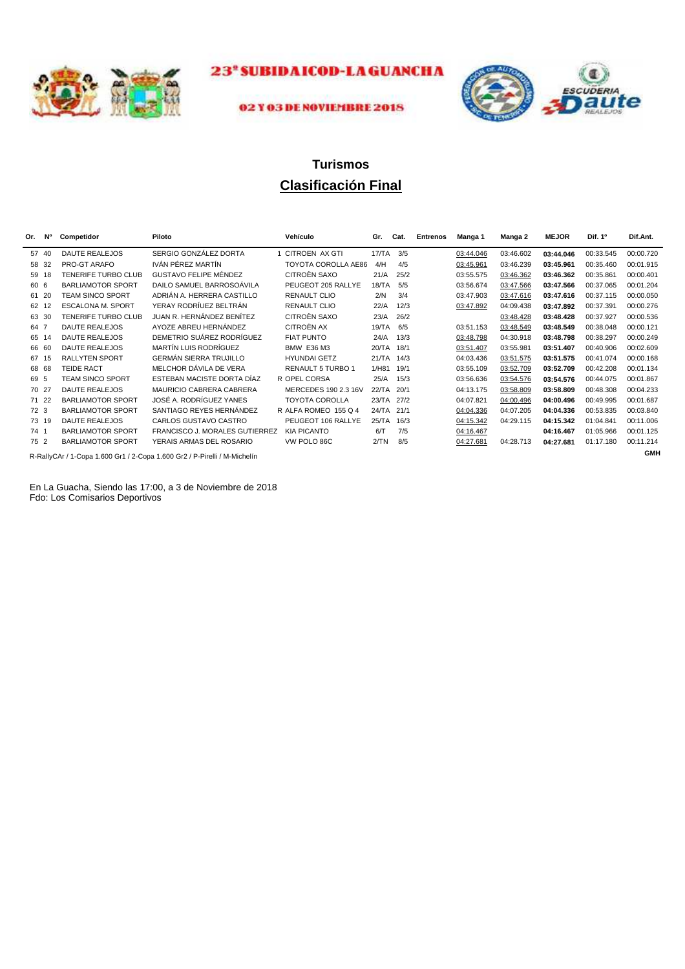



#### 02 Y 03 DE NOVIEMBRE 2018

## **Clasificación Final Turismos**

| Or.  | <b>N°</b> | Competidor               | Piloto                                                                             | Vehículo                 | Gr.        | Cat. | <b>Entrenos</b> | Manga 1   | Manga 2   | <b>MEJOR</b> | Dif. 1 <sup>o</sup> | Dif.Ant.   |
|------|-----------|--------------------------|------------------------------------------------------------------------------------|--------------------------|------------|------|-----------------|-----------|-----------|--------------|---------------------|------------|
| 57   | 40        | <b>DAUTE REALEJOS</b>    | SERGIO GONZÁLEZ DORTA                                                              | 1 CITROEN AX GTI         | 17/TA      | 3/5  |                 | 03:44.046 | 03:46.602 | 03:44.046    | 00:33.545           | 00:00.720  |
| 58   | 32        | PRO-GT ARAFO             | IVÁN PÉREZ MARTÍN                                                                  | TOYOTA COROLLA AE86      | 4/H        | 4/5  |                 | 03:45.961 | 03:46.239 | 03:45.961    | 00:35.460           | 00:01.915  |
| 59   | 18        | TENERIFE TURBO CLUB      | GUSTAVO FELIPE MÉNDEZ                                                              | CITROËN SAXO             | 21/A       | 25/2 |                 | 03:55.575 | 03:46.362 | 03:46.362    | 00:35.861           | 00:00.401  |
| 60 6 |           | <b>BARLIAMOTOR SPORT</b> | DAILO SAMUEL BARROSOÁVILA                                                          | PEUGEOT 205 RALLYE       | 18/TA      | 5/5  |                 | 03:56.674 | 03:47.566 | 03:47.566    | 00:37.065           | 00:01.204  |
|      | 61 20     | <b>TEAM SINCO SPORT</b>  | ADRIÁN A. HERRERA CASTILLO                                                         | <b>RENAULT CLIO</b>      | 2/N        | 3/4  |                 | 03:47.903 | 03:47.616 | 03:47.616    | 00:37.115           | 00:00.050  |
| 62   | 12        | <b>ESCALONA M. SPORT</b> | YERAY RODRÍUEZ BELTRÁN                                                             | <b>RENAULT CLIO</b>      | 22/A       | 12/3 |                 | 03:47.892 | 04:09.438 | 03:47.892    | 00:37.391           | 00:00.276  |
| 63   | 30        | TENERIFE TURBO CLUB      | JUAN R. HERNÁNDEZ BENÍTEZ                                                          | CITROËN SAXO             | 23/A       | 26/2 |                 |           | 03:48.428 | 03:48.428    | 00:37.927           | 00:00.536  |
| 64 7 |           | <b>DAUTE REALEJOS</b>    | AYOZE ABREU HERNÁNDEZ                                                              | <b>CITROËN AX</b>        | 19/TA      | 6/5  |                 | 03:51.153 | 03:48.549 | 03:48.549    | 00:38.048           | 00:00.121  |
| 65   | 14        | <b>DAUTE REALEJOS</b>    | DEMETRIO SUÁREZ RODRÍGUEZ                                                          | <b>FIAT PUNTO</b>        | 24/A       | 13/3 |                 | 03:48.798 | 04:30.918 | 03:48.798    | 00:38.297           | 00:00.249  |
| 66   | -60       | <b>DAUTE REALEJOS</b>    | MARTÍN LUIS RODRÍGUEZ                                                              | <b>BMW E36 M3</b>        | 20/TA      | 18/1 |                 | 03:51.407 | 03:55.981 | 03:51.407    | 00:40.906           | 00:02.609  |
| 67   | 15        | <b>RALLYTEN SPORT</b>    | <b>GERMÁN SIERRA TRUJILLO</b>                                                      | <b>HYUNDAI GETZ</b>      | 21/TA      | 14/3 |                 | 04:03.436 | 03:51.575 | 03:51.575    | 00:41.074           | 00:00.168  |
|      | 68 68     | <b>TEIDE RACT</b>        | MELCHOR DÁVILA DE VERA                                                             | <b>RENAULT 5 TURBO 1</b> | 1/H81      | 19/1 |                 | 03:55.109 | 03:52.709 | 03:52.709    | 00:42.208           | 00:01.134  |
| 69 5 |           | <b>TEAM SINCO SPORT</b>  | ESTEBAN MACISTE DORTA DÍAZ                                                         | R OPEL CORSA             | 25/A       | 15/3 |                 | 03:56.636 | 03:54.576 | 03:54.576    | 00:44.075           | 00:01.867  |
|      | 70 27     | <b>DAUTE REALEJOS</b>    | MAURICIO CABRERA CABRERA                                                           | MERCEDES 190 2.3 16V     | 22/TA      | 20/1 |                 | 04:13.175 | 03:58.809 | 03:58.809    | 00:48.308           | 00:04.233  |
|      | 71 22     | <b>BARLIAMOTOR SPORT</b> | JOSÉ A. RODRÍGUEZ YANES                                                            | <b>TOYOTA COROLLA</b>    | 23/TA 27/2 |      |                 | 04:07.821 | 04:00.496 | 04:00.496    | 00:49.995           | 00:01.687  |
| 72 3 |           | <b>BARLIAMOTOR SPORT</b> | SANTIAGO REYES HERNÁNDEZ                                                           | R ALFA ROMEO 155 Q 4     | 24/TA      | 21/1 |                 | 04:04.336 | 04:07.205 | 04:04.336    | 00:53.835           | 00:03.840  |
|      | 73 19     | <b>DAUTE REALEJOS</b>    | CARLOS GUSTAVO CASTRO                                                              | PEUGEOT 106 RALLYE       | 25/TA      | 16/3 |                 | 04:15.342 | 04:29.115 | 04:15.342    | 01:04.841           | 00:11.006  |
| 74 1 |           | BARLIAMOTOR SPORT        | FRANCISCO J. MORALES GUTIERREZ                                                     | <b>KIA PICANTO</b>       | 6/T        | 7/5  |                 | 04:16.467 |           | 04:16.467    | 01:05.966           | 00:01.125  |
| 75 2 |           | <b>BARLIAMOTOR SPORT</b> | YERAIS ARMAS DEL ROSARIO                                                           | VW POLO 86C              | 2/TN       | 8/5  |                 | 04:27.681 | 04:28.713 | 04:27.681    | 01:17.180           | 00:11.214  |
|      |           |                          | D. DelluCA+ / 4. Cana 4. COO C+4. / 9. Cana 4. COO C+9. / D. Ditalli / M. Miabelle |                          |            |      |                 |           |           |              |                     | <b>GMH</b> |

R-RallyCAr / 1-Copa 1.600 Gr1 / 2-Copa 1.600 Gr2 / P-Pirelli / M-Michelín

En La Guacha, Siendo las 17:00, a 3 de Noviembre de 2018 Fdo: Los Comisarios Deportivos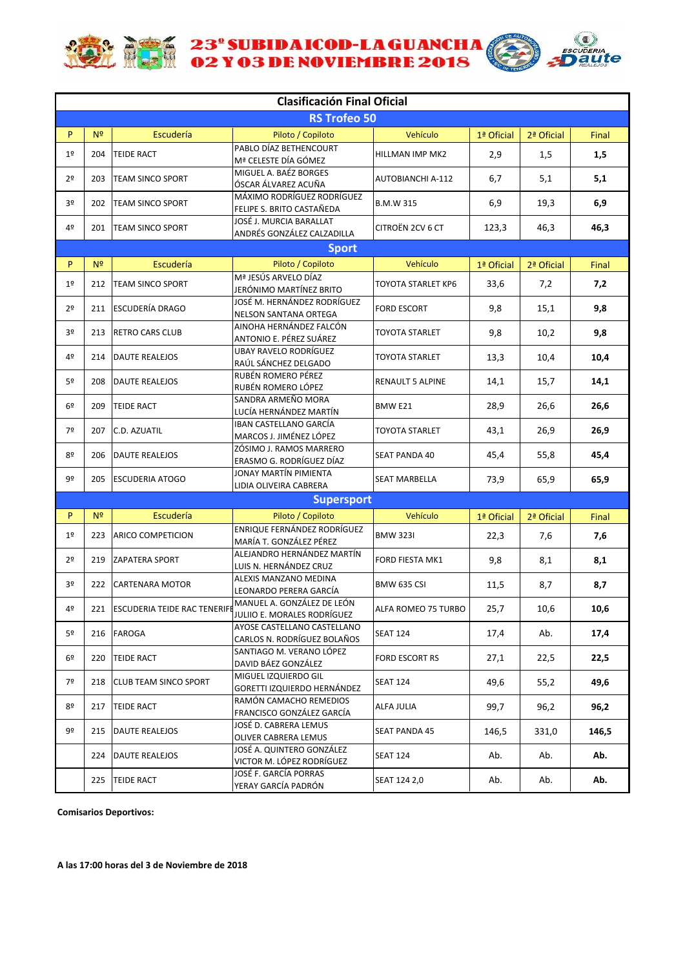

**ACTE 23° SUBIDAICOD-LA GUANCHA** 



|                |                |                                     | <b>Clasificación Final Oficial</b>                          |                           |            |            |       |
|----------------|----------------|-------------------------------------|-------------------------------------------------------------|---------------------------|------------|------------|-------|
|                |                |                                     | <b>RS Trofeo 50</b>                                         |                           |            |            |       |
| P              | N <sup>2</sup> | Escudería                           | Piloto / Copiloto                                           | Vehículo                  | 1ª Oficial | 2ª Oficial | Final |
| 1 <sup>°</sup> | 204            | <b>TEIDE RACT</b>                   | PABLO DÍAZ BETHENCOURT<br>Mª CELESTE DÍA GÓMEZ              | <b>HILLMAN IMP MK2</b>    | 2,9        | 1,5        | 1,5   |
| 2 <sup>o</sup> | 203            | <b>TEAM SINCO SPORT</b>             | MIGUEL A. BAÉZ BORGES<br>ÓSCAR ÁLVAREZ ACUÑA                | <b>AUTOBIANCHI A-112</b>  | 6,7        | 5,1        | 5,1   |
| 3 <sup>o</sup> | 202            | <b>TEAM SINCO SPORT</b>             | MÁXIMO RODRÍGUEZ RODRÍGUEZ<br>FELIPE S. BRITO CASTAÑEDA     | <b>B.M.W 315</b>          | 6,9        | 19,3       | 6,9   |
| 4º             | 201            | <b>TEAM SINCO SPORT</b>             | JOSÉ J. MURCIA BARALLAT<br>ANDRÉS GONZÁLEZ CALZADILLA       | CITROËN 2CV 6 CT          | 123,3      | 46,3       | 46,3  |
|                |                |                                     | <b>Sport</b>                                                |                           |            |            |       |
| P              | N <sup>2</sup> | Escudería                           | Piloto / Copiloto                                           | Vehículo                  | 1ª Oficial | 2ª Oficial | Final |
| 1 <sup>°</sup> | 212            | <b>TEAM SINCO SPORT</b>             | Mª JESÚS ARVELO DÍAZ<br>JERÓNIMO MARTÍNEZ BRITO             | <b>TOYOTA STARLET KP6</b> | 33,6       | 7,2        | 7,2   |
| 2 <sup>o</sup> | 211            | <b>ESCUDERÍA DRAGO</b>              | JOSÉ M. HERNÁNDEZ RODRÍGUEZ<br><b>NELSON SANTANA ORTEGA</b> | <b>FORD ESCORT</b>        | 9,8        | 15,1       | 9,8   |
| 3 <sup>o</sup> | 213            | <b>RETRO CARS CLUB</b>              | AINOHA HERNÁNDEZ FALCÓN<br>ANTONIO E. PÉREZ SUÁREZ          | <b>TOYOTA STARLET</b>     | 9,8        | 10,2       | 9,8   |
| 4º             | 214            | <b>DAUTE REALEJOS</b>               | <b>UBAY RAVELO RODRÍGUEZ</b><br>RAÚL SÁNCHEZ DELGADO        | <b>TOYOTA STARLET</b>     | 13,3       | 10,4       | 10,4  |
| 5º             | 208            | <b>DAUTE REALEJOS</b>               | RUBÉN ROMERO PÉREZ<br>RUBÉN ROMERO LÓPEZ                    | <b>RENAULT 5 ALPINE</b>   | 14,1       | 15,7       | 14,1  |
| 6 <sup>°</sup> | 209            | <b>TEIDE RACT</b>                   | SANDRA ARMEÑO MORA<br>LUCÍA HERNÁNDEZ MARTÍN                | BMW <sub>E21</sub>        | 28,9       | 26,6       | 26,6  |
| 7º             | 207            | C.D. AZUATIL                        | IBAN CASTELLANO GARCÍA<br>MARCOS J. JIMÉNEZ LÓPEZ           | <b>TOYOTA STARLET</b>     | 43,1       | 26,9       | 26,9  |
| 8º             | 206            | <b>DAUTE REALEJOS</b>               | ZÓSIMO J. RAMOS MARRERO<br>ERASMO G. RODRÍGUEZ DÍAZ         | <b>SEAT PANDA 40</b>      | 45,4       | 55,8       | 45,4  |
| 9º             | 205            | <b>ESCUDERIA ATOGO</b>              | JONAY MARTÍN PIMIENTA<br>LIDIA OLIVEIRA CABRERA             | <b>SEAT MARBELLA</b>      | 73,9       | 65,9       | 65,9  |
|                |                |                                     | <b>Supersport</b>                                           |                           |            |            |       |
|                |                |                                     |                                                             |                           |            |            |       |
| P              | N <sup>2</sup> | Escudería                           | Piloto / Copiloto<br><b>ENRIQUE FERNÁNDEZ RODRÍGUEZ</b>     | Vehículo                  | 1ª Oficial | 2ª Oficial | Final |
| 1 <sup>°</sup> | 223            | <b>ARICO COMPETICION</b>            | MARÍA T. GONZÁLEZ PÉREZ                                     | <b>BMW 323I</b>           | 22,3       | 7,6        | 7,6   |
| 2 <sup>o</sup> | 219            | <b>ZAPATERA SPORT</b>               | ALEJANDRO HERNÁNDEZ MARTÍN<br>LUIS N. HERNÁNDEZ CRUZ        | FORD FIESTA MK1           | 9,8        | 8,1        | 8,1   |
| 3º             | 222            | <b>CARTENARA MOTOR</b>              | ALEXIS MANZANO MEDINA<br>LEONARDO PERERA GARCÍA             | <b>BMW 635 CSI</b>        | 11,5       | 8,7        | 8,7   |
| 4º             | 221            | <b>ESCUDERIA TEIDE RAC TENERIFE</b> | MANUEL A. GONZÁLEZ DE LEÓN<br>JULIIO E. MORALES RODRÍGUEZ   | ALFA ROMEO 75 TURBO       | 25,7       | 10,6       | 10,6  |
| 5º             | 216            | <b>FAROGA</b>                       | AYOSE CASTELLANO CASTELLANO<br>CARLOS N. RODRÍGUEZ BOLAÑOS  | <b>SEAT 124</b>           | 17,4       | Ab.        | 17,4  |
| 6 <sup>°</sup> | 220            | <b>TEIDE RACT</b>                   | SANTIAGO M. VERANO LÓPEZ<br>DAVID BÁEZ GONZÁLEZ             | FORD ESCORT RS            | 27,1       | 22,5       | 22,5  |
| 7º             | 218            | <b>CLUB TEAM SINCO SPORT</b>        | MIGUEL IZQUIERDO GIL<br>GORETTI IZQUIERDO HERNÁNDEZ         | <b>SEAT 124</b>           | 49,6       | 55,2       | 49,6  |
| 8º             | 217            | <b>TEIDE RACT</b>                   | RAMÓN CAMACHO REMEDIOS<br>FRANCISCO GONZÁLEZ GARCÍA         | ALFA JULIA                | 99,7       | 96,2       | 96,2  |
| 9º             | 215            | DAUTE REALEJOS                      | JOSÉ D. CABRERA LEMUS<br>OLIVER CABRERA LEMUS               | SEAT PANDA 45             | 146,5      | 331,0      | 146,5 |
|                | 224            | DAUTE REALEJOS                      | JOSÉ A. QUINTERO GONZÁLEZ<br>VICTOR M. LÓPEZ RODRÍGUEZ      | <b>SEAT 124</b>           | Ab.        | Ab.        | Ab.   |
|                | 225            | <b>TEIDE RACT</b>                   | JOSÉ F. GARCÍA PORRAS<br>YERAY GARCÍA PADRÓN                | SEAT 124 2,0              | Ab.        | Ab.        | Ab.   |

**Comisarios Deportivos:**

**A las 17:00 horas del 3 de Noviembre de 2018**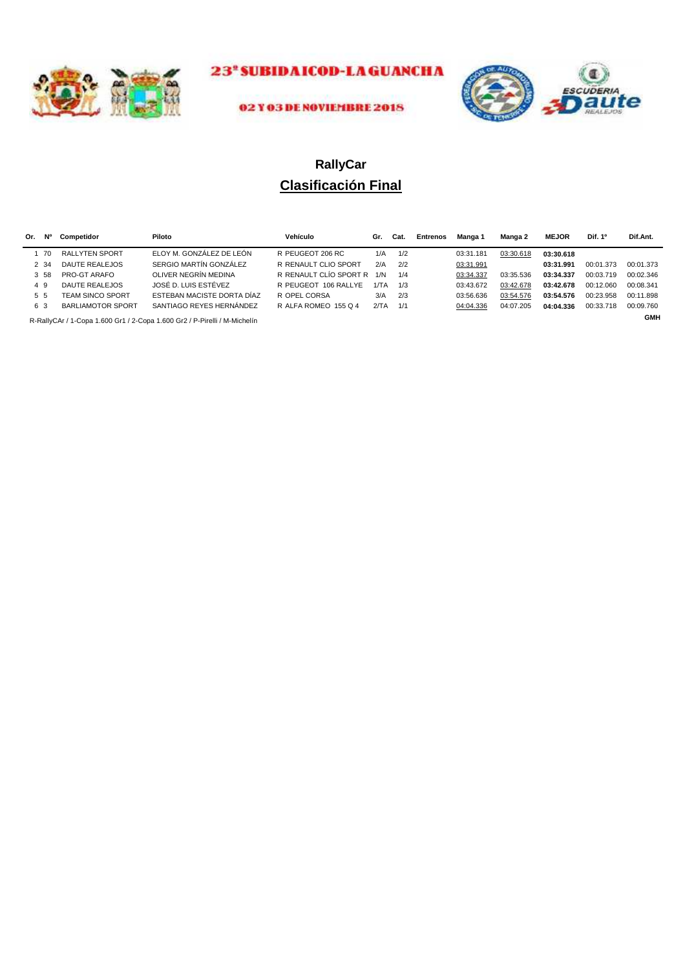



#### 02 Y 03 DE NOVIEMBRE 2018

# **Clasificación Final RallyCar**

| Or.                                                                       | N°   | Competidor               | Piloto                     | Vehículo               | Gr.  | Cat. | Entrenos | Manga 1   | Manga 2   | <b>MEJOR</b> | Dif. 1 <sup>o</sup> | Dif.Ant.  |
|---------------------------------------------------------------------------|------|--------------------------|----------------------------|------------------------|------|------|----------|-----------|-----------|--------------|---------------------|-----------|
|                                                                           | -70  | <b>RALLYTEN SPORT</b>    | ELOY M. GONZÁLEZ DE LEÓN   | R PEUGEOT 206 RC       | 1/A  | 1/2  |          | 03:31.181 | 03:30.618 | 03:30.618    |                     |           |
|                                                                           | 2 34 | <b>DAUTE REALEJOS</b>    | SERGIO MARTÍN GONZÁLEZ     | R RENAULT CLIO SPORT   | 2/A  | 2/2  |          | 03:31.991 |           | 03:31.991    | 00:01.373           | 00:01.373 |
|                                                                           | 3 58 | PRO-GT ARAFO             | OLIVER NEGRÍN MEDINA       | R RENAULT CLÍO SPORT R | 1/N  | 1/4  |          | 03:34.337 | 03:35.536 | 03:34.337    | 00:03.719           | 00:02.346 |
|                                                                           | 49   | <b>DAUTE REALEJOS</b>    | JOSÉ D. LUIS ESTÉVEZ       | R PEUGEOT 106 RALLYE   | 1/TA | 1/3  |          | 03:43.672 | 03:42.678 | 03:42.678    | 00:12.060           | 00:08.341 |
|                                                                           | 55   | <b>TEAM SINCO SPORT</b>  | ESTEBAN MACISTE DORTA DÍAZ | R OPEL CORSA           | 3/A  | 2/3  |          | 03:56.636 | 03:54.576 | 03:54.576    | 00:23.958           | 00:11.898 |
|                                                                           | 6 3  | <b>BARLIAMOTOR SPORT</b> | SANTIAGO REYES HERNÁNDEZ   | R ALFA ROMEO 155 Q 4   | 2/TA | 1/1  |          | 04:04.336 | 04:07.205 | 04:04.336    | 00:33.718           | 00:09.760 |
| R-RallyCAr / 1-Copa 1.600 Gr1 / 2-Copa 1.600 Gr2 / P-Pirelli / M-Michelín |      |                          |                            |                        |      |      |          |           |           | <b>GMH</b>   |                     |           |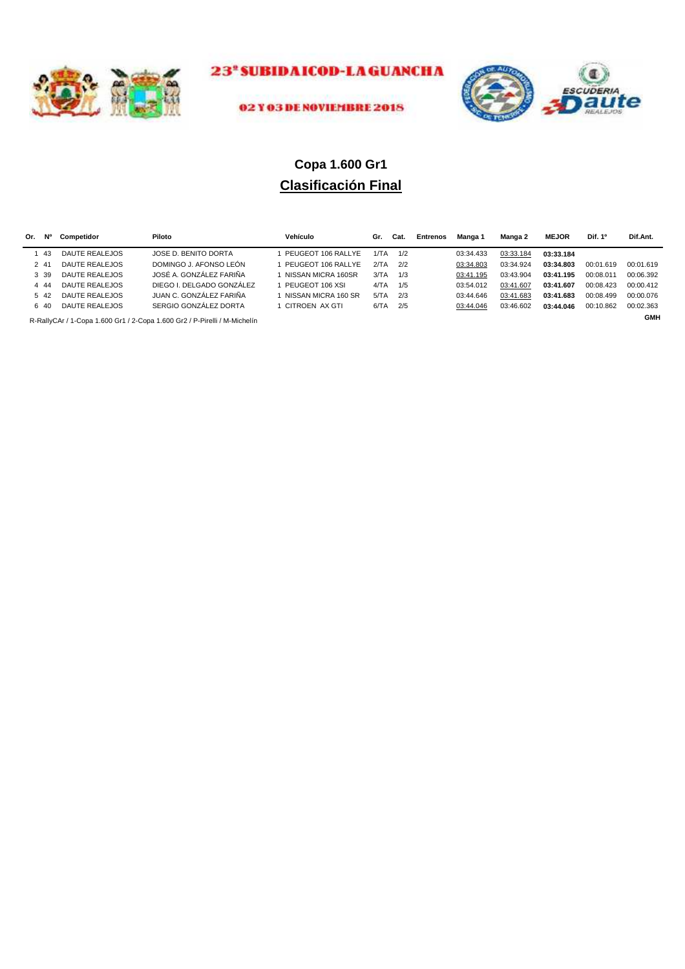



#### 02 Y 03 DE NOVIEMBRE 2018

# **Clasificación Final Copa 1.600 Gr1**

| Or. | N°    | Competidor            | Piloto                                                                    | Vehículo              | Gr.  | Cat. | Entrenos | Manga 1   | Manga 2   | <b>MEJOR</b> | Dif. 1 <sup>o</sup> | Dif.Ant.   |
|-----|-------|-----------------------|---------------------------------------------------------------------------|-----------------------|------|------|----------|-----------|-----------|--------------|---------------------|------------|
|     | -43   | <b>DAUTE REALEJOS</b> | JOSE D. BENITO DORTA                                                      | PEUGEOT 106 RALLYE    | 1/TA | 1/2  |          | 03:34.433 | 03:33.184 | 03:33.184    |                     |            |
|     | 2 41  | <b>DAUTE REALEJOS</b> | DOMINGO J. AFONSO LEÓN                                                    | PEUGEOT 106 RALLYE    | 2/TA | 2/2  |          | 03:34.803 | 03:34.924 | 03:34.803    | 00:01.619           | 00:01.619  |
|     | 3 39  | DAUTE REALEJOS        | JOSÉ A. GONZÁLEZ FARIÑA                                                   | I NISSAN MICRA 160SR  | 3/TA | 1/3  |          | 03:41.195 | 03:43.904 | 03:41.195    | 00:08.011           | 00:06.392  |
|     | 4 4 4 | DAUTE REALEJOS        | DIEGO I. DELGADO GONZÁLEZ                                                 | PEUGEOT 106 XSL       | 4/TA | 1/5  |          | 03:54.012 | 03:41.607 | 03:41.607    | 00:08.423           | 00:00.412  |
|     | 5 42  | DAUTE REALEJOS        | JUAN C. GONZÁLEZ FARIÑA                                                   | I NISSAN MICRA 160 SR | 5/TA | 2/3  |          | 03:44.646 | 03:41.683 | 03:41.683    | 00:08.499           | 00:00.076  |
|     | 6.40  | DAUTE REALEJOS        | SERGIO GONZÁLEZ DORTA                                                     | CITROEN AX GTI        | 6/TA | 2/5  |          | 03:44.046 | 03:46.602 | 03:44.046    | 00:10.862           | 00:02.363  |
|     |       |                       | R-RallyCAr / 1-Copa 1.600 Gr1 / 2-Copa 1.600 Gr2 / P-Pirelli / M-Michelín |                       |      |      |          |           |           |              |                     | <b>GMH</b> |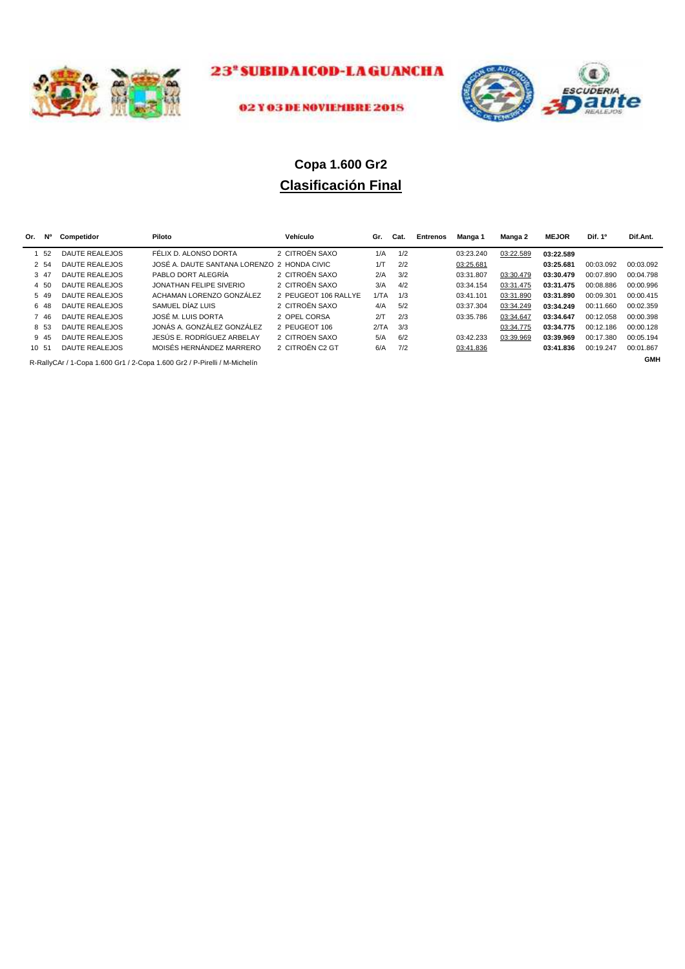



#### 02 Y 03 DE NOVIEMBRE 2018

# **Clasificación Final Copa 1.600 Gr2**

| Or. | <b>N°</b> | Competidor            | Piloto                                                                    | Vehículo             | Gr.  | Cat. | Entrenos | Manga 1   | Manga 2   | <b>MEJOR</b> | Dif. 1 <sup>o</sup> | Dif.Ant.   |
|-----|-----------|-----------------------|---------------------------------------------------------------------------|----------------------|------|------|----------|-----------|-----------|--------------|---------------------|------------|
|     | 52        | DAUTE REALEJOS        | FÉLIX D. ALONSO DORTA                                                     | 2 CITROËN SAXO       | 1/A  | 1/2  |          | 03:23.240 | 03:22.589 | 03:22.589    |                     |            |
|     | 2 54      | DAUTE REALEJOS        | JOSÉ A. DAUTE SANTANA LORENZO 2 HONDA CIVIC                               |                      | 1/T  | 2/2  |          | 03:25.681 |           | 03:25.681    | 00:03.092           | 00:03.092  |
|     | 3 47      | DAUTE REALEJOS        | PABLO DORT ALEGRÍA                                                        | 2 CITROËN SAXO       | 2/A  | 3/2  |          | 03:31.807 | 03:30.479 | 03:30.479    | 00:07.890           | 00:04.798  |
|     | 4 50      | DAUTE REALEJOS        | JONATHAN FELIPE SIVERIO                                                   | 2 CITROËN SAXO       | 3/A  | 4/2  |          | 03:34.154 | 03:31.475 | 03:31.475    | 00:08.886           | 00:00.996  |
|     | 5 49      | DAUTE REALEJOS        | ACHAMAN LORENZO GONZÁLEZ                                                  | 2 PEUGEOT 106 RALLYE | 1/TA | 1/3  |          | 03:41.101 | 03:31.890 | 03:31.890    | 00:09.301           | 00:00.415  |
|     | 6 48      | DAUTE REALEJOS        | SAMUEL DÍAZ LUIS                                                          | 2 CITROËN SAXO       | 4/A  | 5/2  |          | 03:37.304 | 03:34.249 | 03:34.249    | 00:11.660           | 00:02.359  |
|     | 7 46      | DAUTE REALEJOS        | JOSÉ M. LUIS DORTA                                                        | 2 OPEL CORSA         | 2/T  | 2/3  |          | 03:35.786 | 03:34.647 | 03:34.647    | 00:12.058           | 00:00.398  |
|     | 8 53      | DAUTE REALEJOS        | JONÁS A. GONZÁLEZ GONZÁLEZ                                                | 2 PEUGEOT 106        | 2/TA | 3/3  |          |           | 03:34.775 | 03:34.775    | 00:12.186           | 00:00.128  |
|     | 9 45      | DAUTE REALEJOS        | JESÚS E. RODRÍGUEZ ARBELAY                                                | 2 CITROEN SAXO       | 5/A  | 6/2  |          | 03:42.233 | 03:39.969 | 03:39.969    | 00:17.380           | 00:05.194  |
|     | 10 51     | <b>DAUTE REALEJOS</b> | MOISÉS HERNÁNDEZ MARRERO                                                  | 2 CITROËN C2 GT      | 6/A  | 7/2  |          | 03:41.836 |           | 03:41.836    | 00:19.247           | 00:01.867  |
|     |           |                       | R-RallyCAr / 1-Copa 1.600 Gr1 / 2-Copa 1.600 Gr2 / P-Pirelli / M-Michelín |                      |      |      |          |           |           |              |                     | <b>GMH</b> |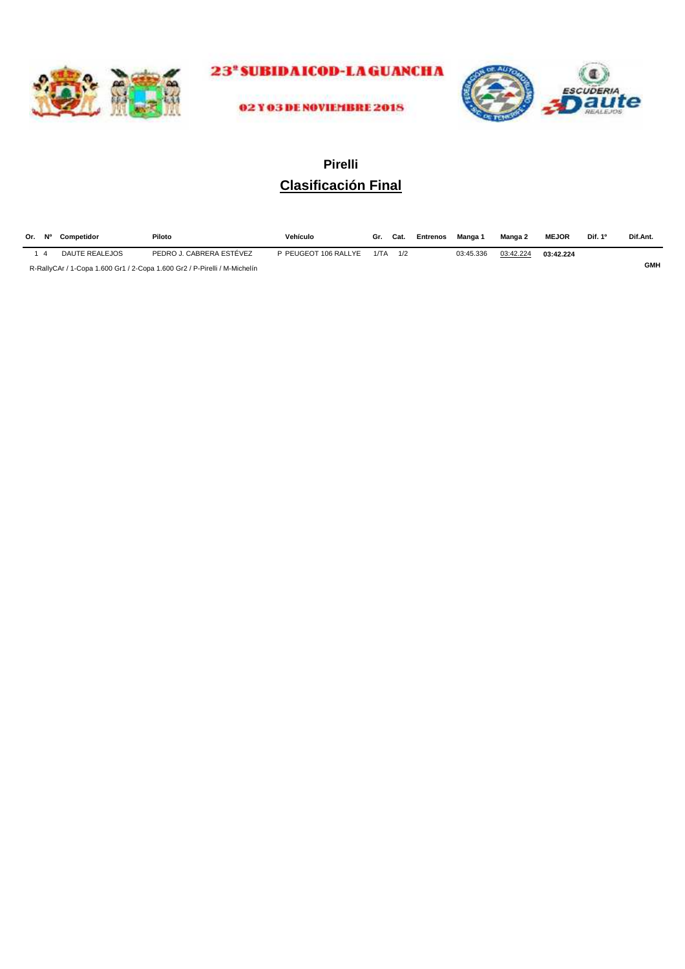



02 Y 03 DE NOVIEMBRE 2018

# **Clasificación Final Pirelli**

| Or. Nº         | Competidor     | Piloto                                                                    | Vehículo             |      | Gr. Cat. | Entrenos | Manga 1   | Manga 2   | <b>MEJOR</b> | Dif. 1 <sup>o</sup> | Dif.Ant.   |
|----------------|----------------|---------------------------------------------------------------------------|----------------------|------|----------|----------|-----------|-----------|--------------|---------------------|------------|
| $\overline{A}$ | DAUTE REALEJOS | PEDRO J. CABRERA ESTÉVEZ                                                  | P PEUGEOT 106 RALLYE | 1/TA |          |          | 03:45.336 | 03:42.224 | 03:42.224    |                     |            |
|                |                | R-RallyCAr / 1-Copa 1.600 Gr1 / 2-Copa 1.600 Gr2 / P-Pirelli / M-Michelín |                      |      |          |          |           |           |              |                     | <b>GMH</b> |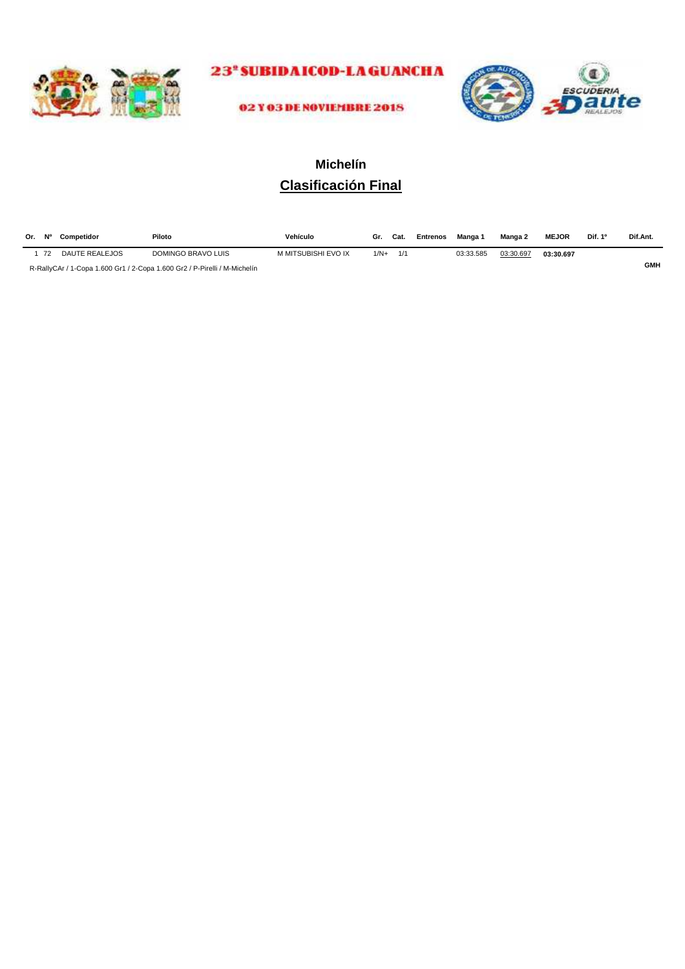

23<sup>\*</sup>SUBIDAICOD-LAGUANCHA



02 Y 03 DE NOVIEMBRE 2018

## **Clasificación Final Michelín**

| Or. | <b>N°</b> | Competidor     | Piloto             | Vehículo            | Gr.    | Cat. | <b>Entrenos</b> | Manga 1   | Manga 2   | <b>MEJOR</b> | Dif. 1º | Dif.Ant. |
|-----|-----------|----------------|--------------------|---------------------|--------|------|-----------------|-----------|-----------|--------------|---------|----------|
|     | 72        | DAUTE REALEJOS | DOMINGO BRAVO LUIS | M MITSUBISHI EVO IX | $1/N+$ | 1/1  |                 | 03:33.585 | 03:30.697 | 03:30.697    |         |          |
|     |           | ---------      |                    |                     |        |      |                 |           |           |              |         | GMH      |

R-RallyCAr / 1-Copa 1.600 Gr1 / 2-Copa 1.600 Gr2 / P-Pirelli / M-Michelín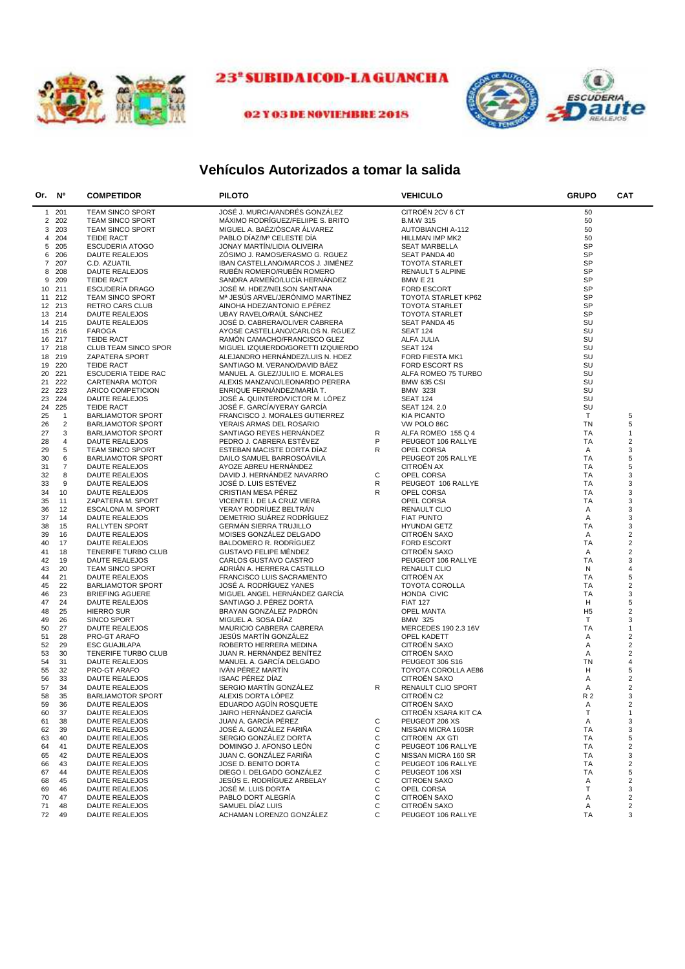

## 23<sup>ª</sup> SUBIDAICOD-LA GUANCHA





## **Vehículos Autorizados a tomar la salida**

| Or. No         |                | <b>COMPETIDOR</b>          | <b>PILOTO</b>                      |   | <b>VEHICULO</b>          | <b>GRUPO</b>   | <b>CAT</b>              |
|----------------|----------------|----------------------------|------------------------------------|---|--------------------------|----------------|-------------------------|
|                | 1 201          | <b>TEAM SINCO SPORT</b>    | JOSÉ J. MURCIA/ANDRÉS GONZÁLEZ     |   | CITROËN 2CV 6 CT         | 50             |                         |
| $\overline{2}$ | 202            | <b>TEAM SINCO SPORT</b>    | MÁXIMO RODRÍGUEZ/FELIIPE S. BRITO  |   | <b>B.M.W 315</b>         | 50             |                         |
| 3              | 203            | <b>TEAM SINCO SPORT</b>    | MIGUEL A. BAEZ/OSCAR ALVAREZ       |   | <b>AUTOBIANCHI A-112</b> | 50             |                         |
| 4              | 204            | <b>TEIDE RACT</b>          | PABLO DIAZ/Mª CELESTE DIA          |   | HILLMAN IMP MK2          | 50             |                         |
| 5              | 205            | <b>ESCUDERIA ATOGO</b>     | JONAY MARTIN/LIDIA OLIVEIRA        |   | <b>SEAT MARBELLA</b>     | SP             |                         |
| 6              | 206            | DAUTE REALEJOS             | ZOSIMO J. RAMOS/ERASMO G. RGUEZ    |   | SEAT PANDA 40            | SP             |                         |
| 7              | 207            | C.D. AZUATIL               | IBAN CASTELLANO/MARCOS J. JIMÉNEZ  |   | <b>TOYOTA STARLET</b>    | SP             |                         |
| 8              | 208            | DAUTE REALEJOS             | RUBÉN ROMERO/RUBÉN ROMERO          |   | RENAULT 5 ALPINE         | <b>SP</b>      |                         |
| 9              | 209            | <b>TEIDE RACT</b>          | SANDRA ARMEÑO/LUCÍA HERNÁNDEZ      |   |                          | SP             |                         |
|                |                |                            |                                    |   | <b>BMW E 21</b>          | <b>SP</b>      |                         |
| 10             | 211            | <b>ESCUDERIA DRAGO</b>     | JOSÉ M. HDEZ/NELSON SANTANA        |   | FORD ESCORT              |                |                         |
| 11             | 212            | <b>TEAM SINCO SPORT</b>    | Mª JESÚS ARVEL/JERÓNIMO MARTÍNEZ   |   | TOYOTA STARLET KP62      | <b>SP</b>      |                         |
|                | 12 213         | <b>RETRO CARS CLUB</b>     | AINOHA HDEZ/ANTONIO E.PÉREZ        |   | <b>TOYOTA STARLET</b>    | <b>SP</b>      |                         |
| 13             | 214            | DAUTE REALEJOS             | UBAY RAVELO/RAUL SANCHEZ           |   | <b>TOYOTA STARLET</b>    | <b>SP</b>      |                         |
|                | 14 215         | DAUTE REALEJOS             | JOSÉ D. CABRERA/OLIVER CABRERA     |   | <b>SEAT PANDA 45</b>     | SU             |                         |
| 15             | 216            | FAROGA                     | AYOSE CASTELLANO/CARLOS N. RGUEZ   |   | <b>SEAT 124</b>          | SU             |                         |
| 16             | 217            | <b>TEIDE RACT</b>          | RAMON CAMACHO/FRANCISCO GLEZ       |   | ALFA JULIA               | SU             |                         |
| 17             | 218            | CLUB TEAM SINCO SPOR       | MIGUEL IZQUIERDO/GORETTI IZQUIERDO |   | <b>SEAT 124</b>          | SU             |                         |
| 18             | 219            | <b>ZAPATERA SPORT</b>      | ALEJANDRO HERNANDEZ/LUIS N. HDEZ   |   | FORD FIESTA MK1          | SU             |                         |
| 19             | 220            | <b>TEIDE RACT</b>          | SANTIAGO M. VERANO/DAVID BAEZ      |   | FORD ESCORT RS           | SU             |                         |
| 20             | 221            | <b>ESCUDERIA TEIDE RAC</b> | MANUEL A. GLEZ/JULIIO E. MORALES   |   | ALFA ROMEO 75 TURBO      | SU             |                         |
| 21             | 222            | CARTENARA MOTOR            | ALEXIS MANZANO/LEONARDO PERERA     |   | <b>BMW 635 CSI</b>       | SU             |                         |
| 22             | 223            | ARICO COMPETICION          | ENRIQUE FERNÁNDEZ/MARÍA T.         |   | <b>BMW 323I</b>          | SU             |                         |
| 23             | 224            | DAUTE REALEJOS             | JOSÉ A. QUINTERO/VICTOR M. LÓPEZ   |   | <b>SEAT 124</b>          | SU             |                         |
| 24             | 225            | <b>TEIDE RACT</b>          | JOSÉ F. GARCÍA/YERAY GARCÍA        |   | SEAT 124.2.0             | SU             |                         |
|                | $\mathbf{1}$   | <b>BARLIAMOTOR SPORT</b>   |                                    |   |                          | T              |                         |
| 25             |                |                            | FRANCISCO J. MORALES GUTIERREZ     |   | <b>KIA PICANTO</b>       |                | 5                       |
| 26             | $\overline{2}$ | <b>BARLIAMOTOR SPORT</b>   | YERAIS ARMAS DEL ROSARIO           |   | VW POLO 86C              | TN             | 5                       |
| 27             | 3              | <b>BARLIAMOTOR SPORT</b>   | SANTIAGO REYES HERNANDEZ           | R | ALFA ROMEO 155 Q 4       | <b>TA</b>      | $\mathbf{1}$            |
| 28             | 4              | DAUTE REALEJOS             | PEDRO J. CABRERA ESTÉVEZ           | P | PEUGEOT 106 RALLYE       | TA             | 2                       |
| 29             | 5              | <b>TEAM SINCO SPORT</b>    | ESTEBAN MACISTE DORTA DIAZ         | R | <b>OPEL CORSA</b>        | Α              | 3                       |
| 30             | 6              | <b>BARLIAMOTOR SPORT</b>   | DAILO SAMUEL BARROSOAVILA          |   | PEUGEOT 205 RALLYE       | <b>TA</b>      | 5                       |
| 31             | $\overline{7}$ | DAUTE REALEJOS             | AYOZE ABREU HERNANDEZ              |   | CITROËN AX               | <b>TA</b>      | 5                       |
| 32             | 8              | DAUTE REALEJOS             | DAVID J. HERNÁNDEZ NAVARRO         | С | OPEL CORSA               | <b>TA</b>      | 3                       |
| 33             | 9              | DAUTE REALEJOS             | JOSÉ D. LUIS ESTÉVEZ               | R | PEUGEOT 106 RALLYE       | TA             | 3                       |
| 34             | 10             | DAUTE REALEJOS             | CRISTIAN MESA PÉREZ                | R | OPEL CORSA               | <b>TA</b>      | 3                       |
| 35             | 11             | ZAPATERA M. SPORT          | VICENTE I. DE LA CRUZ VIERA        |   | OPEL CORSA               | TA             | 3                       |
| 36             | 12             | <b>ESCALONA M. SPORT</b>   | YERAY RODRÍUEZ BELTRÁN             |   | <b>RENAULT CLIO</b>      | Α              | 3                       |
| 37             | 14             | DAUTE REALEJOS             | DEMETRIO SUAREZ RODRIGUEZ          |   | <b>FIAT PUNTO</b>        | Α              | 3                       |
| 38             | 15             | <b>RALLYTEN SPORT</b>      | <b>GERMAN SIERRA TRUJILLO</b>      |   | <b>HYUNDAI GETZ</b>      | <b>TA</b>      | 3                       |
| 39             | 16             | DAUTE REALEJOS             | MOISES GONZALEZ DELGADO            |   | <b>CITROEN SAXO</b>      | Α              | 2                       |
| 40             | 17             |                            | BALDOMERO R. RODRIGUEZ             |   | <b>FORD ESCORT</b>       | <b>TA</b>      | $\overline{\mathbf{c}}$ |
|                |                | DAUTE REALEJOS             |                                    |   |                          |                |                         |
| 41             | 18             | TENERIFE TURBO CLUB        | <b>GUSTAVO FELIPE MÉNDEZ</b>       |   | <b>CITROEN SAXO</b>      | Α              | 2                       |
| 42             | 19             | DAUTE REALEJOS             | CARLOS GUSTAVO CASTRO              |   | PEUGEOT 106 RALLYE       | <b>TA</b>      | 3                       |
| 43             | 20             | <b>TEAM SINCO SPORT</b>    | ADRIAN A. HERRERA CASTILLO         |   | RENAULT CLIO             | N              | 4                       |
| 44             | 21             | DAUTE REALEJOS             | FRANCISCO LUIS SACRAMENTO          |   | <b>CITROEN AX</b>        | <b>TA</b>      | 5                       |
| 45             | 22             | <b>BARLIAMOTOR SPORT</b>   | JOSÉ A. RODRIGUEZ YANES            |   | TOYOTA COROLLA           | <b>TA</b>      | 2                       |
| 46             | 23             | <b>BRIEFING AGUERE</b>     | MIGUEL ANGEL HERNANDEZ GARCIA      |   | HONDA CIVIC              | TA             | 3                       |
| 47             | 24             | DAUTE REALEJOS             | SANTIAGO J. PÉREZ DORTA            |   | <b>FIAT 127</b>          | н              | 5                       |
| 48             | 25             | <b>HIERRO SUR</b>          | BRAYAN GONZÁLEZ PADRÓN             |   | OPEL MANTA               | H <sub>5</sub> | 2                       |
| 49             | 26             | SINCO SPORT                | MIGUEL A. SOSA DIAZ                |   | <b>BMW 325</b>           | $\mathsf{T}$   | 3                       |
| 50             | 27             | DAUTE REALEJOS             | MAURICIO CABRERA CABRERA           |   | MERCEDES 190 2.3 16V     | <b>TA</b>      | 1                       |
| 51             | 28             | <b>PRO-GT ARAFO</b>        | <b>JESUS MARTIN GONZALEZ</b>       |   | <b>OPEL KADETT</b>       | Α              | 2                       |
| 52             | 29             | <b>ESC GUAJILAPA</b>       | ROBERTO HERRERA MEDINA             |   | <b>CITROEN SAXO</b>      | Α              | 2                       |
| 53             | 30             | TENERIFE TURBO CLUB        | JUAN R. HERNÁNDEZ BENÍTEZ          |   | <b>CITROEN SAXO</b>      | Α              | $\overline{\mathbf{c}}$ |
| 54             | 31             | DAUTE REALEJOS             | MANUEL A. GARCIA DELGADO           |   | PEUGEOT 306 S16          | TN             | 4                       |
| 55             | 32             | PRO-GT ARAFO               | IVÁN PÉREZ MARTÍN                  |   | TOYOTA COROLLA AE86      | н              | 5                       |
| 56             | 33             | DAUTE REALEJOS             | <b>ISAAC PÉREZ DÍAZ</b>            |   | CITROËN SAXO             | Α              | 2                       |
| 57             | 34             | DAUTE REALEJOS             | SERGIO MARTÍN GONZÁLEZ             | R | RENAULT CLIO SPORT       | Α              | 2                       |
|                |                |                            |                                    |   |                          |                |                         |
| 58             | 35             | <b>BARLIAMOTOR SPORT</b>   | ALEXIS DORTA LÓPEZ                 |   | CITROËN C2               | R 2            | 3                       |
| 59             | 36             | DAUTE REALEJOS             | EDUARDO AGÜÍN ROSQUETE             |   | CITROËN SAXO             | A              | 2                       |
| 60             | 37             | DAUTE REALEJOS             | JAIRO HERNANDEZ GARCIA             |   | CITROËN XSARA KIT CA     | Т              | $\mathbf{1}$            |
| 61             | 38             | DAUTE REALEJOS             | JUAN A. GARCÍA PÉREZ               | C | PEUGEOT 206 XS           | Α              | 3                       |
| 62             | 39             | DAUTE REALEJOS             | JOSÉ A. GONZÁLEZ FARIÑA            | C | NISSAN MICRA 160SR       | TA             | 3                       |
| 63             | 40             | DAUTE REALEJOS             | SERGIO GONZÁLEZ DORTA              | С | CITROEN AX GTI           | <b>TA</b>      | 5                       |
| 64             | 41             | <b>DAUTE REALEJOS</b>      | DOMINGO J. AFONSO LEÓN             | С | PEUGEOT 106 RALLYE       | <b>TA</b>      | $\overline{\mathbf{c}}$ |
| 65             | 42             | <b>DAUTE REALEJOS</b>      | JUAN C. GONZÁLEZ FARIÑA            | C | NISSAN MICRA 160 SR      | <b>TA</b>      | 3                       |
| 66             | 43             | DAUTE REALEJOS             | JOSE D. BENITO DORTA               | С | PEUGEOT 106 RALLYE       | <b>TA</b>      | $\overline{c}$          |
| 67             | 44             | <b>DAUTE REALEJOS</b>      | DIEGO I. DELGADO GONZÁLEZ          | С | PEUGEOT 106 XSI          | <b>TA</b>      | 5                       |
| 68             | 45             | DAUTE REALEJOS             | JESÚS E. RODRÍGUEZ ARBELAY         | С | <b>CITROEN SAXO</b>      | Α              | $\overline{c}$          |
| 69             | 46             | DAUTE REALEJOS             | JOSÉ M. LUIS DORTA                 | С | OPEL CORSA               | т              | 3                       |
| 70             | 47             | DAUTE REALEJOS             | PABLO DORT ALEGRÍA                 | С | <b>CITROËN SAXO</b>      | Α              | $\overline{\mathbf{c}}$ |
|                |                |                            | SAMUEL DÍAZ LUIS                   |   | CITROËN SAXO             |                |                         |
| 71             | 48             | DAUTE REALEJOS             |                                    | С |                          | Α              | $\overline{c}$          |
| 72             | 49             | <b>DAUTE REALEJOS</b>      | ACHAMAN LORENZO GONZÁLEZ           | С | PEUGEOT 106 RALLYE       | TA             | 3                       |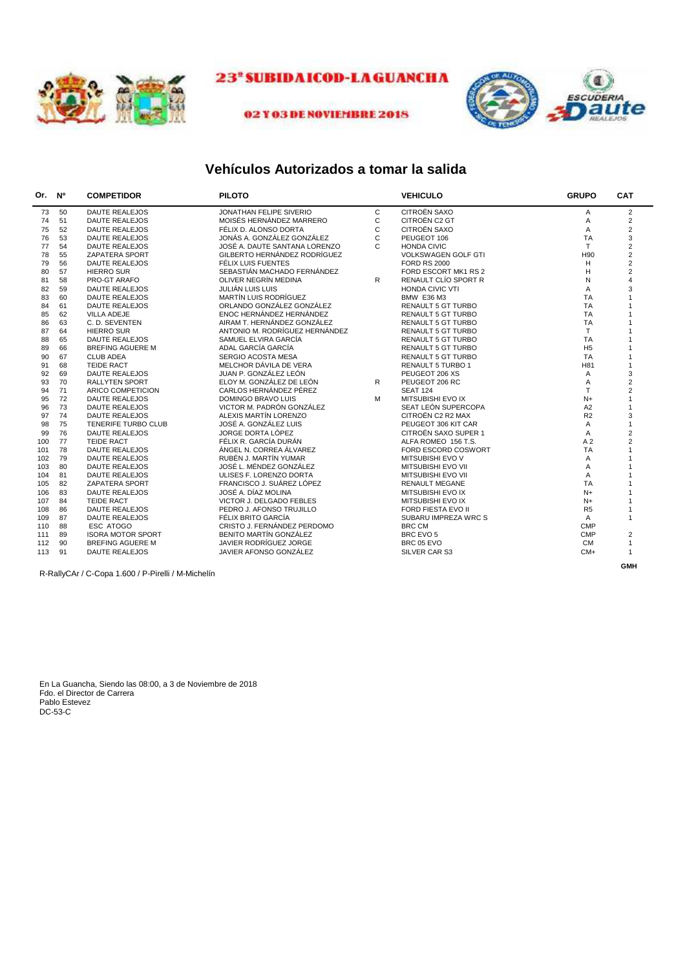



#### 02 Y 03 DE NOVIEMBRE 2018

### **Vehículos Autorizados a tomar la salida**

| Or. | <b>N°</b> | <b>COMPETIDOR</b>        | <b>PILOTO</b>                  |   | <b>VEHICULO</b>            | <b>GRUPO</b>   | <b>CAT</b>     |
|-----|-----------|--------------------------|--------------------------------|---|----------------------------|----------------|----------------|
| 73  | 50        | <b>DAUTE REALEJOS</b>    | JONATHAN FELIPE SIVERIO        | C | <b>CITROËN SAXO</b>        | A              | $\overline{2}$ |
| 74  | 51        | <b>DAUTE REALEJOS</b>    | MOISÉS HERNÁNDEZ MARRERO       | C | CITROËN C2 GT              | Α              | $\overline{2}$ |
| 75  | 52        | <b>DAUTE REALEJOS</b>    | FÉLIX D. ALONSO DORTA          | C | CITROËN SAXO               | A              | $\mathbf 2$    |
| 76  | 53        | <b>DAUTE REALEJOS</b>    | JONÁS A. GONZÁLEZ GONZÁLEZ     | C | PEUGEOT 106                | <b>TA</b>      | 3              |
| 77  | 54        | <b>DAUTE REALEJOS</b>    | JOSÉ A. DAUTE SANTANA LORENZO  | C | <b>HONDA CIVIC</b>         | T.             | $\overline{2}$ |
| 78  | 55        | ZAPATERA SPORT           | GILBERTO HERNÁNDEZ RODRÍGUEZ   |   | <b>VOLKSWAGEN GOLF GTI</b> | H90            | $\overline{2}$ |
| 79  | 56        | <b>DAUTE REALEJOS</b>    | FÉLIX LUIS FUENTES             |   | <b>FORD RS 2000</b>        | H              | $\mathbf 2$    |
| 80  | 57        | <b>HIERRO SUR</b>        | SEBASTIÁN MACHADO FERNÁNDEZ    |   | FORD ESCORT MK1 RS 2       | H              | $\overline{2}$ |
| 81  | 58        | PRO-GT ARAFO             | OLIVER NEGRÍN MEDINA           | R | RENAULT CLÍO SPORT R       | N              | $\overline{4}$ |
| 82  | 59        | <b>DAUTE REALEJOS</b>    | JULIÁN LUIS LUIS               |   | HONDA CIVIC VTI            | A              | 3              |
| 83  | 60        | <b>DAUTE REALEJOS</b>    | MARTÍN LUIS RODRÍGUEZ          |   | <b>BMW E36 M3</b>          | <b>TA</b>      | $\mathbf{1}$   |
| 84  | 61        | <b>DAUTE REALEJOS</b>    | ORLANDO GONZÁLEZ GONZÁLEZ      |   | <b>RENAULT 5 GT TURBO</b>  | <b>TA</b>      | $\mathbf{1}$   |
| 85  | 62        | <b>VILLA ADEJE</b>       | ENOC HERNÁNDEZ HERNÁNDEZ       |   | <b>RENAULT 5 GT TURBO</b>  | <b>TA</b>      | $\mathbf{1}$   |
| 86  | 63        | C. D. SEVENTEN           | AIRAM T. HERNÁNDEZ GONZÁLEZ    |   | <b>RENAULT 5 GT TURBO</b>  | <b>TA</b>      | $\mathbf{1}$   |
| 87  | 64        | <b>HIERRO SUR</b>        | ANTONIO M. RODRÍGUEZ HERNÁNDEZ |   | <b>RENAULT 5 GT TURBO</b>  | T.             | $\mathbf{1}$   |
| 88  | 65        | <b>DAUTE REALEJOS</b>    | SAMUEL ELVIRA GARCÍA           |   | <b>RENAULT 5 GT TURBO</b>  | <b>TA</b>      | $\mathbf{1}$   |
| 89  | 66        | <b>BREFING AGUERE M</b>  | ADAL GARCÍA GARCÍA             |   | <b>RENAULT 5 GT TURBO</b>  | H <sub>5</sub> | $\mathbf{1}$   |
| 90  | 67        | <b>CLUB ADEA</b>         | SERGIO ACOSTA MESA             |   | <b>RENAULT 5 GT TURBO</b>  | <b>TA</b>      | $\mathbf{1}$   |
| 91  | 68        | <b>TEIDE RACT</b>        | MELCHOR DÁVILA DE VERA         |   | RENAULT 5 TURBO 1          | H81            | $\mathbf{1}$   |
| 92  | 69        | <b>DAUTE REALEJOS</b>    | JUAN P. GONZÁLEZ LEÓN          |   | PEUGEOT 206 XS             | A              | 3              |
| 93  | 70        | <b>RALLYTEN SPORT</b>    | ELOY M. GONZÁLEZ DE LEÓN       | R | PEUGEOT 206 RC             | Α              | $\overline{2}$ |
| 94  | 71        | ARICO COMPETICION        | CARLOS HERNÁNDEZ PÉREZ         |   | <b>SEAT 124</b>            | T.             | $\overline{c}$ |
| 95  | 72        | <b>DAUTE REALEJOS</b>    | <b>DOMINGO BRAVO LUIS</b>      | M | MITSUBISHI EVO IX          | $N+$           | $\mathbf{1}$   |
| 96  | 73        | <b>DAUTE REALEJOS</b>    | VICTOR M. PADRÓN GONZÁLEZ      |   | SEAT LEÓN SUPERCOPA        | A2             | $\mathbf{1}$   |
| 97  | 74        | <b>DAUTE REALEJOS</b>    | ALEXIS MARTÍN LORENZO          |   | CITROËN C2 R2 MAX          | R2             | 3              |
| 98  | 75        | TENERIFE TURBO CLUB      | JOSÉ A. GONZÁLEZ LUIS          |   | PEUGEOT 306 KIT CAR        | A              | $\mathbf{1}$   |
| 99  | 76        | <b>DAUTE REALEJOS</b>    | JORGE DORTA LÓPEZ              |   | CITROËN SAXO SUPER 1       | Α              | $\overline{2}$ |
| 100 | 77        | <b>TEIDE RACT</b>        | FÉLIX R. GARCÍA DURÁN          |   | ALFA ROMEO 156 T.S.        | A <sub>2</sub> | $\overline{c}$ |
| 101 | 78        | <b>DAUTE REALEJOS</b>    | ÁNGEL N. CORREA ÁLVAREZ        |   | FORD ESCORD COSWORT        | <b>TA</b>      | $\mathbf{1}$   |
| 102 | 79        | <b>DAUTE REALEJOS</b>    | RUBÉN J. MARTÍN YUMAR          |   | MITSUBISHI EVO V           | A              | $\mathbf{1}$   |
| 103 | 80        | <b>DAUTE REALEJOS</b>    | JOSÉ L. MÉNDEZ GONZÁLEZ        |   | MITSUBISHI EVO VII         | A              | $\overline{1}$ |
| 104 | 81        | <b>DAUTE REALEJOS</b>    | ULISES F. LORENZO DORTA        |   | MITSUBISHI EVO VII         | A              | $\mathbf{1}$   |
| 105 | 82        | <b>ZAPATERA SPORT</b>    | FRANCISCO J. SUÁREZ LÓPEZ      |   | <b>RENAULT MEGANE</b>      | <b>TA</b>      | $\mathbf{1}$   |
| 106 | 83        | <b>DAUTE REALEJOS</b>    | JOSÉ A. DÍAZ MOLINA            |   | MITSUBISHI EVO IX          | $N+$           | $\mathbf{1}$   |
| 107 | 84        | <b>TEIDE RACT</b>        | VICTOR J. DELGADO FEBLES       |   | MITSUBISHI EVO IX          | $N+$           | $\mathbf{1}$   |
| 108 | 86        | <b>DAUTE REALEJOS</b>    | PEDRO J. AFONSO TRUJILLO       |   | FORD FIESTA EVO II         | R <sub>5</sub> | $\mathbf{1}$   |
| 109 | 87        | <b>DAUTE REALEJOS</b>    | FÉLIX BRITO GARCÍA             |   | SUBARU IMPREZA WRC S       | $\mathsf{A}$   | $\mathbf{1}$   |
| 110 | 88        | ESC ATOGO                | CRISTO J. FERNÁNDEZ PERDOMO    |   | <b>BRC CM</b>              | <b>CMP</b>     |                |
| 111 | 89        | <b>ISORA MOTOR SPORT</b> | BENITO MARTÍN GONZÁLEZ         |   | BRC EVO 5                  | <b>CMP</b>     | $\overline{c}$ |
| 112 | 90        | <b>BREFING AGUERE M</b>  | JAVIER RODRÍGUEZ JORGE         |   | BRC 05 EVO                 | <b>CM</b>      | $\mathbf{1}$   |
| 113 | 91        | <b>DAUTE REALEJOS</b>    | JAVIER AFONSO GONZÁLEZ         |   | SILVER CAR S3              | $CM+$          | $\mathbf{1}$   |
|     |           |                          |                                |   |                            |                | <b>GMH</b>     |

R-RallyCAr / C-Copa 1.600 / P-Pirelli / M-Michelín

En La Guancha, Siendo las 08:00, a 3 de Noviembre de 2018 Fdo. el Director de Carrera Pablo Estevez DC-53-C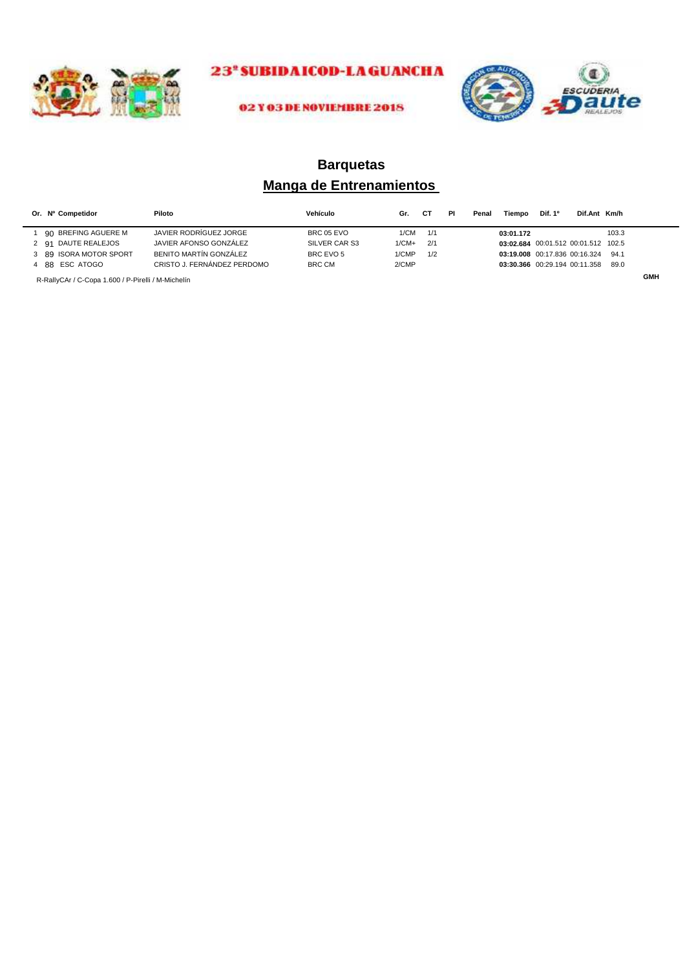



#### 02 Y 03 DE NOVIEMBRE 2018

## **Manga de Entrenamientos Barquetas**

| Or. Nº Competidor                                  | Piloto                      | Vehículo      | Gr.     | СT  | ΡI | Penal | Tiempo    | Dif. 1 <sup>o</sup>                 | Dif.Ant Km/h |       |            |
|----------------------------------------------------|-----------------------------|---------------|---------|-----|----|-------|-----------|-------------------------------------|--------------|-------|------------|
| 90 BREFING AGUERE M                                | JAVIER RODRÍGUEZ JORGE      | BRC 05 EVO    | 1/CM    | 1/1 |    |       | 03:01.172 |                                     |              | 103.3 |            |
| 2 91 DAUTE REALEJOS                                | JAVIER AFONSO GONZÁLEZ      | SILVER CAR S3 | $1/CM+$ | 2/1 |    |       |           | 03:02.684 00:01.512 00:01.512 102.5 |              |       |            |
| 3 89 ISORA MOTOR SPORT                             | BENITO MARTÍN GONZÁLEZ      | BRC EVO 5     | 1/CMP   | 1/2 |    |       |           | 03:19.008 00:17.836 00:16.324       |              | 94.1  |            |
| 4 88 ESC ATOGO                                     | CRISTO J. FERNÁNDEZ PERDOMO | BRC CM        | 2/CMP   |     |    |       |           | 03:30.366 00:29.194 00:11.358       |              | 89.0  |            |
| R-RallyCAr / C-Copa 1.600 / P-Pirelli / M-Michelín |                             |               |         |     |    |       |           |                                     |              |       | <b>GMH</b> |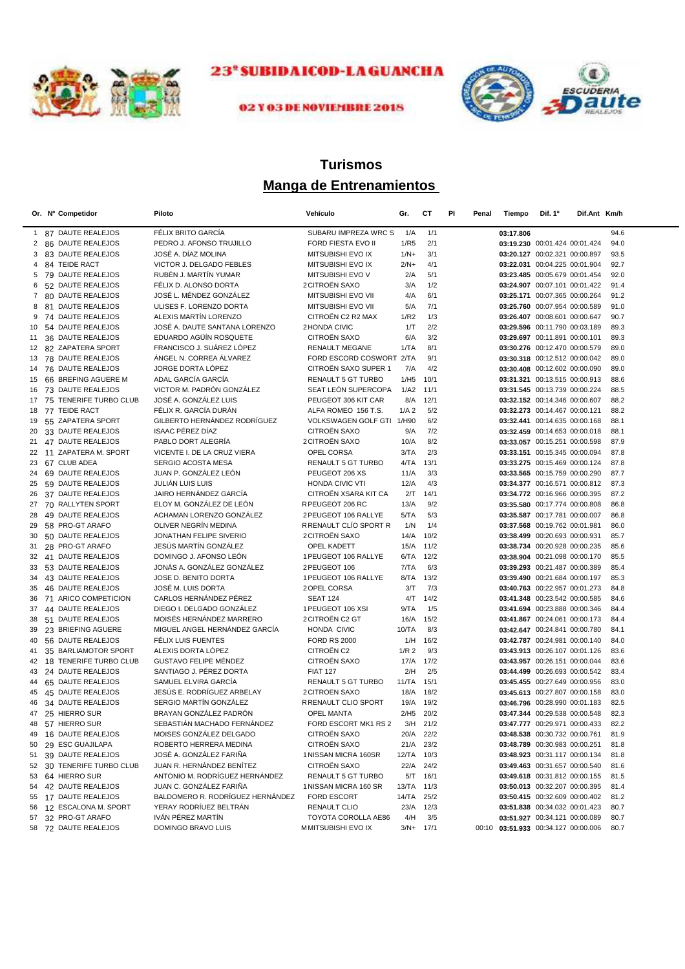



## 02 Y 03 DE NOVIEMBRE 2018

## **Manga de Entrenamientos Turismos**

|              | Or. Nº Competidor                     | Piloto                                   | Vehículo                   | Gr.              | СT           | PI<br>Penal | Tiempo                              | Dif. 1º                                                        | Dif.Ant Km/h |              |
|--------------|---------------------------------------|------------------------------------------|----------------------------|------------------|--------------|-------------|-------------------------------------|----------------------------------------------------------------|--------------|--------------|
|              | 1 87 DAUTE REALEJOS                   | FÉLIX BRITO GARCÍA                       | SUBARU IMPREZA WRC S       | 1/A              | 1/1          |             | 03:17.806                           |                                                                |              | 94.6         |
| 2            | 86 DAUTE REALEJOS                     | PEDRO J. AFONSO TRUJILLO                 | <b>FORD FIESTA EVO II</b>  | 1/R5             | 2/1          |             |                                     | 03:19.230 00:01.424 00:01.424                                  |              | 94.0         |
|              | 3 83 DAUTE REALEJOS                   | JOSÉ A. DÍAZ MOLINA                      | MITSUBISHI EVO IX          | $1/N+$           | 3/1          |             |                                     | 03:20.127 00:02.321 00:00.897                                  |              | 93.5         |
| 4            | 84 TEIDE RACT                         | VICTOR J. DELGADO FEBLES                 | MITSUBISHI EVO IX          | $2/N+$           | 4/1          |             |                                     | 03:22.031 00:04.225 00:01.904                                  |              | 92.7         |
|              | 5 79 DAUTE REALEJOS                   | RUBÉN J. MARTÍN YUMAR                    | MITSUBISHI EVO V           | 2/A              | 5/1          |             |                                     | 03:23.485 00:05.679 00:01.454                                  |              | 92.0         |
| 6            | 52 DAUTE REALEJOS                     | FÉLIX D. ALONSO DORTA                    | 2 CITROËN SAXO             | 3/A              | 1/2          |             |                                     | 03:24.907 00:07.101 00:01.422                                  |              | 91.4         |
| $\mathbf{7}$ | 80 DAUTE REALEJOS                     | JOSÉ L. MÉNDEZ GONZÁLEZ                  | MITSUBISHI EVO VII         | 4/A              | 6/1          |             |                                     | 03:25.171 00:07.365 00:00.264                                  |              | 91.2         |
| 8            | 81 DAUTE REALEJOS                     | ULISES F. LORENZO DORTA                  | MITSUBISHI EVO VII         | 5/A              | 7/1          |             |                                     | 03:25.760 00:07.954 00:00.589                                  |              | 91.0         |
| 9            | 74 DAUTE REALEJOS                     | ALEXIS MARTÍN LORENZO                    | CITROËN C2 R2 MAX          | 1/R2             | 1/3          |             |                                     | 03:26.407 00:08.601 00:00.647                                  |              | 90.7         |
| 10           | 54 DAUTE REALEJOS                     | JOSÉ A. DAUTE SANTANA LORENZO            | 2 HONDA CIVIC              | 1/T              | 2/2          |             |                                     | 03:29.596 00:11.790 00:03.189                                  |              | 89.3         |
| 11           | 36 DAUTE REALEJOS                     | EDUARDO AGÜÍN ROSQUETE                   | <b>CITROËN SAXO</b>        | 6/A              | 3/2          |             |                                     | 03:29.697 00:11.891 00:00.101                                  |              | 89.3         |
|              | 12 82 ZAPATERA SPORT                  | FRANCISCO J. SUÁREZ LÓPEZ                | <b>RENAULT MEGANE</b>      | 1/TA             | 8/1          |             |                                     | 03:30.276 00:12.470 00:00.579                                  |              | 89.0         |
| 13           | 78 DAUTE REALEJOS                     | ÁNGEL N. CORREA ÁLVAREZ                  | FORD ESCORD COSWORT 2/TA   |                  | 9/1          |             |                                     | 03:30.318 00:12.512 00:00.042                                  |              | 89.0         |
| 14           | 76 DAUTE REALEJOS                     | JORGE DORTA LÓPEZ                        | CITROËN SAXO SUPER 1       | 7/A              | 4/2          |             |                                     | 03:30.408 00:12.602 00:00.090                                  |              | 89.0         |
| 15           | 66 BREFING AGUERE M                   | ADAL GARCÍA GARCÍA                       | RENAULT 5 GT TURBO         | 1/H5             | 10/1         |             |                                     | 03:31.321 00:13.515 00:00.913                                  |              | 88.6         |
| 16           | 73 DAUTE REALEJOS                     | VICTOR M. PADRÓN GONZÁLEZ                | SEAT LEÓN SUPERCOPA        | 1/A2             | 11/1         |             |                                     | 03:31.545 00:13.739 00:00.224                                  |              | 88.5         |
|              | 17 75 TENERIFE TURBO CLUB             | JOSÉ A. GONZÁLEZ LUIS                    | PEUGEOT 306 KIT CAR        | 8/A              | 12/1         |             |                                     | 03:32.152 00:14.346 00:00.607                                  |              | 88.2         |
|              | 18 77 TEIDE RACT                      | FÉLIX R. GARCÍA DURÁN                    | ALFA ROMEO 156 T.S.        | 1/A <sub>2</sub> | 5/2          |             |                                     | 03:32.273 00:14.467 00:00.121                                  |              | 88.2         |
| 19           | 55 ZAPATERA SPORT                     | GILBERTO HERNÁNDEZ RODRÍGUEZ             | VOLKSWAGEN GOLF GTI 1/H90  |                  | 6/2          |             |                                     | 03:32.441 00:14.635 00:00.168                                  |              | 88.1         |
| 20           | 33 DAUTE REALEJOS                     | ISAAC PÉREZ DÍAZ                         | CITROËN SAXO               | 9/A              | 7/2          |             |                                     | 03:32.459 00:14.653 00:00.018                                  |              | 88.1         |
| 21           | 47 DAUTE REALEJOS                     | PABLO DORT ALEGRÍA                       | <b>2CITROËN SAXO</b>       | 10/A             | 8/2          |             |                                     | 03:33.057 00:15.251 00:00.598                                  |              | 87.9         |
|              | 22 11 ZAPATERA M. SPORT               | VICENTE I. DE LA CRUZ VIERA              | OPEL CORSA                 | 3/TA             | 2/3          |             |                                     | 03:33.151 00:15.345 00:00.094                                  |              | 87.8         |
| 23           | 67 CLUB ADEA                          | SERGIO ACOSTA MESA                       | RENAULT 5 GT TURBO         | 4/TA             | 13/1         |             |                                     | 03:33.275 00:15.469 00:00.124                                  |              | 87.8         |
| 24           | 69 DAUTE REALEJOS                     | JUAN P. GONZÁLEZ LEÓN                    | PEUGEOT 206 XS             | 11/A             | 3/3          |             |                                     | 03:33.565 00:15.759 00:00.290                                  |              | 87.7         |
| 25           | 59 DAUTE REALEJOS                     | <b>JULIÁN LUIS LUIS</b>                  | HONDA CIVIC VTI            | 12/A             | 4/3          |             |                                     | 03:34.377 00:16.571 00:00.812                                  |              | 87.3         |
| 26           | 37 DAUTE REALEJOS                     | JAIRO HERNÁNDEZ GARCÍA                   | CITROËN XSARA KIT CA       | 2/T              | 14/1         |             |                                     | 03:34.772 00:16.966 00:00.395                                  |              | 87.2         |
| 27           | 70 RALLYTEN SPORT                     | ELOY M. GONZÁLEZ DE LEÓN                 | RPEUGEOT 206 RC            | 13/A             | 9/2          |             |                                     | 03:35.580 00:17.774 00:00.808                                  |              | 86.8         |
| 28           | 49 DAUTE REALEJOS                     | ACHAMAN LORENZO GONZÁLEZ                 | 2 PEUGEOT 106 RALLYE       | 5/TA             | 5/3          |             |                                     | 03:35.587 00:17.781 00:00.007                                  |              | 86.8         |
| 29           | 58 PRO-GT ARAFO                       | OLIVER NEGRÍN MEDINA                     | R RENAULT CLIO SPORT R     | 1/N              | 1/4          |             |                                     | 03:37.568 00:19.762 00:01.981                                  |              | 86.0         |
| 30           | 50 DAUTE REALEJOS                     | JONATHAN FELIPE SIVERIO                  | 2 CITROËN SAXO             | 14/A             | 10/2         |             |                                     | 03:38.499 00:20.693 00:00.931                                  |              | 85.7         |
| 31           | 28 PRO-GT ARAFO                       | JESÚS MARTÍN GONZÁLEZ                    | OPEL KADETT                | 15/A             | 11/2         |             |                                     | 03:38.734 00:20.928 00:00.235                                  |              | 85.6         |
| 32           | 41 DAUTE REALEJOS                     | DOMINGO J. AFONSO LEÓN                   | 1 PEUGEOT 106 RALLYE       | 6/TA             | 12/2         |             |                                     | 03:38.904 00:21.098 00:00.170                                  |              | 85.5         |
| 33           | 53 DAUTE REALEJOS                     | JONÁS A. GONZÁLEZ GONZÁLEZ               | 2 PEUGEOT 106              | 7/TA             | 6/3          |             |                                     | 03:39.293 00:21.487 00:00.389                                  |              | 85.4         |
| 34           | 43 DAUTE REALEJOS                     | JOSE D. BENITO DORTA                     | 1 PEUGEOT 106 RALLYE       | 8/TA             | 13/2         |             |                                     | 03:39.490 00:21.684 00:00.197                                  |              | 85.3         |
| 35           | 46 DAUTE REALEJOS                     | JOSÉ M. LUIS DORTA                       | 2 OPEL CORSA               | 3/T              | 7/3          |             |                                     | 03:40.763 00:22.957 00:01.273                                  |              | 84.8         |
| 36           | 71 ARICO COMPETICION                  | CARLOS HERNÁNDEZ PÉREZ                   | <b>SEAT 124</b>            | 4/T              | 14/2         |             |                                     | 03:41.348 00:23.542 00:00.585                                  |              | 84.6         |
| 37           | 44 DAUTE REALEJOS                     | DIEGO I. DELGADO GONZÁLEZ                | 1 PEUGEOT 106 XSI          | 9/TA             | 1/5          |             |                                     | 03:41.694 00:23.888 00:00.346                                  |              | 84.4         |
| 38           | 51 DAUTE REALEJOS                     | MOISÉS HERNÁNDEZ MARRERO                 | 2 CITROËN C2 GT            | 16/A             | 15/2         |             |                                     | 03:41.867 00:24.061 00:00.173                                  |              | 84.4         |
| 39           | 23 BRIEFING AGUERE                    | MIGUEL ANGEL HERNÁNDEZ GARCÍA            | HONDA CIVIC                | 10/TA            | 8/3          |             |                                     | 03:42.647 00:24.841 00:00.780                                  |              | 84.1         |
| 40           | 56 DAUTE REALEJOS                     | FÉLIX LUIS FUENTES<br>ALEXIS DORTA LÓPEZ | <b>FORD RS 2000</b>        | 1/H              | 16/2         |             |                                     | 03:42.787 00:24.981 00:00.140                                  |              | 84.0         |
| 41           | 35 BARLIAMOTOR SPORT                  | <b>GUSTAVO FELIPE MÉNDEZ</b>             | CITROËN C2<br>CITROËN SAXO | 1/R <sub>2</sub> | 9/3<br>17/2  |             |                                     | 03:43.913 00:26.107 00:01.126<br>03:43.957 00:26.151 00:00.044 |              | 83.6         |
| 42           | 18 TENERIFE TURBO CLUB                | SANTIAGO J. PÉREZ DORTA                  | <b>FIAT 127</b>            | 17/A<br>2/H      | 2/5          |             |                                     | 03:44.499 00:26.693 00:00.542                                  |              | 83.6<br>83.4 |
| 43           | 24 DAUTE REALEJOS                     | SAMUEL ELVIRA GARCÍA                     | <b>RENAULT 5 GT TURBO</b>  | 11/TA            | 15/1         |             |                                     | 03:45.455 00:27.649 00:00.956                                  |              | 83.0         |
| 44           | 65 DAUTE REALEJOS                     | JESÚS E. RODRÍGUEZ ARBELAY               | <b>2CITROEN SAXO</b>       | 18/A             | 18/2         |             |                                     | 03:45.613 00:27.807 00:00.158                                  |              | 83.0         |
| 45           | 45 DAUTE REALEJOS                     | SERGIO MARTÍN GONZÁLEZ                   | R RENAULT CLIO SPORT       | 19/A             | 19/2         |             |                                     | 03:46.796 00:28.990 00:01.183                                  |              | 82.5         |
| 46           | 34 DAUTE REALEJOS<br>47 25 HIERRO SUR | BRAYAN GONZÁLEZ PADRÓN                   | <b>OPEL MANTA</b>          | 2/H5             | 20/2         |             |                                     | 03:47.344 00:29.538 00:00.548                                  |              | 82.3         |
| 48           | 57 HIERRO SUR                         | SEBASTIAN MACHADO FERNANDEZ              | FORD ESCORT MK1 RS 2       |                  | $3/H$ 21/2   |             |                                     | 03:47.777 00:29.971 00:00.433                                  |              | 82.2         |
| 49           | 16 DAUTE REALEJOS                     | MOISES GONZALEZ DELGADO                  | CITROËN SAXO               | 20/A             | 22/2         |             |                                     | 03:48.538 00:30.732 00:00.761                                  |              | 81.9         |
|              | 29 ESC GUAJILAPA                      | ROBERTO HERRERA MEDINA                   | CITROËN SAXO               |                  | 23/2         |             |                                     | 03:48.789 00:30.983 00:00.251                                  |              |              |
| 50           | 51 39 DAUTE REALEJOS                  | JOSÉ A. GONZÁLEZ FARIÑA                  | 1 NISSAN MICRA 160SR       | 21/A<br>12/TA    | 10/3         |             |                                     | 03:48.923 00:31.117 00:00.134                                  |              | 81.8<br>81.8 |
|              | 52 30 TENERIFE TURBO CLUB             | JUAN R. HERNÁNDEZ BENÍTEZ                | CITROËN SAXO               | 22/A             | 24/2         |             |                                     | 03:49.463 00:31.657 00:00.540                                  |              | 81.6         |
|              | 53 64 HIERRO SUR                      | ANTONIO M. RODRÍGUEZ HERNÁNDEZ           | RENAULT 5 GT TURBO         | 5/T              | 16/1         |             |                                     | 03:49.618 00:31.812 00:00.155                                  |              | 81.5         |
|              | 54 42 DAUTE REALEJOS                  | JUAN C. GONZÁLEZ FARIÑA                  | 1 NISSAN MICRA 160 SR      | 13/TA            | 11/3         |             |                                     | 03:50.013 00:32.207 00:00.395                                  |              | 81.4         |
|              | 55 17 DAUTE REALEJOS                  | BALDOMERO R. RODRÍGUEZ HERNÁNDEZ         | FORD ESCORT                | 14/TA            | 25/2         |             |                                     | 03:50.415 00:32.609 00:00.402                                  |              | 81.2         |
|              | 56 12 ESCALONA M. SPORT               | YERAY RODRÍUEZ BELTRÁN                   | RENAULT CLIO               | 23/A             | 12/3         |             |                                     | 03:51.838 00:34.032 00:01.423                                  |              | 80.7         |
|              | 57 32 PRO-GT ARAFO                    | IVÁN PÉREZ MARTÍN                        | TOYOTA COROLLA AE86        | 4/H              | 3/5          |             |                                     | 03:51.927 00:34.121 00:00.089                                  |              | 80.7         |
|              | 58 72 DAUTE REALEJOS                  | DOMINGO BRAVO LUIS                       | MMITSUBISHI EVO IX         |                  | $3/N + 17/1$ |             | 00:10 03:51.933 00:34.127 00:00.006 |                                                                |              | 80.7         |
|              |                                       |                                          |                            |                  |              |             |                                     |                                                                |              |              |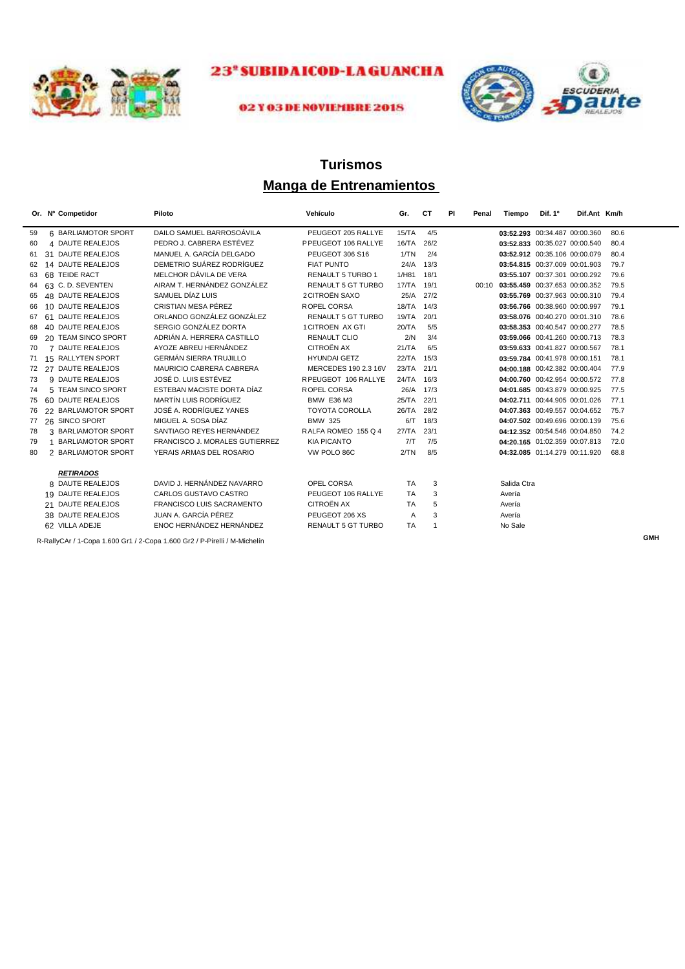



#### 02 Y 03 DE NOVIEMBRE 2018

## **Manga de Entrenamientos Turismos**

|    |    | Or. Nº Competidor        | Piloto                                                                    | Vehículo                  | Gr.        | CТ             | PI<br>Penal | Tiempo      | Dif. 1º                       | Dif.Ant Km/h |      |            |
|----|----|--------------------------|---------------------------------------------------------------------------|---------------------------|------------|----------------|-------------|-------------|-------------------------------|--------------|------|------------|
| 59 |    | 6 BARLIAMOTOR SPORT      | DAILO SAMUEL BARROSOÁVILA                                                 | PEUGEOT 205 RALLYE        | 15/TA      | 4/5            |             |             | 03:52.293 00:34.487 00:00.360 |              | 80.6 |            |
| 60 |    | 4 DAUTE REALEJOS         | PEDRO J. CABRERA ESTÉVEZ                                                  | PPEUGEOT 106 RALLYE       | 16/TA      | 26/2           |             |             | 03:52.833 00:35.027 00:00.540 |              | 80.4 |            |
| 61 |    | 31 DAUTE REALEJOS        | MANUEL A. GARCÍA DELGADO                                                  | PEUGEOT 306 S16           | 1/TN       | 2/4            |             |             | 03:52.912 00:35.106 00:00.079 |              | 80.4 |            |
| 62 |    | 14 DAUTE REALEJOS        | DEMETRIO SUÁREZ RODRÍGUEZ                                                 | <b>FIAT PUNTO</b>         | 24/A       | 13/3           |             |             | 03:54.815 00:37.009 00:01.903 |              | 79.7 |            |
| 63 |    | 68 TEIDE RACT            | MELCHOR DÁVILA DE VERA                                                    | <b>RENAULT 5 TURBO 1</b>  | 1/H81      | 18/1           |             |             | 03:55.107 00:37.301 00:00.292 |              | 79.6 |            |
| 64 |    | 63 C.D. SEVENTEN         | AIRAM T. HERNÁNDEZ GONZÁLEZ                                               | <b>RENAULT 5 GT TURBO</b> | 17/TA      | 19/1           | 00:10       |             | 03:55.459 00:37.653 00:00.352 |              | 79.5 |            |
| 65 |    | 48 DAUTE REALEJOS        | SAMUEL DÍAZ LUIS                                                          | <b>2 CITROËN SAXO</b>     | 25/A       | 27/2           |             |             | 03:55.769 00:37.963 00:00.310 |              | 79.4 |            |
| 66 |    | 10 DAUTE REALEJOS        | CRISTIAN MESA PÉREZ                                                       | ROPEL CORSA               | 18/TA 14/3 |                |             |             | 03:56.766 00:38.960 00:00.997 |              | 79.1 |            |
| 67 |    | 61 DAUTE REALEJOS        | ORLANDO GONZÁLEZ GONZÁLEZ                                                 | <b>RENAULT 5 GT TURBO</b> | 19/TA      | 20/1           |             |             | 03:58.076 00:40.270 00:01.310 |              | 78.6 |            |
| 68 |    | 40 DAUTE REALEJOS        | SERGIO GONZÁLEZ DORTA                                                     | 1 CITROEN AX GTI          | 20/TA      | 5/5            |             |             | 03:58.353 00:40.547 00:00.277 |              | 78.5 |            |
| 69 |    | 20 TEAM SINCO SPORT      | ADRIÁN A. HERRERA CASTILLO                                                | <b>RENAULT CLIO</b>       | 2/N        | 3/4            |             |             | 03:59.066 00:41.260 00:00.713 |              | 78.3 |            |
| 70 |    | 7 DAUTE REALEJOS         | AYOZE ABREU HERNÁNDEZ                                                     | <b>CITROËN AX</b>         | 21/TA      | 6/5            |             |             | 03:59.633 00:41.827 00:00.567 |              | 78.1 |            |
| 71 |    | 15 RALLYTEN SPORT        | <b>GERMÁN SIERRA TRUJILLO</b>                                             | <b>HYUNDAI GETZ</b>       | 22/TA      | 15/3           |             |             | 03:59.784 00:41.978 00:00.151 |              | 78.1 |            |
| 72 |    | 27 DAUTE REALEJOS        | MAURICIO CABRERA CABRERA                                                  | MERCEDES 190 2.3 16V      | 23/TA      | 21/1           |             |             | 04:00.188 00:42.382 00:00.404 |              | 77.9 |            |
| 73 |    | 9 DAUTE REALEJOS         | JOSÉ D. LUIS ESTÉVEZ                                                      | RPEUGEOT 106 RALLYE       | 24/TA      | 16/3           |             |             | 04:00.760 00:42.954 00:00.572 |              | 77.8 |            |
| 74 |    | 5 TEAM SINCO SPORT       | ESTEBAN MACISTE DORTA DÍAZ                                                | ROPEL CORSA               | 26/A       | 17/3           |             |             | 04:01.685 00:43.879 00:00.925 |              | 77.5 |            |
| 75 |    | 60 DAUTE REALEJOS        | <b>MARTÍN LUIS RODRÍGUEZ</b>                                              | <b>BMW E36 M3</b>         | 25/TA      | 22/1           |             |             | 04:02.711 00:44.905 00:01.026 |              | 77.1 |            |
| 76 |    | 22 BARLIAMOTOR SPORT     | JOSÉ A. RODRÍGUEZ YANES                                                   | <b>TOYOTA COROLLA</b>     | 26/TA      | 28/2           |             |             | 04:07.363 00:49.557 00:04.652 |              | 75.7 |            |
| 77 |    | 26 SINCO SPORT           | MIGUEL A. SOSA DÍAZ                                                       | <b>BMW 325</b>            | 6/T        | 18/3           |             |             | 04:07.502 00:49.696 00:00.139 |              | 75.6 |            |
| 78 |    | 3 BARLIAMOTOR SPORT      | SANTIAGO REYES HERNÁNDEZ                                                  | RALFA ROMEO 155 Q 4       | 27/TA      | 23/1           |             |             | 04:12.352 00:54.546 00:04.850 |              | 74.2 |            |
| 79 | 1  | <b>BARLIAMOTOR SPORT</b> | FRANCISCO J. MORALES GUTIERREZ                                            | <b>KIA PICANTO</b>        | 7/T        | 7/5            |             |             | 04:20.165 01:02.359 00:07.813 |              | 72.0 |            |
| 80 |    | 2 BARLIAMOTOR SPORT      | YERAIS ARMAS DEL ROSARIO                                                  | VW POLO 86C               | 2/TN       | 8/5            |             |             | 04:32.085 01:14.279 00:11.920 |              | 68.8 |            |
|    |    | <b>RETIRADOS</b>         |                                                                           |                           |            |                |             |             |                               |              |      |            |
|    |    | 8 DAUTE REALEJOS         | DAVID J. HERNÁNDEZ NAVARRO                                                | OPEL CORSA                | <b>TA</b>  | 3              |             | Salida Ctra |                               |              |      |            |
|    |    | 19 DAUTE REALEJOS        | CARLOS GUSTAVO CASTRO                                                     | PEUGEOT 106 RALLYE        | <b>TA</b>  | 3              |             | Avería      |                               |              |      |            |
|    | 21 | <b>DAUTE REALEJOS</b>    | <b>FRANCISCO LUIS SACRAMENTO</b>                                          | <b>CITROËN AX</b>         | <b>TA</b>  | 5              |             | Avería      |                               |              |      |            |
|    |    | 38 DAUTE REALEJOS        | JUAN A. GARCÍA PÉREZ                                                      | PEUGEOT 206 XS            | A          | 3              |             | Avería      |                               |              |      |            |
|    |    | 62 VILLA ADEJE           | ENOC HERNÁNDEZ HERNÁNDEZ                                                  | RENAULT 5 GT TURBO        | <b>TA</b>  | $\overline{1}$ |             | No Sale     |                               |              |      |            |
|    |    |                          |                                                                           |                           |            |                |             |             |                               |              |      | <b>GMH</b> |
|    |    |                          | R-RallyCAr / 1-Copa 1.600 Gr1 / 2-Copa 1.600 Gr2 / P-Pirelli / M-Michelín |                           |            |                |             |             |                               |              |      |            |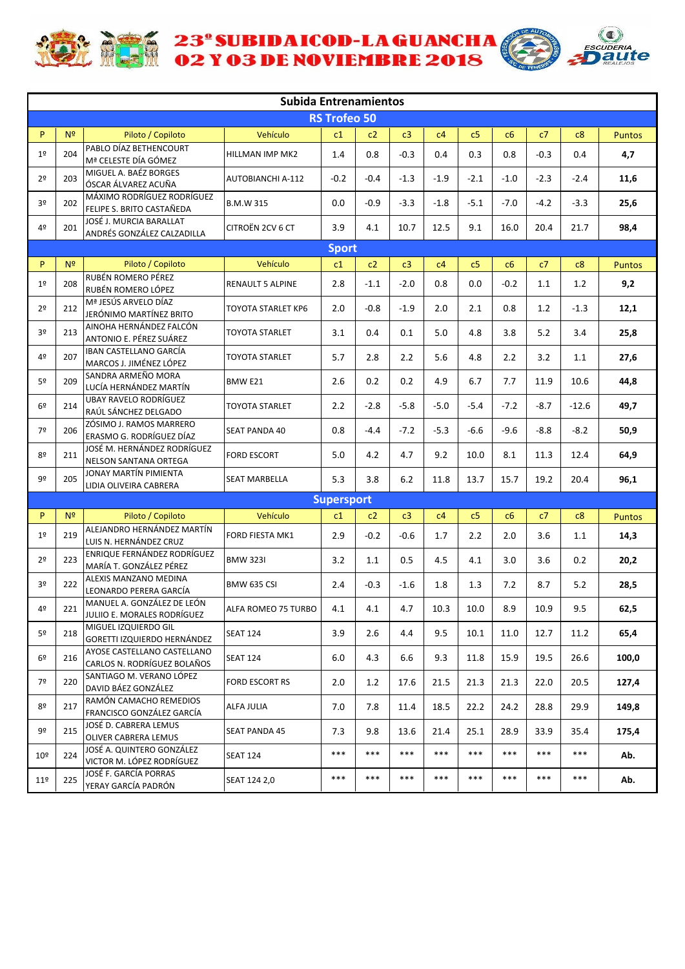

**ACTE 23' SUBIDAICOD-LAGUANCHA** 



|                 |                |                                                            | <b>Subida Entrenamientos</b> |                     |        |        |        |                |        |        |         |               |
|-----------------|----------------|------------------------------------------------------------|------------------------------|---------------------|--------|--------|--------|----------------|--------|--------|---------|---------------|
|                 |                |                                                            |                              | <b>RS Trofeo 50</b> |        |        |        |                |        |        |         |               |
| P               | N <sup>2</sup> | Piloto / Copiloto                                          | Vehículo                     | c1                  | c2     | c3     | c4     | c5             | c6     | c7     | c8      | <b>Puntos</b> |
| 1 <sup>°</sup>  | 204            | PABLO DÍAZ BETHENCOURT<br>Mª CELESTE DÍA GÓMEZ             | HILLMAN IMP MK2              | 1.4                 | 0.8    | $-0.3$ | 0.4    | 0.3            | 0.8    | $-0.3$ | 0.4     | 4,7           |
| 2 <sup>o</sup>  | 203            | MIGUEL A. BAÉZ BORGES<br>ÓSCAR ÁLVAREZ ACUÑA               | AUTOBIANCHI A-112            | $-0.2$              | $-0.4$ | $-1.3$ | $-1.9$ | -2.1           | $-1.0$ | $-2.3$ | $-2.4$  | 11,6          |
| 3º              | 202            | MÁXIMO RODRÍGUEZ RODRÍGUEZ<br>FELIPE S. BRITO CASTAÑEDA    | <b>B.M.W 315</b>             | 0.0                 | $-0.9$ | $-3.3$ | $-1.8$ | $-5.1$         | $-7.0$ | $-4.2$ | $-3.3$  | 25,6          |
| 4º              | 201            | JOSÉ J. MURCIA BARALLAT<br>ANDRÉS GONZÁLEZ CALZADILLA      | CITROËN 2CV 6 CT             | 3.9                 | 4.1    | 10.7   | 12.5   | 9.1            | 16.0   | 20.4   | 21.7    | 98,4          |
|                 |                |                                                            |                              | <b>Sport</b>        |        |        |        |                |        |        |         |               |
| P               | N <sup>2</sup> | Piloto / Copiloto                                          | Vehículo                     | c1                  | c2     | c3     | c4     | c5             | c6     | c7     | c8      | <b>Puntos</b> |
| 1 <sup>°</sup>  | 208            | RUBÉN ROMERO PÉREZ<br>RUBÉN ROMERO LÓPEZ                   | RENAULT 5 ALPINE             | 2.8                 | $-1.1$ | $-2.0$ | 0.8    | 0.0            | $-0.2$ | 1.1    | 1.2     | 9,2           |
| 2 <sup>o</sup>  | 212            | Mª JESÚS ARVELO DÍAZ<br>JERÓNIMO MARTÍNEZ BRITO            | TOYOTA STARLET KP6           | 2.0                 | $-0.8$ | $-1.9$ | 2.0    | 2.1            | 0.8    | 1.2    | $-1.3$  | 12,1          |
| 3º              | 213            | AINOHA HERNÁNDEZ FALCÓN<br>ANTONIO E. PÉREZ SUÁREZ         | TOYOTA STARLET               | 3.1                 | 0.4    | 0.1    | 5.0    | 4.8            | 3.8    | 5.2    | 3.4     | 25,8          |
| 4º              | 207            | IBAN CASTELLANO GARCÍA<br>MARCOS J. JIMÉNEZ LÓPEZ          | TOYOTA STARLET               | 5.7                 | 2.8    | 2.2    | 5.6    | 4.8            | 2.2    | 3.2    | 1.1     | 27,6          |
| 5º              | 209            | SANDRA ARMEÑO MORA<br>LUCÍA HERNÁNDEZ MARTÍN               | BMW E21                      | 2.6                 | 0.2    | 0.2    | 4.9    | 6.7            | 7.7    | 11.9   | 10.6    | 44,8          |
| 6º              | 214            | UBAY RAVELO RODRÍGUEZ<br>RAÚL SÁNCHEZ DELGADO              | TOYOTA STARLET               | 2.2                 | $-2.8$ | $-5.8$ | $-5.0$ | -5.4           | $-7.2$ | $-8.7$ | $-12.6$ | 49,7          |
| 7º              | 206            | ZÓSIMO J. RAMOS MARRERO<br>ERASMO G. RODRÍGUEZ DÍAZ        | <b>SEAT PANDA 40</b>         | 0.8                 | $-4.4$ | $-7.2$ | $-5.3$ | $-6.6$         | $-9.6$ | $-8.8$ | $-8.2$  | 50,9          |
| 8º              | 211            | JOSÉ M. HERNÁNDEZ RODRÍGUEZ<br>NELSON SANTANA ORTEGA       | <b>FORD ESCORT</b>           | 5.0                 | 4.2    | 4.7    | 9.2    | 10.0           | 8.1    | 11.3   | 12.4    | 64,9          |
| 9º              | 205            | JONAY MARTÍN PIMIENTA<br>LIDIA OLIVEIRA CABRERA            | SEAT MARBELLA                | 5.3                 | 3.8    | 6.2    | 11.8   | 13.7           | 15.7   | 19.2   | 20.4    | 96,1          |
|                 |                |                                                            |                              | <b>Supersport</b>   |        |        |        |                |        |        |         |               |
| P               | N <sup>2</sup> | Piloto / Copiloto                                          | Vehículo                     | c1                  | c2     | c3     | c4     | c <sub>5</sub> | c6     | c7     | c8      | <b>Puntos</b> |
| 1 <sup>°</sup>  | 219            | ALEJANDRO HERNÁNDEZ MARTÍN<br>LUIS N. HERNÁNDEZ CRUZ       | FORD FIESTA MK1              | 2.9                 | $-0.2$ | $-0.6$ | 1.7    | 2.2            | 2.0    | 3.6    | 1.1     | 14,3          |
| 2 <sup>o</sup>  | 223            | ENRIQUE FERNÁNDEZ RODRÍGUEZ<br>MARÍA T. GONZÁLEZ PÉREZ     | <b>BMW 323I</b>              | 3.2                 | 1.1    | 0.5    | 4.5    | 4.1            | 3.0    | 3.6    | 0.2     | 20,2          |
| 3º              | 222            | ALEXIS MANZANO MEDINA<br>LEONARDO PERERA GARCÍA            | BMW 635 CSI                  | 2.4                 | $-0.3$ | $-1.6$ | 1.8    | 1.3            | 7.2    | 8.7    | 5.2     | 28,5          |
| 4º              | 221            | MANUEL A. GONZÁLEZ DE LEÓN<br>JULIIO E. MORALES RODRÍGUEZ  | ALFA ROMEO 75 TURBO          | 4.1                 | 4.1    | 4.7    | 10.3   | 10.0           | 8.9    | 10.9   | 9.5     | 62,5          |
| 5 <sup>o</sup>  | 218            | MIGUEL IZQUIERDO GIL<br>GORETTI IZQUIERDO HERNÁNDEZ        | <b>SEAT 124</b>              | 3.9                 | 2.6    | 4.4    | 9.5    | 10.1           | 11.0   | 12.7   | 11.2    | 65,4          |
| 6 <sup>°</sup>  | 216            | AYOSE CASTELLANO CASTELLANO<br>CARLOS N. RODRÍGUEZ BOLAÑOS | <b>SEAT 124</b>              | 6.0                 | 4.3    | 6.6    | 9.3    | 11.8           | 15.9   | 19.5   | 26.6    | 100,0         |
| 7º              | 220            | SANTIAGO M. VERANO LÓPEZ<br>DAVID BÁEZ GONZÁLEZ            | <b>FORD ESCORT RS</b>        | 2.0                 | 1.2    | 17.6   | 21.5   | 21.3           | 21.3   | 22.0   | 20.5    | 127,4         |
| 8º              | 217            | RAMÓN CAMACHO REMEDIOS<br>FRANCISCO GONZÁLEZ GARCÍA        | ALFA JULIA                   | 7.0                 | 7.8    | 11.4   | 18.5   | 22.2           | 24.2   | 28.8   | 29.9    | 149,8         |
| 9º              | 215            | JOSÉ D. CABRERA LEMUS<br>OLIVER CABRERA LEMUS              | <b>SEAT PANDA 45</b>         | 7.3                 | 9.8    | 13.6   | 21.4   | 25.1           | 28.9   | 33.9   | 35.4    | 175,4         |
| 10 <sup>°</sup> | 224            | JOSÉ A. QUINTERO GONZÁLEZ<br>VICTOR M. LÓPEZ RODRÍGUEZ     | <b>SEAT 124</b>              | $***$               | ***    | ***    | ***    | $***$          | ***    | ***    | ***     | Ab.           |
| 11 <sup>°</sup> | 225            | JOSÉ F. GARCÍA PORRAS<br>YERAY GARCÍA PADRÓN               | SEAT 124 2,0                 | ***                 | ***    | ***    | ***    | ***            | ***    | ***    | ***     | Ab.           |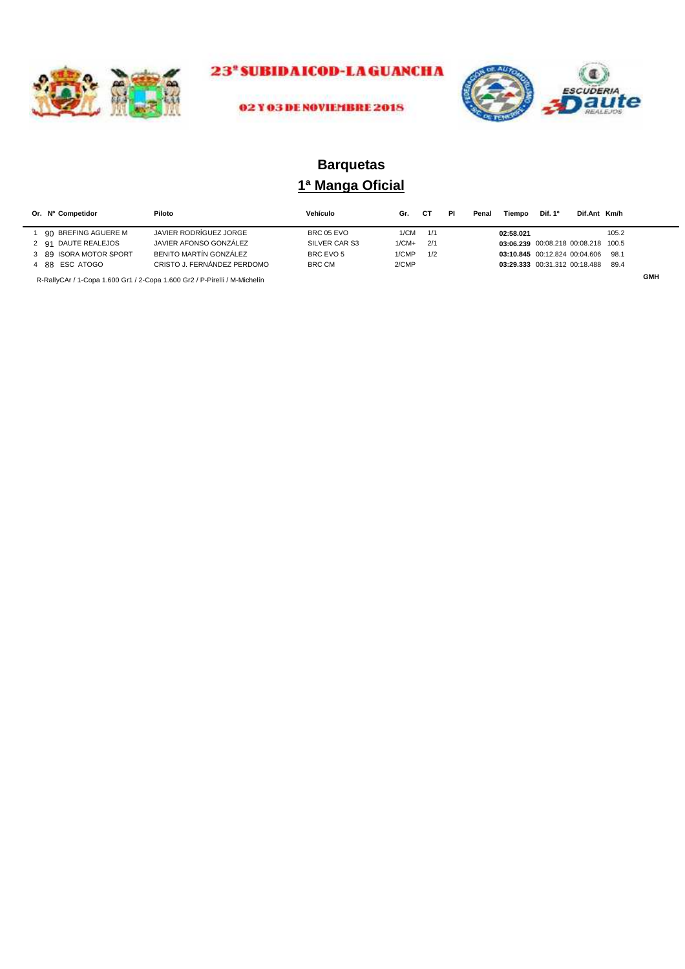



#### 02 Y 03 DE NOVIEMBRE 2018

## **1ª Manga Oficial Barquetas**

| Or. Nº Competidor      | Piloto                      | Vehículo      | Gr.     |     | PI | Penal | Tiempo                              | Dif. 1 <sup>o</sup> | Dif.Ant Km/h |       |  |
|------------------------|-----------------------------|---------------|---------|-----|----|-------|-------------------------------------|---------------------|--------------|-------|--|
| 90 BREFING AGUERE M    | JAVIER RODRÍGUEZ JORGE      | BRC 05 EVO    | 1/CM    | 1/1 |    |       | 02:58.021                           |                     |              | 105.2 |  |
| 2 91 DAUTE REALEJOS    | JAVIER AFONSO GONZÁLEZ      | SILVER CAR S3 | $1/CM+$ | 2/1 |    |       | 03:06.239 00:08.218 00:08.218 100.5 |                     |              |       |  |
| 3 89 ISORA MOTOR SPORT | BENITO MARTÍN GONZÁLEZ      | BRC EVO 5     | 1/CMP   | 1/2 |    |       | 03:10.845 00:12.824 00:04.606       |                     |              | 98.1  |  |
| 4 88 ESC ATOGO         | CRISTO J. FERNÁNDEZ PERDOMO | BRC CM        | 2/CMP   |     |    |       | 03:29.333 00:31.312 00:18.488       |                     |              | 89.4  |  |

R-RallyCAr / 1-Copa 1.600 Gr1 / 2-Copa 1.600 Gr2 / P-Pirelli / M-Michelín **GMH**<br>
GMH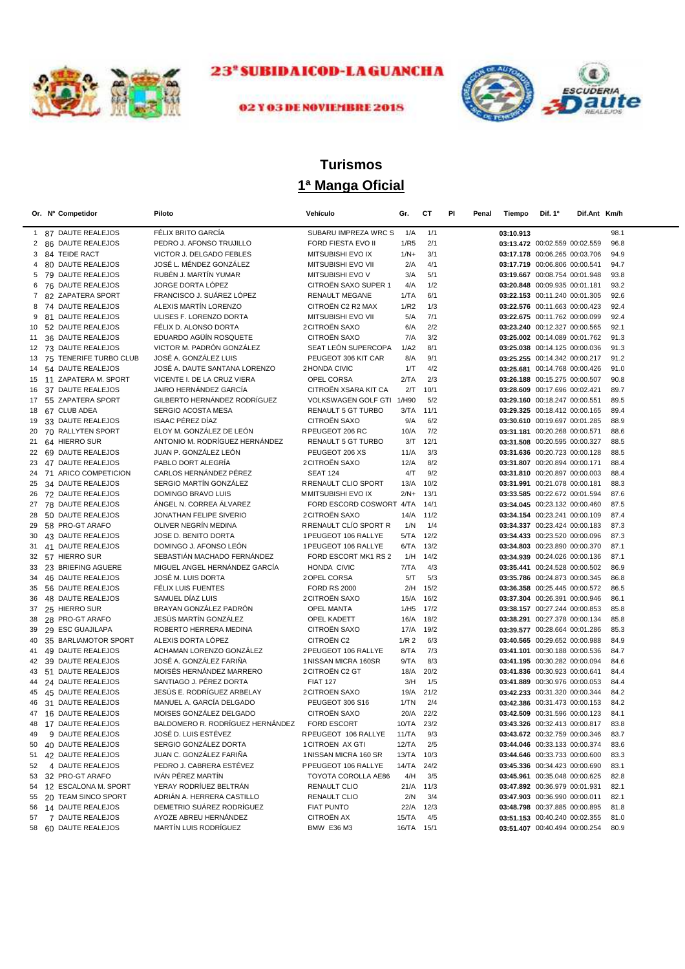



## 02 Y 03 DE NOVIEMBRE 2018

# **1ª Manga Oficial Turismos**

|              | Or. Nº Competidor                      | Piloto                                               | Vehículo                                 | Gr.              | CТ          | PI<br>Penal | Tiempo    | Dif. 1 <sup>o</sup>                                            | Dif.Ant Km/h |              |
|--------------|----------------------------------------|------------------------------------------------------|------------------------------------------|------------------|-------------|-------------|-----------|----------------------------------------------------------------|--------------|--------------|
| $\mathbf{1}$ | 87 DAUTE REALEJOS                      | FÉLIX BRITO GARCÍA                                   | SUBARU IMPREZA WRC S                     | 1/A              | 1/1         |             | 03:10.913 |                                                                |              | 98.1         |
| 2            | 86 DAUTE REALEJOS                      | PEDRO J. AFONSO TRUJILLO                             | FORD FIESTA EVO II                       | 1/R5             | 2/1         |             |           | 03:13.472 00:02.559 00:02.559                                  |              | 96.8         |
| 3            | 84 TEIDE RACT                          | VICTOR J. DELGADO FEBLES                             | MITSUBISHI EVO IX                        | $1/N+$           | 3/1         |             |           | 03:17.178 00:06.265 00:03.706                                  |              | 94.9         |
| 4            | 80 DAUTE REALEJOS                      | JOSÉ L. MÉNDEZ GONZÁLEZ                              | MITSUBISHI EVO VII                       | 2/A              | 4/1         |             |           | 03:17.719 00:06.806 00:00.541                                  |              | 94.7         |
| 5            | 79 DAUTE REALEJOS                      | RUBÉN J. MARTÍN YUMAR                                | MITSUBISHI EVO V                         | 3/A              | 5/1         |             |           | 03:19.667 00:08.754 00:01.948                                  |              | 93.8         |
| 6            | 76 DAUTE REALEJOS                      | JORGE DORTA LÓPEZ                                    | CITROËN SAXO SUPER 1                     | 4/A              | 1/2         |             |           | 03:20.848 00:09.935 00:01.181                                  |              | 93.2         |
| 7            | 82 ZAPATERA SPORT                      | FRANCISCO J. SUÁREZ LÓPEZ                            | RENAULT MEGANE                           | 1/TA             | 6/1         |             |           | 03:22.153 00:11.240 00:01.305                                  |              | 92.6         |
| 8            | 74 DAUTE REALEJOS                      | ALEXIS MARTÍN LORENZO                                | CITROËN C2 R2 MAX                        | 1/R2             | 1/3         |             |           | 03:22.576 00:11.663 00:00.423                                  |              | 92.4         |
| 9            | 81 DAUTE REALEJOS                      | ULISES F. LORENZO DORTA                              | MITSUBISHI EVO VII                       | 5/A              | 7/1         |             |           | 03:22.675 00:11.762 00:00.099                                  |              | 92.4         |
| 10           | 52 DAUTE REALEJOS                      | FÉLIX D. ALONSO DORTA                                | <b>2 CITROËN SAXO</b>                    | 6/A              | 2/2         |             |           | 03:23.240 00:12.327 00:00.565                                  |              | 92.1         |
| 11           | 36 DAUTE REALEJOS                      | EDUARDO AGÜÍN ROSQUETE                               | CITROËN SAXO                             | 7/A              | 3/2         |             |           | 03:25.002 00:14.089 00:01.762                                  |              | 91.3         |
| 12           | 73 DAUTE REALEJOS                      | VICTOR M. PADRÓN GONZÁLEZ                            | SEAT LEÓN SUPERCOPA                      | 1/A2             | 8/1         |             |           | 03:25.038 00:14.125 00:00.036                                  |              | 91.3         |
| 13           | 75 TENERIFE TURBO CLUB                 | JOSÉ A. GONZÁLEZ LUIS                                | PEUGEOT 306 KIT CAR                      | 8/A              | 9/1         |             |           | 03:25.255 00:14.342 00:00.217                                  |              | 91.2         |
| 14           | 54 DAUTE REALEJOS                      | JOSÉ A. DAUTE SANTANA LORENZO                        | 2 HONDA CIVIC                            | 1/T              | 4/2         |             |           | 03:25.681 00:14.768 00:00.426                                  |              | 91.0         |
| 15           | 11 ZAPATERA M. SPORT                   | VICENTE I. DE LA CRUZ VIERA                          | OPEL CORSA                               | 2/TA             | 2/3         |             |           | 03:26.188 00:15.275 00:00.507                                  |              | 90.8         |
| 16           | 37 DAUTE REALEJOS                      | JAIRO HERNÁNDEZ GARCÍA                               | CITROËN XSARA KIT CA                     | 2/T              | 10/1        |             |           | 03:28.609 00:17.696 00:02.421                                  |              | 89.7         |
| 17           | 55 ZAPATERA SPORT                      | GILBERTO HERNÁNDEZ RODRÍGUEZ                         | VOLKSWAGEN GOLF GTI 1/H90                |                  | 5/2         |             |           | 03:29.160 00:18.247 00:00.551                                  |              | 89.5         |
| 18           | 67 CLUB ADEA                           | <b>SERGIO ACOSTA MESA</b><br><b>ISAAC PÉREZ DÍAZ</b> | RENAULT 5 GT TURBO<br>CITROËN SAXO       | 3/TA             | 11/1        |             |           | 03:29.325 00:18.412 00:00.165                                  |              | 89.4         |
| 19<br>20     | 33 DAUTE REALEJOS<br>70 RALLYTEN SPORT | ELOY M. GONZÁLEZ DE LEÓN                             | RPEUGEOT 206 RC                          | 9/A<br>10/A      | 6/2<br>7/2  |             |           | 03:30.610 00:19.697 00:01.285<br>03:31.181 00:20.268 00:00.571 |              | 88.9<br>88.6 |
| 21           | 64 HIERRO SUR                          | ANTONIO M. RODRÍGUEZ HERNÁNDEZ                       | RENAULT 5 GT TURBO                       | 3/T              | 12/1        |             |           | 03:31.508 00:20.595 00:00.327                                  |              | 88.5         |
|              | 22 69 DAUTE REALEJOS                   | JUAN P. GONZÁLEZ LEÓN                                | PEUGEOT 206 XS                           | 11/A             | 3/3         |             |           | 03:31.636 00:20.723 00:00.128                                  |              | 88.5         |
| 23           | 47 DAUTE REALEJOS                      | PABLO DORT ALEGRÍA                                   | 2 CITROËN SAXO                           | 12/A             | 8/2         |             |           | 03:31.807 00:20.894 00:00.171                                  |              | 88.4         |
|              | 24 71 ARICO COMPETICION                | CARLOS HERNÁNDEZ PÉREZ                               | <b>SEAT 124</b>                          | 4/T              | 9/2         |             |           | 03:31.810 00:20.897 00:00.003                                  |              | 88.4         |
| 25           | 34 DAUTE REALEJOS                      | SERGIO MARTÍN GONZÁLEZ                               | R RENAULT CLIO SPORT                     | 13/A             | 10/2        |             |           | 03:31.991 00:21.078 00:00.181                                  |              | 88.3         |
|              | 26 72 DAUTE REALEJOS                   | DOMINGO BRAVO LUIS                                   | MMITSUBISHI EVO IX                       | $2/N+$           | 13/1        |             |           | 03:33.585 00:22.672 00:01.594                                  |              | 87.6         |
| 27           | 78 DAUTE REALEJOS                      | ÁNGEL N. CORREA ÁLVAREZ                              | FORD ESCORD COSWORT 4/TA                 |                  | 14/1        |             |           | 03:34.045 00:23.132 00:00.460                                  |              | 87.5         |
| 28           | 50 DAUTE REALEJOS                      | JONATHAN FELIPE SIVERIO                              | <b>2 CITROËN SAXO</b>                    | 14/A             | 11/2        |             |           | 03:34.154 00:23.241 00:00.109                                  |              | 87.4         |
| 29           | 58 PRO-GT ARAFO                        | OLIVER NEGRÍN MEDINA                                 | R RENAULT CLÍO SPORT R                   | 1/N              | 1/4         |             |           | 03:34.337 00:23.424 00:00.183                                  |              | 87.3         |
| 30           | 43 DAUTE REALEJOS                      | JOSE D. BENITO DORTA                                 | 1 PEUGEOT 106 RALLYE                     | 5/TA             | 12/2        |             |           | 03:34.433 00:23.520 00:00.096                                  |              | 87.3         |
| 31           | 41 DAUTE REALEJOS                      | DOMINGO J. AFONSO LEÓN                               | 1 PEUGEOT 106 RALLYE                     | 6/TA             | 13/2        |             |           | 03:34.803 00:23.890 00:00.370                                  |              | 87.1         |
| 32           | 57 HIERRO SUR                          | SEBASTIÁN MACHADO FERNÁNDEZ                          | FORD ESCORT MK1 RS 2                     | 1/H              | 14/2        |             |           | 03:34.939 00:24.026 00:00.136                                  |              | 87.1         |
| 33           | 23 BRIEFING AGUERE                     | MIGUEL ANGEL HERNÁNDEZ GARCÍA                        | HONDA CIVIC                              | 7/TA             | 4/3         |             |           | 03:35.441 00:24.528 00:00.502                                  |              | 86.9         |
| 34           | 46 DAUTE REALEJOS                      | JOSÉ M. LUIS DORTA                                   | 2 OPEL CORSA                             | 5/T              | 5/3         |             |           | 03:35.786 00:24.873 00:00.345                                  |              | 86.8         |
| 35           | 56 DAUTE REALEJOS                      | FÉLIX LUIS FUENTES                                   | <b>FORD RS 2000</b>                      | 2/H              | 15/2        |             |           | 03:36.358 00:25.445 00:00.572                                  |              | 86.5         |
| 36           | 48 DAUTE REALEJOS                      | SAMUEL DÍAZ LUIS                                     | 2 CITROËN SAXO                           | 15/A             | 16/2        |             |           | 03:37.304 00:26.391 00:00.946                                  |              | 86.1         |
| 37           | 25 HIERRO SUR                          | BRAYAN GONZÁLEZ PADRÓN                               | <b>OPEL MANTA</b>                        | 1/H5             | 17/2        |             |           | 03:38.157 00:27.244 00:00.853                                  |              | 85.8         |
| 38           | 28 PRO-GT ARAFO                        | JESÚS MARTÍN GONZÁLEZ                                | OPEL KADETT                              | 16/A             | 18/2        |             |           | 03:38.291 00:27.378 00:00.134                                  |              | 85.8         |
| 39           | 29 ESC GUAJILAPA                       | ROBERTO HERRERA MEDINA                               | CITROËN SAXO                             | 17/A             | 19/2        |             |           | 03:39.577 00:28.664 00:01.286                                  |              | 85.3         |
| 40           | 35 BARLIAMOTOR SPORT                   | ALEXIS DORTA LÓPEZ                                   | CITROËN C2                               | 1/R <sub>2</sub> | 6/3         |             |           | 03:40.565 00:29.652 00:00.988                                  |              | 84.9         |
| 41           | 49 DAUTE REALEJOS                      | ACHAMAN LORENZO GONZÁLEZ                             | 2 PEUGEOT 106 RALLYE                     | 8/TA             | 7/3         |             |           | 03:41.101 00:30.188 00:00.536                                  |              | 84.7         |
| 42           | 39 DAUTE REALEJOS                      | JOSÉ A. GONZÁLEZ FARIÑA<br>MOISÉS HERNÁNDEZ MARRERO  | 1 NISSAN MICRA 160SR                     | 9/TA             | 8/3         |             |           | 03:41.195 00:30.282 00:00.094                                  |              | 84.6         |
| 43           | 51 DAUTE REALEJOS                      | SANTIAGO J. PÉREZ DORTA                              | 2 CITROËN C2 GT                          | 18/A             | 20/2        |             |           | 03:41.836 00:30.923 00:00.641                                  |              | 84.4         |
| 44           | 24 DAUTE REALEJOS<br>45 DAUTE REALEJOS | JESÚS E. RODRÍGUEZ ARBELAY                           | <b>FIAT 127</b><br><b>2 CITROEN SAXO</b> | 3/H<br>19/A      | 1/5<br>21/2 |             |           | 03:41.889 00:30.976 00:00.053<br>03:42.233 00:31.320 00:00.344 |              | 84.4<br>84.2 |
| 45<br>46     | 31 DAUTE REALEJOS                      | MANUEL A. GARCÍA DELGADO                             | PEUGEOT 306 S16                          | 1/TN             | 2/4         |             |           | 03:42.386 00:31.473 00:00.153                                  |              | 84.2         |
| 47           | 16 DAUTE REALEJOS                      | MOISES GONZÁLEZ DELGADO                              | CITROËN SAXO                             | 20/A             | 22/2        |             |           | 03:42.509 00:31.596 00:00.123                                  |              | 84.1         |
|              | 48 17 DAUTE REALEJOS                   | BALDOMERO R. RODRÍGUEZ HERNÁNDEZ                     | <b>FORD ESCORT</b>                       | 10/TA            | 23/2        |             |           | 03:43.326 00:32.413 00:00.817                                  |              | 83.8         |
| 49           | 9 DAUTE REALEJOS                       | JOSÉ D. LUIS ESTÉVEZ                                 | RPEUGEOT 106 RALLYE                      | 11/TA            | 9/3         |             |           | 03:43.672 00:32.759 00:00.346                                  |              | 83.7         |
| 50           | 40 DAUTE REALEJOS                      | SERGIO GONZÁLEZ DORTA                                | 1 CITROEN AX GTI                         | 12/TA            | 2/5         |             |           | 03:44.046 00:33.133 00:00.374                                  |              | 83.6         |
| 51           | 42 DAUTE REALEJOS                      | JUAN C. GONZÁLEZ FARIÑA                              | 1 NISSAN MICRA 160 SR                    | 13/TA            | 10/3        |             |           | 03:44.646 00:33.733 00:00.600                                  |              | 83.3         |
| 52           | 4 DAUTE REALEJOS                       | PEDRO J. CABRERA ESTÉVEZ                             | PPEUGEOT 106 RALLYE                      | 14/TA            | 24/2        |             |           | 03:45.336 00:34.423 00:00.690                                  |              | 83.1         |
| 53           | 32 PRO-GT ARAFO                        | IVÁN PÉREZ MARTÍN                                    | TOYOTA COROLLA AE86                      | 4/H              | 3/5         |             |           | 03:45.961 00:35.048 00:00.625                                  |              | 82.8         |
| 54           | 12 ESCALONA M. SPORT                   | YERAY RODRÍUEZ BELTRÁN                               | <b>RENAULT CLIO</b>                      | 21/A             | 11/3        |             |           | 03:47.892 00:36.979 00:01.931                                  |              | 82.1         |
| 55           | 20 TEAM SINCO SPORT                    | ADRIÁN A. HERRERA CASTILLO                           | RENAULT CLIO                             | 2/N              | 3/4         |             |           | 03:47.903 00:36.990 00:00.011                                  |              | 82.1         |
| 56           | 14 DAUTE REALEJOS                      | DEMETRIO SUÁREZ RODRÍGUEZ                            | <b>FIAT PUNTO</b>                        | 22/A             | 12/3        |             |           | 03:48.798 00:37.885 00:00.895                                  |              | 81.8         |
| 57           | 7 DAUTE REALEJOS                       | AYOZE ABREU HERNÁNDEZ                                | CITROËN AX                               | 15/TA            | 4/5         |             |           | 03:51.153 00:40.240 00:02.355                                  |              | 81.0         |
| 58           | 60 DAUTE REALEJOS                      | MARTÍN LUIS RODRÍGUEZ                                | <b>BMW E36 M3</b>                        | 16/TA 15/1       |             |             |           | 03:51.407 00:40.494 00:00.254                                  |              | 80.9         |
|              |                                        |                                                      |                                          |                  |             |             |           |                                                                |              |              |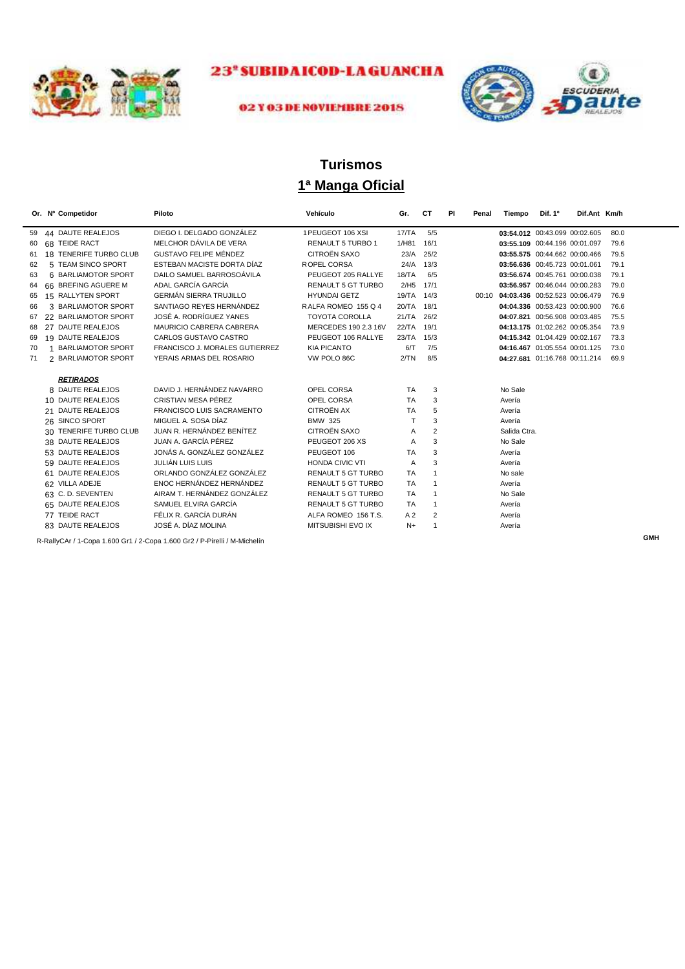



#### 02 Y 03 DE NOVIEMBRE 2018

## **1ª Manga Oficial Turismos**

|    | Or. Nº Competidor                    | Piloto                                                                    | Vehículo                  | Gr.            | СT             | PI | Penal | Tiempo                        | Dif. 1º                       | Dif.Ant Km/h |      |            |
|----|--------------------------------------|---------------------------------------------------------------------------|---------------------------|----------------|----------------|----|-------|-------------------------------|-------------------------------|--------------|------|------------|
| 59 | 44 DAUTE REALEJOS                    | DIEGO I. DELGADO GONZÁLEZ                                                 | 1 PEUGEOT 106 XSI         | 17/TA          | 5/5            |    |       |                               | 03:54.012 00:43.099 00:02.605 |              | 80.0 |            |
| 60 | 68 TEIDE RACT                        | MELCHOR DÁVILA DE VERA                                                    | <b>RENAULT 5 TURBO 1</b>  | 1/HB1          | 16/1           |    |       |                               | 03:55.109 00:44.196 00:01.097 |              | 79.6 |            |
| 61 | 18 TENERIFE TURBO CLUB               | <b>GUSTAVO FELIPE MÉNDEZ</b>                                              | <b>CITROËN SAXO</b>       | 23/A           | 25/2           |    |       |                               | 03:55.575 00:44.662 00:00.466 |              | 79.5 |            |
| 62 | 5 TEAM SINCO SPORT                   | ESTEBAN MACISTE DORTA DÍAZ                                                | ROPEL CORSA               | 24/A           | 13/3           |    |       |                               | 03:56.636 00:45.723 00:01.061 |              | 79.1 |            |
| 63 | 6 BARLIAMOTOR SPORT                  | DAILO SAMUEL BARROSOÁVILA                                                 | PEUGEOT 205 RALLYE        | 18/TA          | 6/5            |    |       |                               | 03:56.674 00:45.761 00:00.038 |              | 79.1 |            |
| 64 | 66 BREFING AGUERE M                  | ADAL GARCÍA GARCÍA                                                        | <b>RENAULT 5 GT TURBO</b> | 2/H5           | 17/1           |    |       |                               | 03:56.957 00:46.044 00:00.283 |              | 79.0 |            |
| 65 | 15 RALLYTEN SPORT                    | <b>GERMÁN SIERRA TRUJILLO</b>                                             | <b>HYUNDAI GETZ</b>       | 19/TA 14/3     |                |    | 00:10 | 04:03.436 00:52.523 00:06.479 |                               |              | 76.9 |            |
| 66 | 3 BARLIAMOTOR SPORT                  | SANTIAGO REYES HERNÁNDEZ                                                  | RALFA ROMEO 155 Q 4       | 20/TA          | 18/1           |    |       |                               | 04:04.336 00:53.423 00:00.900 |              | 76.6 |            |
| 67 | 22 BARLIAMOTOR SPORT                 | JOSÉ A. RODRÍGUEZ YANES                                                   | <b>TOYOTA COROLLA</b>     | 21/TA          | 26/2           |    |       |                               | 04:07.821 00:56.908 00:03.485 |              | 75.5 |            |
| 68 | 27 DAUTE REALEJOS                    | MAURICIO CABRERA CABRERA                                                  | MERCEDES 190 2.3 16V      | 22/TA          | 19/1           |    |       |                               | 04:13.175 01:02.262 00:05.354 |              | 73.9 |            |
| 69 | 19 DAUTE REALEJOS                    | <b>CARLOS GUSTAVO CASTRO</b>                                              | PEUGEOT 106 RALLYE        | 23/TA          | 15/3           |    |       |                               | 04:15.342 01:04.429 00:02.167 |              | 73.3 |            |
| 70 | <b>BARLIAMOTOR SPORT</b><br>1        | FRANCISCO J. MORALES GUTIERREZ                                            | <b>KIA PICANTO</b>        | 6/T            | 7/5            |    |       |                               | 04:16.467 01:05.554 00:01.125 |              | 73.0 |            |
| 71 | 2 BARLIAMOTOR SPORT                  | YERAIS ARMAS DEL ROSARIO                                                  | VW POLO 86C               | 2/TN           | 8/5            |    |       |                               | 04:27.681 01:16.768 00:11.214 |              | 69.9 |            |
|    | <b>RETIRADOS</b><br>8 DAUTE REALEJOS | DAVID J. HERNÁNDEZ NAVARRO                                                | OPEL CORSA                | <b>TA</b>      | 3              |    |       | No Sale                       |                               |              |      |            |
|    | 10 DAUTE REALEJOS                    | CRISTIAN MESA PÉREZ                                                       | OPEL CORSA                | <b>TA</b>      | 3              |    |       | Avería                        |                               |              |      |            |
|    | 21 DAUTE REALEJOS                    | <b>FRANCISCO LUIS SACRAMENTO</b>                                          | <b>CITROËN AX</b>         | <b>TA</b>      | 5              |    |       | Avería                        |                               |              |      |            |
|    | 26 SINCO SPORT                       | MIGUEL A. SOSA DÍAZ                                                       | <b>BMW 325</b>            |                | 3              |    |       | Avería                        |                               |              |      |            |
|    | 30 TENERIFE TURBO CLUB               | JUAN R. HERNÁNDEZ BENÍTEZ                                                 | <b>CITROËN SAXO</b>       | A              | $\overline{2}$ |    |       | Salida Ctra.                  |                               |              |      |            |
|    | 38 DAUTE REALEJOS                    | JUAN A. GARCÍA PÉREZ                                                      | PEUGEOT 206 XS            | A              | 3              |    |       | No Sale                       |                               |              |      |            |
|    | 53 DAUTE REALEJOS                    | JONÁS A. GONZÁLEZ GONZÁLEZ                                                | PEUGEOT 106               | <b>TA</b>      | 3              |    |       | Avería                        |                               |              |      |            |
|    | 59 DAUTE REALEJOS                    | JULIÁN LUIS LUIS                                                          | <b>HONDA CIVIC VTI</b>    | A              | 3              |    |       | Avería                        |                               |              |      |            |
|    | 61 DAUTE REALEJOS                    | ORLANDO GONZÁLEZ GONZÁLEZ                                                 | RENAULT 5 GT TURBO        | <b>TA</b>      | $\mathbf{1}$   |    |       | No sale                       |                               |              |      |            |
|    | 62 VILLA ADEJE                       | ENOC HERNÁNDEZ HERNÁNDEZ                                                  | <b>RENAULT 5 GT TURBO</b> | <b>TA</b>      | $\mathbf{1}$   |    |       | Avería                        |                               |              |      |            |
|    | 63 C.D. SEVENTEN                     | AIRAM T. HERNÁNDEZ GONZÁLEZ                                               | RENAULT 5 GT TURBO        | <b>TA</b>      | $\mathbf{1}$   |    |       | No Sale                       |                               |              |      |            |
|    | 65 DAUTE REALEJOS                    | SAMUEL ELVIRA GARCÍA                                                      | <b>RENAULT 5 GT TURBO</b> | <b>TA</b>      | $\mathbf{1}$   |    |       | Avería                        |                               |              |      |            |
|    | 77 TEIDE RACT                        | FÉLIX R. GARCÍA DURÁN                                                     | ALFA ROMEO 156 T.S.       | A <sub>2</sub> | $\overline{2}$ |    |       | Avería                        |                               |              |      |            |
|    | 83 DAUTE REALEJOS                    | JOSÉ A. DÍAZ MOLINA                                                       | MITSUBISHI EVO IX         | $N+$           | $\mathbf{1}$   |    |       | Avería                        |                               |              |      |            |
|    |                                      | R-RallyCAr / 1-Copa 1.600 Gr1 / 2-Copa 1.600 Gr2 / P-Pirelli / M-Michelín |                           |                |                |    |       |                               |                               |              |      | <b>GMH</b> |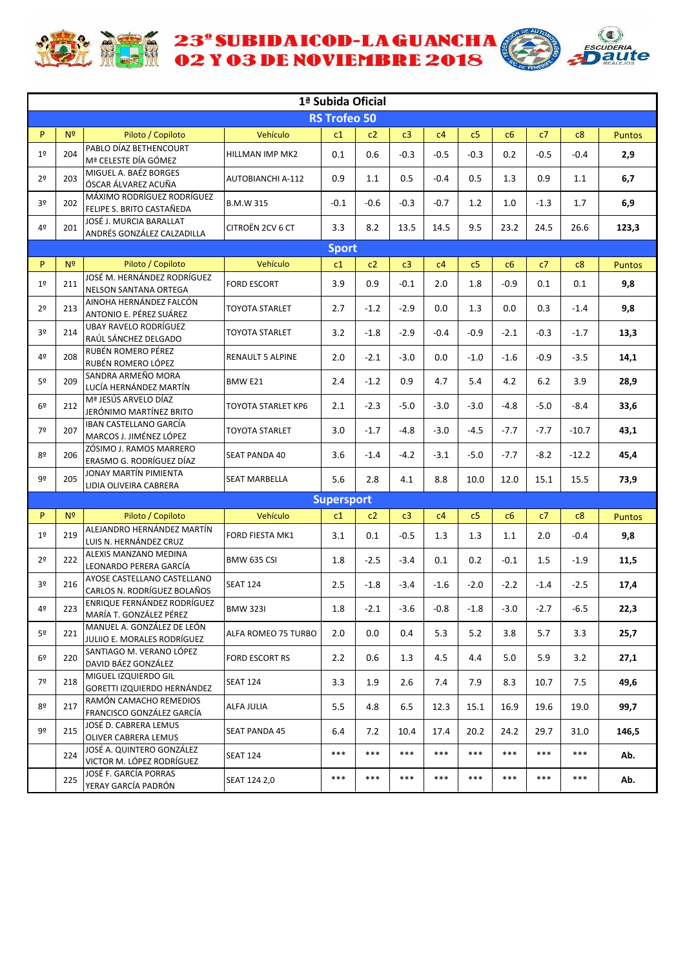



|                |                |                                                            |                          | 1ª Subida Oficial   |        |         |        |                |        |        |         |               |
|----------------|----------------|------------------------------------------------------------|--------------------------|---------------------|--------|---------|--------|----------------|--------|--------|---------|---------------|
|                |                |                                                            |                          | <b>RS Trofeo 50</b> |        |         |        |                |        |        |         |               |
| P              | N <sup>2</sup> | Piloto / Copiloto                                          | Vehículo                 | c1                  | c2     | c3      | c4     | c <sub>5</sub> | c6     | c7     | c8      | <b>Puntos</b> |
| 1 <sup>°</sup> | 204            | PABLO DÍAZ BETHENCOURT<br>Mª CELESTE DÍA GÓMEZ             | HILLMAN IMP MK2          | 0.1                 | 0.6    | $-0.3$  | $-0.5$ | $-0.3$         | 0.2    | $-0.5$ | $-0.4$  | 2,9           |
| 2 <sup>o</sup> | 203            | MIGUEL A. BAÉZ BORGES<br>ÓSCAR ÁLVAREZ ACUÑA               | <b>AUTOBIANCHI A-112</b> | 0.9                 | 1.1    | 0.5     | $-0.4$ | 0.5            | 1.3    | 0.9    | 1.1     | 6,7           |
| 3º             | 202            | MÁXIMO RODRÍGUEZ RODRÍGUEZ<br>FELIPE S. BRITO CASTAÑEDA    | B.M.W 315                | $-0.1$              | $-0.6$ | $-0.3$  | $-0.7$ | 1.2            | 1.0    | $-1.3$ | 1.7     | 6,9           |
| 4º             | 201            | JOSÉ J. MURCIA BARALLAT<br>ANDRÉS GONZÁLEZ CALZADILLA      | CITROËN 2CV 6 CT         | 3.3                 | 8.2    | 13.5    | 14.5   | 9.5            | 23.2   | 24.5   | 26.6    | 123,3         |
|                |                |                                                            |                          | <b>Sport</b>        |        |         |        |                |        |        |         |               |
| P.             | N <sup>2</sup> | Piloto / Copiloto                                          | Vehículo                 | c1                  | c2     | c3      | c4     | c5             | c6     | c7     | c8      | Puntos        |
| 1 <sup>°</sup> | 211            | JOSÉ M. HERNÁNDEZ RODRÍGUEZ<br>NELSON SANTANA ORTEGA       | <b>FORD ESCORT</b>       | 3.9                 | 0.9    | $-0.1$  | 2.0    | 1.8            | $-0.9$ | 0.1    | 0.1     | 9,8           |
| 2 <sup>o</sup> | 213            | AINOHA HERNÁNDEZ FALCÓN<br>ANTONIO E. PÉREZ SUÁREZ         | TOYOTA STARLET           | 2.7                 | $-1.2$ | $-2.9$  | 0.0    | 1.3            | 0.0    | 0.3    | $-1.4$  | 9,8           |
| 3º             | 214            | <b>UBAY RAVELO RODRÍGUEZ</b><br>RAÚL SÁNCHEZ DELGADO       | TOYOTA STARLET           | 3.2                 | $-1.8$ | $-2.9$  | $-0.4$ | $-0.9$         | $-2.1$ | $-0.3$ | $-1.7$  | 13,3          |
| 4º             | 208            | RUBÉN ROMERO PÉREZ<br>RUBÉN ROMERO LÓPEZ                   | RENAULT 5 ALPINE         | 2.0                 | $-2.1$ | $-3.0$  | 0.0    | $-1.0$         | $-1.6$ | $-0.9$ | $-3.5$  | 14,1          |
| 5º             | 209            | SANDRA ARMEÑO MORA<br>LUCÍA HERNÁNDEZ MARTÍN               | BMW E21                  | 2.4                 | $-1.2$ | 0.9     | 4.7    | 5.4            | 4.2    | 6.2    | 3.9     | 28,9          |
| 6 <sup>°</sup> | 212            | Mª JESÚS ARVELO DÍAZ<br>JERÓNIMO MARTÍNEZ BRITO            | TOYOTA STARLET KP6       | 2.1                 | $-2.3$ | $-5.0$  | $-3.0$ | $-3.0$         | $-4.8$ | $-5.0$ | $-8.4$  | 33,6          |
| 7º             | 207            | IBAN CASTELLANO GARCÍA<br>MARCOS J. JIMÉNEZ LÓPEZ          | TOYOTA STARLET           | 3.0                 | $-1.7$ | $-4.8$  | $-3.0$ | $-4.5$         | $-7.7$ | $-7.7$ | $-10.7$ | 43,1          |
| 8º             | 206            | ZÓSIMO J. RAMOS MARRERO<br>ERASMO G. RODRÍGUEZ DÍAZ        | <b>SEAT PANDA 40</b>     | 3.6                 | $-1.4$ | $-4.2$  | $-3.1$ | $-5.0$         | $-7.7$ | $-8.2$ | $-12.2$ | 45,4          |
| 9º             | 205            | JONAY MARTÍN PIMIENTA<br>LIDIA OLIVEIRA CABRERA            | SEAT MARBELLA            | 5.6                 | 2.8    | 4.1     | 8.8    | 10.0           | 12.0   | 15.1   | 15.5    | 73,9          |
|                |                |                                                            |                          | <b>Supersport</b>   |        |         |        |                |        |        |         |               |
| P              | N <sup>2</sup> | Piloto / Copiloto                                          | Vehículo                 | c1                  | c2     | c3      | c4     | c <sub>5</sub> | c6     | c7     | c8      | <b>Puntos</b> |
| 1 <sup>°</sup> | 219            | ALEJANDRO HERNÁNDEZ MARTÍN<br>LUIS N. HERNÁNDEZ CRUZ       | FORD FIESTA MK1          | 3.1                 | 0.1    | $-0.5$  | 1.3    | 1.3            | 1.1    | 2.0    | $-0.4$  | 9,8           |
| 2 <sup>o</sup> | 222            | ALEXIS MANZANO MEDINA<br>LEONARDO PERERA GARCÍA            | <b>BMW 635 CSI</b>       | 1.8                 | $-2.5$ | $-3.4$  | 0.1    | 0.2            | $-0.1$ | 1.5    | $-1.9$  | 11,5          |
| 3º             | 216            | AYOSE CASTELLANO CASTELLANO<br>CARLOS N. RODRÍGUEZ BOLAÑOS | <b>SEAT 124</b>          | 2.5                 | $-1.8$ | $-3.4$  | $-1.6$ | $-2.0$         | $-2.2$ | $-1.4$ | $-2.5$  | 17,4          |
| 4º             | 223            | ENRIQUE FERNÁNDEZ RODRÍGUEZ<br>MARÍA T. GONZÁLEZ PÉREZ     | <b>BMW 323I</b>          | $1.8\,$             | $-2.1$ | $-3.6$  | $-0.8$ | $-1.8$         | $-3.0$ | $-2.7$ | $-6.5$  | 22,3          |
| 5 <sup>o</sup> | 221            | MANUEL A. GONZÁLEZ DE LEÓN<br>JULIIO E. MORALES RODRÍGUEZ  | ALFA ROMEO 75 TURBO      | 2.0                 | 0.0    | $0.4\,$ | 5.3    | 5.2            | 3.8    | 5.7    | 3.3     | 25,7          |
| 6 <sup>°</sup> | 220            | SANTIAGO M. VERANO LÓPEZ<br>DAVID BÁEZ GONZÁLEZ            | FORD ESCORT RS           | 2.2                 | 0.6    | 1.3     | 4.5    | 4.4            | 5.0    | 5.9    | 3.2     | 27,1          |
| 7º             | 218            | MIGUEL IZQUIERDO GIL<br>GORETTI IZQUIERDO HERNÁNDEZ        | <b>SEAT 124</b>          | 3.3                 | 1.9    | 2.6     | 7.4    | 7.9            | 8.3    | 10.7   | 7.5     | 49,6          |
| 8º             | 217            | RAMÓN CAMACHO REMEDIOS<br>FRANCISCO GONZÁLEZ GARCÍA        | ALFA JULIA               | 5.5                 | 4.8    | 6.5     | 12.3   | 15.1           | 16.9   | 19.6   | 19.0    | 99,7          |
| 9º             | 215            | JOSÉ D. CABRERA LEMUS<br>OLIVER CABRERA LEMUS              | <b>SEAT PANDA 45</b>     | 6.4                 | 7.2    | 10.4    | 17.4   | 20.2           | 24.2   | 29.7   | 31.0    | 146,5         |
|                | 224            | JOSÉ A. QUINTERO GONZÁLEZ<br>VICTOR M. LÓPEZ RODRÍGUEZ     | <b>SEAT 124</b>          | $***$               | ***    | ***     | $***$  | $***$          | $***$  | ***    | ***     | Ab.           |
|                | 225            | JOSÉ F. GARCÍA PORRAS<br>YERAY GARCÍA PADRÓN               | SEAT 124 2,0             | ***                 | ***    | ***     | ***    | $***$          | $***$  | ***    | $***$   | Ab.           |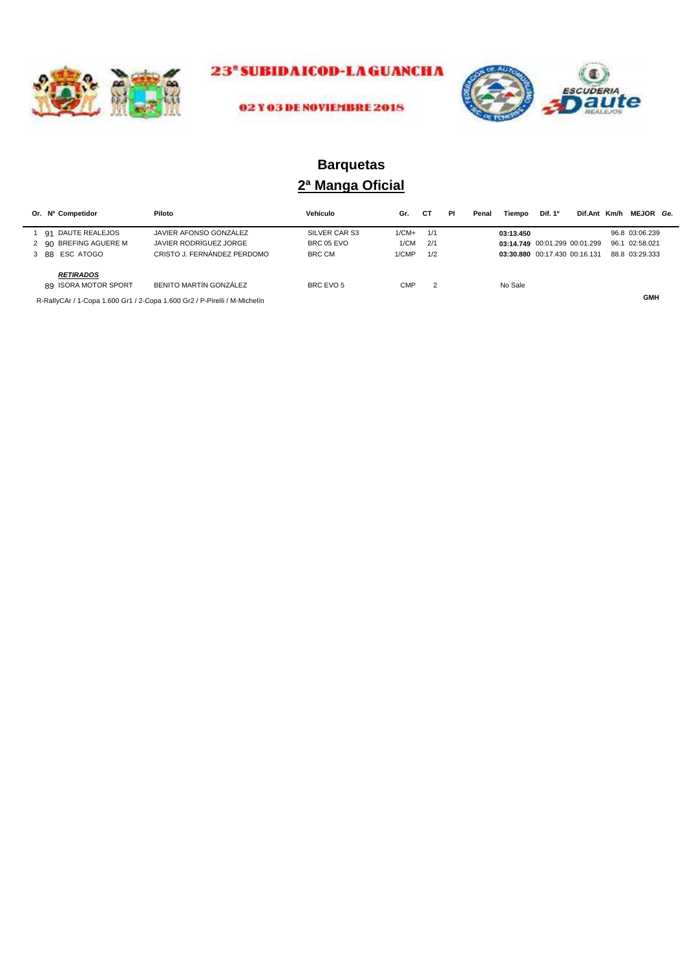



#### 02 Y 03 DE NOVIEMBRE 2018

## **2ª Manga Oficial Barquetas**

|                                                                                                      | Or. Nº Competidor     | Piloto                                                                    | Vehículo      | Gr.     | СT  | PI | Penal | Tiempo    | Dif. 1 <sup>o</sup>           | Dif.Ant Km/h | <b>MEJOR Ge.</b> |  |
|------------------------------------------------------------------------------------------------------|-----------------------|---------------------------------------------------------------------------|---------------|---------|-----|----|-------|-----------|-------------------------------|--------------|------------------|--|
|                                                                                                      | 1 91 DAUTE REALEJOS   | JAVIER AFONSO GONZÁLEZ                                                    | SILVER CAR S3 | $1/CM+$ | 1/1 |    |       | 03:13.450 |                               |              | 96.8 03:06.239   |  |
|                                                                                                      | 2 90 BREFING AGUERE M | JAVIER RODRÍGUEZ JORGE                                                    | BRC 05 EVO    | 1/CM    | 2/1 |    |       |           | 03:14.749 00:01.299 00:01.299 |              | 96.1 02:58.021   |  |
|                                                                                                      | 3 88 ESC ATOGO        | CRISTO J. FERNÁNDEZ PERDOMO                                               | <b>BRC CM</b> | 1/CMP   | 1/2 |    |       |           | 03:30.880 00:17.430 00:16.131 |              | 88.8 03:29.333   |  |
| <b>RETIRADOS</b><br>BENITO MARTÍN GONZÁLEZ<br>89 ISORA MOTOR SPORT<br><b>CMP</b><br>BRC EVO 5<br>- 2 |                       |                                                                           |               |         |     |    |       | No Sale   |                               |              |                  |  |
|                                                                                                      |                       | R-RallyCAr / 1-Copa 1.600 Gr1 / 2-Copa 1.600 Gr2 / P-Pirelli / M-Michelín |               |         |     |    |       |           |                               |              | <b>GMH</b>       |  |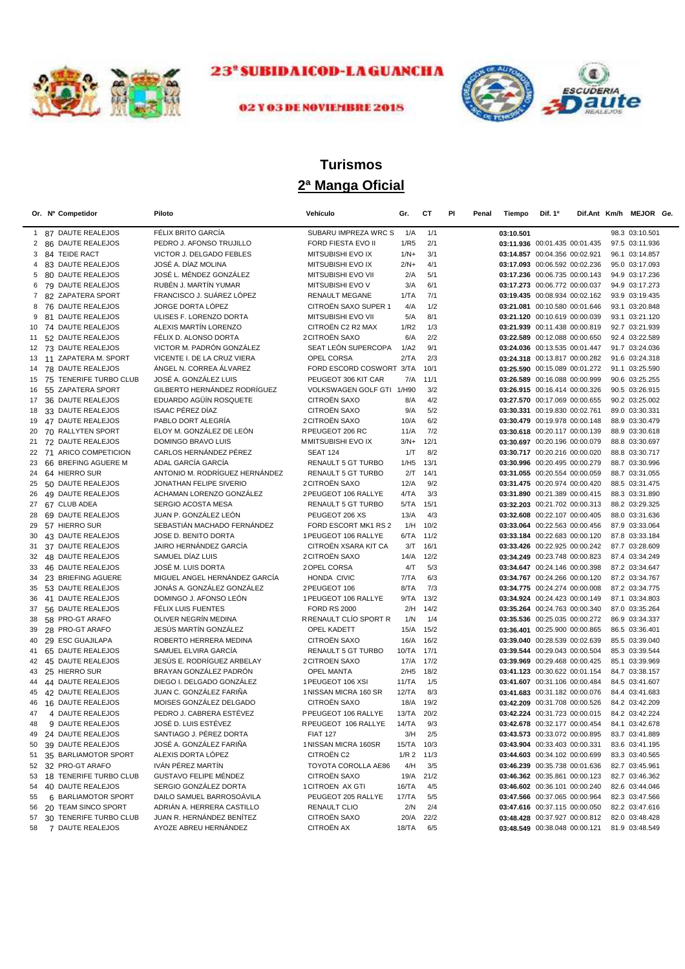



## 02 Y 03 DE NOVIEMBRE 2018

# **2ª Manga Oficial Turismos**

|                | Or. Nº Competidor                           | Piloto                                             | Vehículo                            | Gr.                   | СT               | PI<br>Penal | Tiempo    | Dif. 1 <sup>o</sup>                                            |  | Dif.Ant Km/h MEJOR Ge.           |  |
|----------------|---------------------------------------------|----------------------------------------------------|-------------------------------------|-----------------------|------------------|-------------|-----------|----------------------------------------------------------------|--|----------------------------------|--|
|                | 1 87 DAUTE REALEJOS                         | FÉLIX BRITO GARCÍA                                 | SUBARU IMPREZA WRC S                | 1/A                   | 1/1              |             | 03:10.501 |                                                                |  | 98.3 03:10.501                   |  |
| 2              | 86 DAUTE REALEJOS                           | PEDRO J. AFONSO TRUJILLO                           | FORD FIESTA EVO II                  | 1/R5                  | 2/1              |             |           | 03:11.936 00:01.435 00:01.435                                  |  | 97.5 03:11.936                   |  |
| 3              | 84 TEIDE RACT                               | VICTOR J. DELGADO FEBLES                           | MITSUBISHI EVO IX                   | $1/N+$                | 3/1              |             |           | 03:14.857 00:04.356 00:02.921                                  |  | 96.1 03:14.857                   |  |
| 4              | 83 DAUTE REALEJOS                           | JOSÉ A. DÍAZ MOLINA                                | MITSUBISHI EVO IX                   | $2/N+$                | 4/1              |             |           | 03:17.093 00:06.592 00:02.236                                  |  | 95.0 03:17.093                   |  |
| 5              | 80 DAUTE REALEJOS                           | JOSÉ L. MÉNDEZ GONZÁLEZ                            | MITSUBISHI EVO VII                  | 2/A                   | 5/1              |             |           | 03:17.236 00:06.735 00:00.143                                  |  | 94.9 03:17.236                   |  |
| 6              | 79 DAUTE REALEJOS                           | RUBÉN J. MARTÍN YUMAR                              | MITSUBISHI EVO V                    | 3/A                   | 6/1              |             |           | 03:17.273 00:06.772 00:00.037                                  |  | 94.9 03:17.273                   |  |
| $\overline{7}$ | 82 ZAPATERA SPORT                           | FRANCISCO J. SUÁREZ LÓPEZ                          | <b>RENAULT MEGANE</b>               | 1/TA                  | 7/1              |             |           | 03:19.435 00:08.934 00:02.162                                  |  | 93.9 03:19.435                   |  |
| 8              | 76 DAUTE REALEJOS                           | JORGE DORTA LÓPEZ                                  | CITROËN SAXO SUPER 1                | 4/A                   | 1/2              |             |           | 03:21.081 00:10.580 00:01.646                                  |  | 93.1 03:20.848                   |  |
| 9              | 81 DAUTE REALEJOS                           | ULISES F. LORENZO DORTA                            | MITSUBISHI EVO VII                  | 5/A                   | 8/1              |             |           | 03:21.120 00:10.619 00:00.039                                  |  | 93.1 03:21.120                   |  |
| 10             | 74 DAUTE REALEJOS                           | ALEXIS MARTÍN LORENZO                              | CITROËN C2 R2 MAX                   | 1/R2                  | 1/3              |             |           | 03:21.939 00:11.438 00:00.819                                  |  | 92.7 03:21.939                   |  |
| 11             | 52 DAUTE REALEJOS                           | FÉLIX D. ALONSO DORTA                              | <b>2CITROËN SAXO</b>                | 6/A                   | 2/2              |             |           | 03:22.589 00:12.088 00:00.650                                  |  | 92.4 03:22.589                   |  |
|                | 12 73 DAUTE REALEJOS                        | VICTOR M. PADRÓN GONZÁLEZ                          | SEAT LEÓN SUPERCOPA                 | 1/A2                  | 9/1              |             |           | 03:24.036 00:13.535 00:01.447                                  |  | 91.7 03:24.036                   |  |
|                | 13 11 ZAPATERA M. SPORT                     | VICENTE I. DE LA CRUZ VIERA                        | OPEL CORSA                          | 2/TA                  | 2/3              |             |           | 03:24.318 00:13.817 00:00.282                                  |  | 91.6 03:24.318                   |  |
| 14             | 78 DAUTE REALEJOS                           | ÁNGEL N. CORREA ÁLVAREZ                            | FORD ESCORD COSWORT 3/TA            |                       | 10/1             |             |           | 03:25.590 00:15.089 00:01.272                                  |  | 91.1 03:25.590                   |  |
| 15             | 75 TENERIFE TURBO CLUB                      | JOSÉ A. GONZÁLEZ LUIS                              | PEUGEOT 306 KIT CAR                 | 7/A                   | 11/1             |             |           | 03:26.589 00:16.088 00:00.999                                  |  | 90.6 03:25.255                   |  |
| 16             | 55 ZAPATERA SPORT                           | GILBERTO HERNÁNDEZ RODRÍGUEZ                       | VOLKSWAGEN GOLF GTI 1/H90           |                       | 3/2              |             |           | 03:26.915 00:16.414 00:00.326                                  |  | 90.5 03:26.915                   |  |
| 17             | 36 DAUTE REALEJOS                           | EDUARDO AGÜÍN ROSQUETE                             | CITROËN SAXO                        | 8/A                   | 4/2              |             |           | 03:27.570 00:17.069 00:00.655                                  |  | 90.2 03:25.002                   |  |
| 18             | 33 DAUTE REALEJOS                           | <b>ISAAC PÉREZ DÍAZ</b>                            | CITROËN SAXO                        | 9/A                   | 5/2              |             |           | 03:30.331 00:19.830 00:02.761                                  |  | 89.0 03:30.331                   |  |
| 19             | 47 DAUTE REALEJOS                           | PABLO DORT ALEGRÍA                                 | <b>2 CITROËN SAXO</b>               | 10/A                  | 6/2              |             |           | 03:30.479 00:19.978 00:00.148                                  |  | 88.9 03:30.479                   |  |
| 20             | 70 RALLYTEN SPORT                           | ELOY M. GONZÁLEZ DE LEÓN                           | RPEUGEOT 206 RC                     | 11/A                  | 7/2              |             |           | 03:30.618 00:20.117 00:00.139                                  |  | 88.9 03:30.618                   |  |
| 21             | 72 DAUTE REALEJOS                           | DOMINGO BRAVO LUIS                                 | MMITSUBISHI EVO IX                  | $3/N+$                | 12/1             |             |           | 03:30.697 00:20.196 00:00.079                                  |  | 88.8 03:30.697                   |  |
|                | 22 71 ARICO COMPETICION                     | CARLOS HERNÁNDEZ PÉREZ                             | <b>SEAT 124</b>                     | 1/T                   | 8/2              |             |           | 03:30.717 00:20.216 00:00.020                                  |  | 88.8 03:30.717                   |  |
| 23             | 66 BREFING AGUERE M                         | ADAL GARCÍA GARCÍA                                 | RENAULT 5 GT TURBO                  | 1/H5                  | 13/1             |             |           | 03:30.996 00:20.495 00:00.279                                  |  | 88.7 03:30.996                   |  |
| 24             | 64 HIERRO SUR                               | ANTONIO M. RODRÍGUEZ HERNÁNDEZ                     | <b>RENAULT 5 GT TURBO</b>           | 2/T                   | 14/1             |             |           | 03:31.055 00:20.554 00:00.059                                  |  | 88.7 03:31.055                   |  |
| 25             | 50 DAUTE REALEJOS                           | JONATHAN FELIPE SIVERIO                            | 2 CITROËN SAXO                      | 12/A                  | 9/2              |             |           | 03:31.475 00:20.974 00:00.420                                  |  | 88.5 03:31.475                   |  |
| 26             | 49 DAUTE REALEJOS                           | ACHAMAN LORENZO GONZÁLEZ                           | 2 PEUGEOT 106 RALLYE                | 4/TA                  | 3/3              |             |           | 03:31.890 00:21.389 00:00.415                                  |  | 88.3 03:31.890                   |  |
| 27             | 67 CLUB ADEA                                | SERGIO ACOSTA MESA                                 | <b>RENAULT 5 GT TURBO</b>           | 5/TA                  | 15/1             |             |           | 03:32.203 00:21.702 00:00.313                                  |  | 88.2 03:29.325                   |  |
| 28             | 69 DAUTE REALEJOS                           | JUAN P. GONZÁLEZ LEÓN                              | PEUGEOT 206 XS                      | 13/A                  | 4/3              |             |           | 03:32.608 00:22.107 00:00.405                                  |  | 88.0 03:31.636                   |  |
| 29             | 57 HIERRO SUR                               | SEBASTIÁN MACHADO FERNÁNDEZ                        | FORD ESCORT MK1 RS 2                | 1/H                   | 10/2             |             |           | 03:33.064 00:22.563 00:00.456                                  |  | 87.9 03:33.064                   |  |
| 30             | 43 DAUTE REALEJOS                           | JOSE D. BENITO DORTA                               | 1 PEUGEOT 106 RALLYE                | 6/TA 11/2             |                  |             |           | 03:33.184 00:22.683 00:00.120                                  |  | 87.8 03:33.184                   |  |
| 31             | 37 DAUTE REALEJOS                           | JAIRO HERNÁNDEZ GARCÍA                             | CITROËN XSARA KIT CA                | 3/T                   | 16/1             |             |           | 03:33.426 00:22.925 00:00.242                                  |  | 87.7 03:28.609                   |  |
| 32             | 48 DAUTE REALEJOS                           | SAMUEL DÍAZ LUIS                                   | 2 CITROËN SAXO                      | 14/A                  | 12/2             |             |           | 03:34.249 00:23.748 00:00.823                                  |  | 87.4 03:34.249                   |  |
| 33             | 46 DAUTE REALEJOS                           | JOSÉ M. LUIS DORTA                                 | 2 OPEL CORSA                        | 4/T                   | 5/3              |             |           | 03:34.647 00:24.146 00:00.398                                  |  | 87.2 03:34.647                   |  |
| 34             | 23 BRIEFING AGUERE                          | MIGUEL ANGEL HERNÁNDEZ GARCÍA                      | HONDA CIVIC                         | 7/TA                  | 6/3              |             |           | 03:34.767 00:24.266 00:00.120                                  |  | 87.2 03:34.767                   |  |
| 35             | 53 DAUTE REALEJOS                           | JONÁS A. GONZÁLEZ GONZÁLEZ                         | 2 PEUGEOT 106                       | 8/TA                  | 7/3              |             |           | 03:34.775 00:24.274 00:00.008                                  |  | 87.2 03:34.775                   |  |
| 36             | 41 DAUTE REALEJOS                           | DOMINGO J. AFONSO LEÓN                             | 1 PEUGEOT 106 RALLYE                | 9/TA                  | 13/2             |             |           | 03:34.924 00:24.423 00:00.149                                  |  | 87.1 03:34.803                   |  |
| 37             | 56 DAUTE REALEJOS                           | FÉLIX LUIS FUENTES                                 | <b>FORD RS 2000</b>                 | 2/H                   | 14/2             |             |           | 03:35.264 00:24.763 00:00.340                                  |  | 87.0 03:35.264                   |  |
| 38             | 58 PRO-GT ARAFO                             | OLIVER NEGRÍN MEDINA                               | R RENAULT CLIO SPORT R              | 1/N                   | 1/4              |             |           | 03:35.536 00:25.035 00:00.272                                  |  | 86.9 03:34.337                   |  |
| 39             | 28 PRO-GT ARAFO                             | JESÚS MARTÍN GONZÁLEZ                              | OPEL KADETT                         | 15/A                  | 15/2             |             |           | 03:36.401 00:25.900 00:00.865                                  |  | 86.5 03:36.401                   |  |
| 40             | 29 ESC GUAJILAPA                            | ROBERTO HERRERA MEDINA                             | <b>CITROËN SAXO</b>                 |                       | 16/A 16/2        |             |           | 03:39.040 00:28.539 00:02.639                                  |  | 85.5 03:39.040                   |  |
| 41             | 65 DAUTE REALEJOS                           | SAMUEL ELVIRA GARCÍA                               | RENAULT 5 GT TURBO                  | 10/TA 17/1            |                  |             |           | 03:39.544 00:29.043 00:00.504                                  |  | 85.3 03:39.544                   |  |
| 42             | 45 DAUTE REALEJOS                           | JESÚS E. RODRÍGUEZ ARBELAY                         | <b>2 CITROEN SAXO</b>               | 17/A 17/2             |                  |             |           | 03:39.969 00:29.468 00:00.425                                  |  | 85.1 03:39.969                   |  |
| 43             | 25 HIERRO SUR                               | BRAYAN GONZÁLEZ PADRÓN                             | <b>OPEL MANTA</b>                   | 2/H5                  | 18/2             |             |           | 03:41.123 00:30.622 00:01.154                                  |  | 84.7 03:38.157                   |  |
| 44             | 44 DAUTE REALEJOS                           | DIEGO I. DELGADO GONZÁLEZ                          | 1 PEUGEOT 106 XSI                   | 11/TA                 | 1/5              |             |           | 03:41.607 00:31.106 00:00.484                                  |  | 84.5 03:41.607                   |  |
| 45             | 42 DAUTE REALEJOS                           | JUAN C. GONZÁLEZ FARIÑA                            | 1 NISSAN MICRA 160 SR               | 12/TA                 | 8/3              |             |           | 03:41.683 00:31.182 00:00.076                                  |  | 84.4 03:41.683                   |  |
| 46             | 16 DAUTE REALEJOS                           | MOISES GONZÁLEZ DELGADO                            | CITROËN SAXO<br>PPEUGEOT 106 RALLYE | 18/A                  | 19/2             |             |           | 03:42.209 00:31.708 00:00.526                                  |  | 84.2 03:42.209                   |  |
| 47             | 4 DAUTE REALEJOS                            | PEDRO J. CABRERA ESTÉVEZ                           | RPEUGEOT 106 RALLYE                 | 13/TA<br>14/TA        | 20/2<br>9/3      |             |           | 03:42.224 00:31.723 00:00.015<br>03:42.678 00:32.177 00:00.454 |  | 84.2 03:42.224                   |  |
| 48             | 9 DAUTE REALEJOS                            | JOSÉ D. LUIS ESTÉVEZ                               |                                     |                       |                  |             |           |                                                                |  | 84.1 03:42.678                   |  |
| 49             | 24 DAUTE REALEJOS                           | SANTIAGO J. PÉREZ DORTA<br>JOSÉ A. GONZÁLEZ FARIÑA | <b>FIAT 127</b>                     | 3/H                   | 2/5              |             |           | 03:43.573 00:33.072 00:00.895                                  |  | 83.7 03:41.889                   |  |
| 50             | 39 DAUTE REALEJOS                           |                                                    | 1 NISSAN MICRA 160SR                | 15/TA                 | 10/3             |             |           | 03:43.904 00:33.403 00:00.331                                  |  | 83.6 03:41.195                   |  |
| 51             | 35 BARLIAMOTOR SPORT<br>32 PRO-GT ARAFO     | ALEXIS DORTA LÓPEZ<br>IVÁN PÉREZ MARTÍN            | CITROËN C2<br>TOYOTA COROLLA AE86   | $1/R$ 2 $11/3$<br>4/H |                  |             |           | 03:44.603 00:34.102 00:00.699                                  |  | 83.3 03:40.565<br>82.7 03:45.961 |  |
| 52             |                                             | <b>GUSTAVO FELIPE MÉNDEZ</b>                       | CITROËN SAXO                        |                       | 3/5<br>19/A 21/2 |             |           | 03:46.239 00:35.738 00:01.636                                  |  |                                  |  |
| 53<br>54       | 18 TENERIFE TURBO CLUB<br>40 DAUTE REALEJOS | SERGIO GONZÁLEZ DORTA                              | 1 CITROEN AX GTI                    | 16/TA                 | 4/5              |             |           | 03:46.362 00:35.861 00:00.123<br>03:46.602 00:36.101 00:00.240 |  | 82.7 03:46.362<br>82.6 03:44.046 |  |
| 55             | 6 BARLIAMOTOR SPORT                         | DAILO SAMUEL BARROSOAVILA                          | PEUGEOT 205 RALLYE                  | 17/TA                 | 5/5              |             |           | 03:47.566 00:37.065 00:00.964                                  |  | 82.3 03:47.566                   |  |
| 56             | 20 TEAM SINCO SPORT                         | ADRIÁN A. HERRERA CASTILLO                         | RENAULT CLIO                        | 2/N                   | 2/4              |             |           | 03:47.616 00:37.115 00:00.050                                  |  | 82.2 03:47.616                   |  |
| 57             | 30 TENERIFE TURBO CLUB                      | JUAN R. HERNÁNDEZ BENÍTEZ                          | CITROËN SAXO                        | 20/A                  | 22/2             |             |           | 03:48.428 00:37.927 00:00.812                                  |  | 82.0 03:48.428                   |  |
| 58             | 7 DAUTE REALEJOS                            | AYOZE ABREU HERNÁNDEZ                              | CITROËN AX                          | 18/TA                 | 6/5              |             |           | 03:48.549 00:38.048 00:00.121                                  |  | 81.9 03:48.549                   |  |
|                |                                             |                                                    |                                     |                       |                  |             |           |                                                                |  |                                  |  |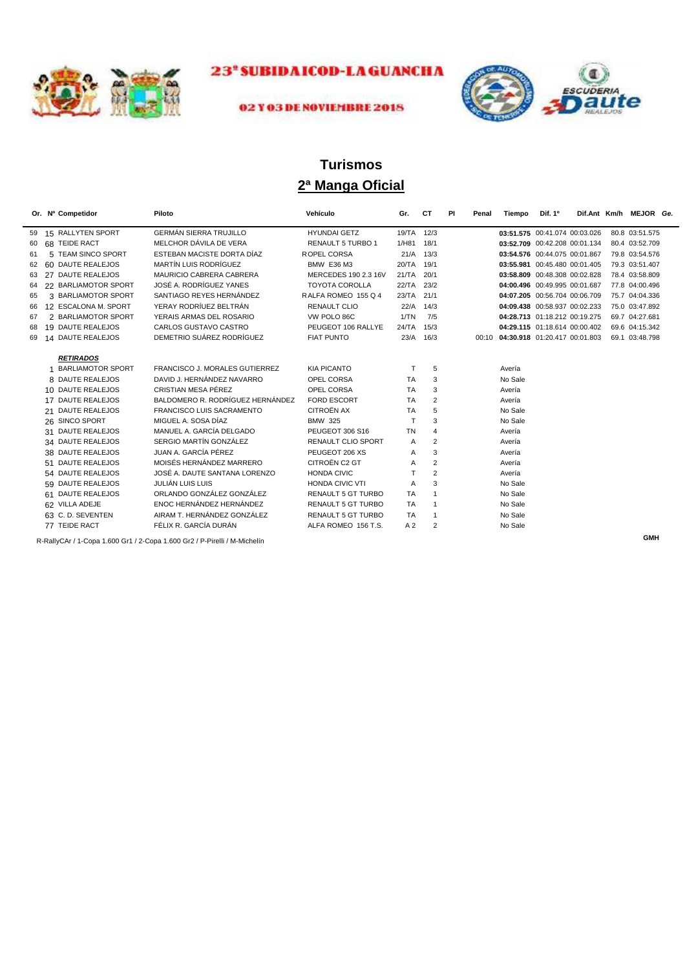



#### 02 Y 03 DE NOVIEMBRE 2018

## **2ª Manga Oficial Turismos**

|    | Or. Nº Competidor        | Piloto                           | Vehículo                  | Gr.            | СT             | PI<br>Penal | Tiempo                              | Dif. 1 <sup>o</sup>           |  | Dif.Ant Km/h MEJOR Ge. |  |
|----|--------------------------|----------------------------------|---------------------------|----------------|----------------|-------------|-------------------------------------|-------------------------------|--|------------------------|--|
| 59 | 15 RALLYTEN SPORT        | <b>GERMÁN SIERRA TRUJILLO</b>    | <b>HYUNDAI GETZ</b>       | 19/TA 12/3     |                |             |                                     | 03:51.575 00:41.074 00:03.026 |  | 80.8 03:51.575         |  |
| 60 | 68 TEIDE RACT            | MELCHOR DÁVILA DE VERA           | <b>RENAULT 5 TURBO 1</b>  | 1/H81          | 18/1           |             |                                     | 03:52.709 00:42.208 00:01.134 |  | 80.4 03:52.709         |  |
| 61 | 5 TEAM SINCO SPORT       | ESTEBAN MACISTE DORTA DÍAZ       | ROPEL CORSA               |                | $21/A$ 13/3    |             |                                     | 03:54.576 00:44.075 00:01.867 |  | 79.8 03:54.576         |  |
| 62 | 60 DAUTE REALEJOS        | MARTÍN LUIS RODRÍGUEZ            | <b>BMW E36 M3</b>         | 20/TA          | 19/1           |             |                                     | 03:55.981 00:45.480 00:01.405 |  | 79.3 03:51.407         |  |
| 63 | 27 DAUTE REALEJOS        | MAURICIO CABRERA CABRERA         | MERCEDES 190 2.3 16V      | 21/TA          | 20/1           |             |                                     | 03:58.809 00:48.308 00:02.828 |  | 78.4 03:58.809         |  |
| 64 | 22 BARLIAMOTOR SPORT     | JOSÉ A. RODRÍGUEZ YANES          | <b>TOYOTA COROLLA</b>     | 22/TA 23/2     |                |             |                                     | 04:00.496 00:49.995 00:01.687 |  | 77.8 04:00.496         |  |
| 65 | 3 BARLIAMOTOR SPORT      | SANTIAGO REYES HERNÁNDEZ         | RALFA ROMEO 155 Q 4       | 23/TA          | 21/1           |             |                                     | 04:07.205 00:56.704 00:06.709 |  | 75.7 04:04.336         |  |
| 66 | 12 ESCALONA M. SPORT     | YERAY RODRÍUEZ BELTRÁN           | <b>RENAULT CLIO</b>       | 22/A           | 14/3           |             |                                     | 04:09.438 00:58.937 00:02.233 |  | 75.0 03:47.892         |  |
| 67 | 2 BARLIAMOTOR SPORT      | YERAIS ARMAS DEL ROSARIO         | VW POLO 86C               | 1/TN           | 7/5            |             |                                     | 04:28.713 01:18.212 00:19.275 |  | 69.7 04:27.681         |  |
| 68 | 19 DAUTE REALEJOS        | CARLOS GUSTAVO CASTRO            | PEUGEOT 106 RALLYE        | 24/TA 15/3     |                |             |                                     | 04:29.115 01:18.614 00:00.402 |  | 69.6 04:15.342         |  |
| 69 | 14 DAUTE REALEJOS        | DEMETRIO SUÁREZ RODRÍGUEZ        | <b>FIAT PUNTO</b>         |                | 23/A 16/3      |             | 00:10 04:30.918 01:20.417 00:01.803 |                               |  | 69.1 03:48.798         |  |
|    |                          |                                  |                           |                |                |             |                                     |                               |  |                        |  |
|    | <b>RETIRADOS</b>         |                                  |                           |                |                |             |                                     |                               |  |                        |  |
|    | <b>BARLIAMOTOR SPORT</b> | FRANCISCO J. MORALES GUTIERREZ   | <b>KIA PICANTO</b>        | т              | 5              |             | Avería                              |                               |  |                        |  |
|    | 8 DAUTE REALEJOS         | DAVID J. HERNÁNDEZ NAVARRO       | OPEL CORSA                | <b>TA</b>      | 3              |             | No Sale                             |                               |  |                        |  |
|    | 10 DAUTE REALEJOS        | CRISTIAN MESA PÉREZ              | OPEL CORSA                | <b>TA</b>      | 3              |             | Avería                              |                               |  |                        |  |
|    | 17 DAUTE REALEJOS        | BALDOMERO R. RODRÍGUEZ HERNÁNDEZ | <b>FORD ESCORT</b>        | <b>TA</b>      | $\overline{2}$ |             | Avería                              |                               |  |                        |  |
|    | 21 DAUTE REALEJOS        | <b>FRANCISCO LUIS SACRAMENTO</b> | <b>CITROËN AX</b>         | <b>TA</b>      | 5              |             | No Sale                             |                               |  |                        |  |
|    | 26 SINCO SPORT           | MIGUEL A. SOSA DÍAZ              | <b>BMW 325</b>            | $\mathsf{T}$   | 3              |             | No Sale                             |                               |  |                        |  |
|    | 31 DAUTE REALEJOS        | MANUEL A. GARCÍA DELGADO         | PEUGEOT 306 S16           | <b>TN</b>      | $\overline{4}$ |             | Avería                              |                               |  |                        |  |
|    | 34 DAUTE REALEJOS        | SERGIO MARTÍN GONZÁLEZ           | <b>RENAULT CLIO SPORT</b> | Α              | $\overline{2}$ |             | Avería                              |                               |  |                        |  |
|    | 38 DAUTE REALEJOS        | JUAN A. GARCÍA PÉREZ             | PEUGEOT 206 XS            | A              | 3              |             | Avería                              |                               |  |                        |  |
|    | 51 DAUTE REALEJOS        | MOISÉS HERNÁNDEZ MARRERO         | CITROËN C2 GT             | A              | $\overline{2}$ |             | Avería                              |                               |  |                        |  |
|    | 54 DAUTE REALEJOS        | JOSÉ A. DAUTE SANTANA LORENZO    | <b>HONDA CIVIC</b>        |                | $\overline{2}$ |             | Avería                              |                               |  |                        |  |
|    | 59 DAUTE REALEJOS        | JULIÁN LUIS LUIS                 | <b>HONDA CIVIC VTI</b>    | A              | 3              |             | No Sale                             |                               |  |                        |  |
|    | 61 DAUTE REALEJOS        | ORLANDO GONZÁLEZ GONZÁLEZ        | <b>RENAULT 5 GT TURBO</b> | <b>TA</b>      | -1             |             | No Sale                             |                               |  |                        |  |
|    | 62 VILLA ADEJE           | ENOC HERNÁNDEZ HERNÁNDEZ         | RENAULT 5 GT TURBO        | <b>TA</b>      | $\overline{1}$ |             | No Sale                             |                               |  |                        |  |
|    | 63 C.D. SEVENTEN         | AIRAM T. HERNÁNDEZ GONZÁLEZ      | <b>RENAULT 5 GT TURBO</b> | <b>TA</b>      | -1             |             | No Sale                             |                               |  |                        |  |
|    | 77 TEIDE RACT            | FÉLIX R. GARCÍA DURÁN            | ALFA ROMEO 156 T.S.       | A <sub>2</sub> | $\overline{2}$ |             | No Sale                             |                               |  |                        |  |

R-RallyCAr / 1-Copa 1.600 Gr1 / 2-Copa 1.600 Gr2 / P-Pirelli / M-Michelín **GMH**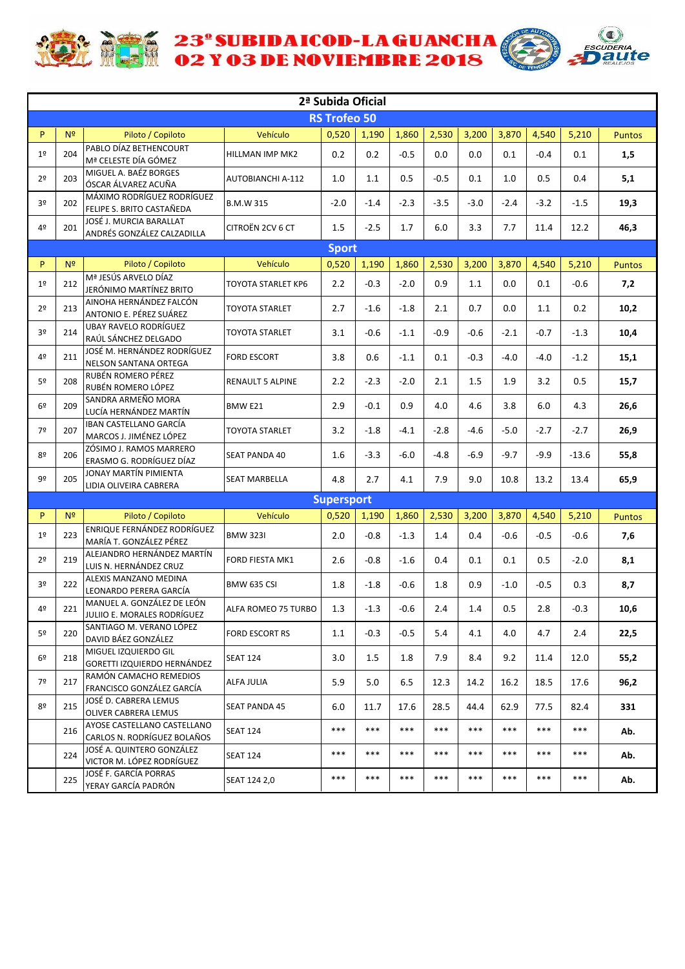

**ACTE 23' SUBIDAICOD-LAGUANCHA** 



|                |                                                                       |                                                            |                           | 2ª Subida Oficial   |         |        |        |         |         |         |         |               |
|----------------|-----------------------------------------------------------------------|------------------------------------------------------------|---------------------------|---------------------|---------|--------|--------|---------|---------|---------|---------|---------------|
|                |                                                                       |                                                            |                           | <b>RS Trofeo 50</b> |         |        |        |         |         |         |         |               |
| P.             | N <sup>2</sup>                                                        | Piloto / Copiloto                                          | Vehículo                  | 0,520               | 1,190   | 1,860  | 2,530  | 3,200   | 3,870   | 4,540   | 5,210   | <b>Puntos</b> |
| 1 <sup>°</sup> | 204                                                                   | PABLO DÍAZ BETHENCOURT<br>Mª CELESTE DÍA GÓMEZ             | HILLMAN IMP MK2           | 0.2                 | 0.2     | $-0.5$ | 0.0    | 0.0     | 0.1     | $-0.4$  | 0.1     | 1,5           |
| 2 <sup>o</sup> | 203                                                                   | MIGUEL A. BAÉZ BORGES<br>ÓSCAR ÁLVAREZ ACUÑA               | <b>AUTOBIANCHI A-112</b>  | 1.0                 | 1.1     | 0.5    | $-0.5$ | 0.1     | 1.0     | 0.5     | 0.4     | 5,1           |
| 30             | 202                                                                   | MÁXIMO RODRÍGUEZ RODRÍGUEZ<br>FELIPE S. BRITO CASTAÑEDA    | <b>B.M.W 315</b>          | $-2.0$              | $-1.4$  | $-2.3$ | $-3.5$ | $-3.0$  | $-2.4$  | $-3.2$  | $-1.5$  | 19,3          |
| 4º             | 201                                                                   | JOSÉ J. MURCIA BARALLAT<br>ANDRÉS GONZÁLEZ CALZADILLA      | CITROËN 2CV 6 CT          | $1.5$               | $-2.5$  | 1.7    | 6.0    | 3.3     | 7.7     | 11.4    | 12.2    | 46,3          |
|                |                                                                       |                                                            |                           | <b>Sport</b>        |         |        |        |         |         |         |         |               |
| P.             | N <sup>2</sup>                                                        | Piloto / Copiloto                                          | Vehículo                  | 0,520               | 1,190   | 1,860  | 2,530  | 3,200   | 3,870   | 4,540   | 5,210   | <b>Puntos</b> |
| 1 <sup>°</sup> | 212                                                                   | Mª JESÚS ARVELO DÍAZ<br>JERÓNIMO MARTÍNEZ BRITO            | <b>TOYOTA STARLET KP6</b> | 2.2                 | $-0.3$  | $-2.0$ | 0.9    | 1.1     | 0.0     | 0.1     | $-0.6$  | 7,2           |
| 2 <sup>o</sup> | 213                                                                   | AINOHA HERNÁNDEZ FALCÓN<br>ANTONIO E. PÉREZ SUÁREZ         | <b>TOYOTA STARLET</b>     | 2.7                 | $-1.6$  | $-1.8$ | 2.1    | 0.7     | 0.0     | 1.1     | 0.2     | 10,2          |
| 30             | 214                                                                   | <b>UBAY RAVELO RODRÍGUEZ</b><br>RAÚL SÁNCHEZ DELGADO       | <b>TOYOTA STARLET</b>     | 3.1                 | $-0.6$  | $-1.1$ | $-0.9$ | $-0.6$  | $-2.1$  | $-0.7$  | $-1.3$  | 10,4          |
| 4º             | 211                                                                   | JOSÉ M. HERNÁNDEZ RODRÍGUEZ<br>NELSON SANTANA ORTEGA       | <b>FORD ESCORT</b>        | 3.8                 | 0.6     | $-1.1$ | 0.1    | $-0.3$  | $-4.0$  | $-4.0$  | $-1.2$  | 15,1          |
| 5º             | RUBÉN ROMERO PÉREZ<br>208<br>RUBÉN ROMERO LÓPEZ<br>SANDRA ARMEÑO MORA |                                                            | RENAULT 5 ALPINE          | 2.2                 | $-2.3$  | $-2.0$ | 2.1    | 1.5     | 1.9     | 3.2     | 0.5     | 15,7          |
| 6 <sup>2</sup> | 209                                                                   | LUCÍA HERNÁNDEZ MARTÍN                                     | BMW E21                   | 2.9                 | $-0.1$  | 0.9    | 4.0    | 4.6     | 3.8     | 6.0     | 4.3     | 26,6          |
| 7º             | 207                                                                   | <b>IBAN CASTELLANO GARCÍA</b><br>MARCOS J. JIMÉNEZ LÓPEZ   | <b>TOYOTA STARLET</b>     | 3.2                 | $-1.8$  | $-4.1$ | $-2.8$ | $-4.6$  | $-5.0$  | $-2.7$  | $-2.7$  | 26,9          |
| 8º             | 206                                                                   | ZÓSIMO J. RAMOS MARRERO<br>ERASMO G. RODRÍGUEZ DÍAZ        | <b>SEAT PANDA 40</b>      | 1.6                 | $-3.3$  | $-6.0$ | $-4.8$ | $-6.9$  | $-9.7$  | $-9.9$  | $-13.6$ | 55,8          |
| 9º             | 205                                                                   | JONAY MARTÍN PIMIENTA<br>LIDIA OLIVEIRA CABRERA            | <b>SEAT MARBELLA</b>      | 4.8                 | 2.7     | 4.1    | 7.9    | 9.0     | 10.8    | 13.2    | 13.4    | 65,9          |
|                |                                                                       |                                                            |                           | <b>Supersport</b>   |         |        |        |         |         |         |         |               |
| P.             | N <sup>2</sup>                                                        | Piloto / Copiloto                                          | Vehículo                  | 0,520               | 1,190   | 1,860  | 2,530  | 3,200   | 3,870   | 4,540   | 5,210   | <b>Puntos</b> |
| 1 <sup>°</sup> | 223                                                                   | ENRIQUE FERNÁNDEZ RODRÍGUEZ<br>MARÍA T. GONZÁLEZ PÉREZ     | <b>BMW 323I</b>           | 2.0                 | $-0.8$  | $-1.3$ | 1.4    | 0.4     | $-0.6$  | $-0.5$  | $-0.6$  | 7,6           |
| 2º             | 219                                                                   | ALEJANDRO HERNÁNDEZ MARTÍN<br>LUIS N. HERNÁNDEZ CRUZ       | FORD FIESTA MK1           | 2.6                 | $-0.8$  | $-1.6$ | 0.4    | 0.1     | 0.1     | 0.5     | $-2.0$  | 8,1           |
| 3º             | 222                                                                   | ALEXIS MANZANO MEDINA<br>LEONARDO PERERA GARCÍA            | <b>BMW 635 CSI</b>        | 1.8                 | $-1.8$  | $-0.6$ | 1.8    | 0.9     | $-1.0$  | $-0.5$  | 0.3     | 8,7           |
| 4º             | 221                                                                   | MANUEL A. GONZÁLEZ DE LEÓN<br>JULIIO E. MORALES RODRÍGUEZ  | ALFA ROMEO 75 TURBO       | 1.3                 | $-1.3$  | $-0.6$ | 2.4    | $1.4\,$ | $0.5\,$ | $2.8\,$ | $-0.3$  | $10,6$        |
| 5º             | 220                                                                   | SANTIAGO M. VERANO LÓPEZ<br>DAVID BÁEZ GONZÁLEZ            | <b>FORD ESCORT RS</b>     | 1.1                 | $-0.3$  | $-0.5$ | 5.4    | 4.1     | 4.0     | 4.7     | 2.4     | 22,5          |
| 6 <sup>°</sup> | 218                                                                   | MIGUEL IZQUIERDO GIL<br>GORETTI IZQUIERDO HERNÁNDEZ        | <b>SEAT 124</b>           | 3.0                 | $1.5\,$ | 1.8    | 7.9    | 8.4     | 9.2     | 11.4    | 12.0    | 55,2          |
| 7º             | 217                                                                   | RAMÓN CAMACHO REMEDIOS<br>FRANCISCO GONZÁLEZ GARCÍA        | ALFA JULIA                | 5.9                 | 5.0     | 6.5    | 12.3   | 14.2    | 16.2    | 18.5    | 17.6    | 96,2          |
| 8º             | 215                                                                   | JOSÉ D. CABRERA LEMUS<br><b>OLIVER CABRERA LEMUS</b>       | <b>SEAT PANDA 45</b>      | 6.0                 | 11.7    | 17.6   | 28.5   | 44.4    | 62.9    | 77.5    | 82.4    | 331           |
|                | 216                                                                   | AYOSE CASTELLANO CASTELLANO<br>CARLOS N. RODRÍGUEZ BOLAÑOS | <b>SEAT 124</b>           | $***$               | $***$   | $***$  | $***$  | $***$   | ***     | ***     | $***$   | Ab.           |
|                | 224                                                                   | JOSÉ A. QUINTERO GONZÁLEZ<br>VICTOR M. LÓPEZ RODRÍGUEZ     | <b>SEAT 124</b>           | $***$               | $***$   | $***$  | $***$  | ***     | ***     | ***     | $***$   | Ab.           |
|                | 225                                                                   | JOSÉ F. GARCÍA PORRAS<br>YERAY GARCÍA PADRÓN               | SEAT 124 2,0              | ***                 | ***     | ***    | ***    | ***     | ***     | ***     | $***$   | Ab.           |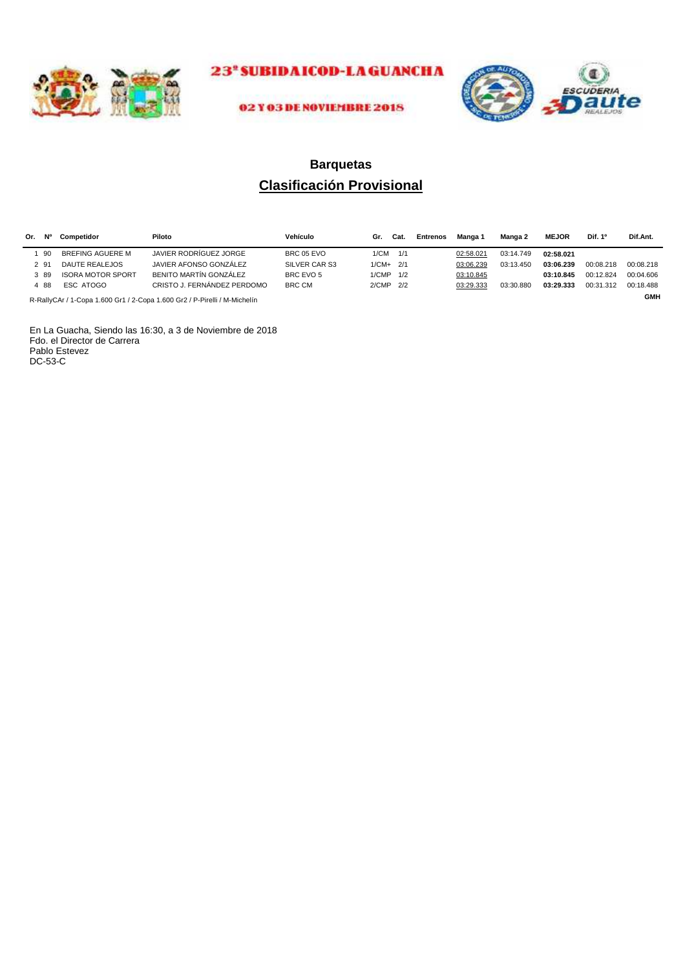



#### 02 Y 03 DE NOVIEMBRE 2018

## **Clasificación Provisional Barquetas**

| Or. Nº                                                                                  | Competidor               | Piloto                      | Vehículo      | Gr.        | Cat. | <b>Entrenos</b> | Manga 1   | Manga 2   | <b>MEJOR</b> | Dif. 1º   | Dif.Ant.  |
|-----------------------------------------------------------------------------------------|--------------------------|-----------------------------|---------------|------------|------|-----------------|-----------|-----------|--------------|-----------|-----------|
| -90                                                                                     | BREFING AGUERE M         | JAVIER RODRÍGUEZ JORGE      | BRC 05 EVO    | 1/CM       | 1/1  |                 | 02:58.021 | 03:14.749 | 02:58.021    |           |           |
| 2 91                                                                                    | DAUTE REALEJOS           | JAVIER AFONSO GONZÁLEZ      | SILVER CAR S3 | $1/CM+2/1$ |      |                 | 03:06.239 | 03:13.450 | 03:06.239    | 00:08.218 | 00:08.218 |
| 389                                                                                     | <b>ISORA MOTOR SPORT</b> | BENITO MARTÍN GONZÁLEZ      | BRC EVO 5     | 1/CMP 1/2  |      |                 | 03:10.845 |           | 03:10.845    | 00:12.824 | 00:04.606 |
| 488                                                                                     | ESC ATOGO                | CRISTO J. FERNÁNDEZ PERDOMO | <b>BRC CM</b> | 2/CMP 2/2  |      |                 | 03:29.333 | 03:30.880 | 03:29.333    | 00:31.312 | 00:18.488 |
| <b>GMH</b><br>R-RallyCAr / 1-Cona 1.600 Gr1 / 2-Cona 1.600 Gr2 / P-Pirelli / M-Michelín |                          |                             |               |            |      |                 |           |           |              |           |           |

R-RallyCAr / 1-Copa 1.600 Gr1 / 2-Copa 1.600 Gr2 / P-Pirelli / M-Michelín

En La Guacha, Siendo las 16:30, a 3 de Noviembre de 2018 Fdo. el Director de Carrera Pablo Estevez DC-53-C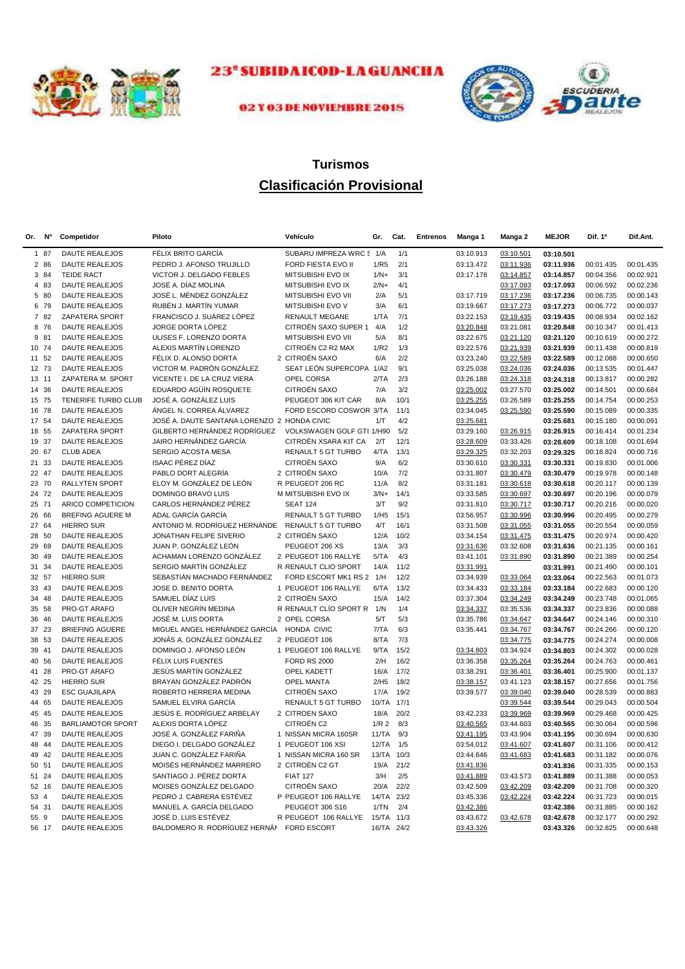



## 02 Y 03 DE NOVIEMBRE 2018

# **Clasificación Provisional Turismos**

| Or. | <b>N°</b> | Competidor               | Piloto                                      | Vehículo                   | Gr.              | Cat. | <b>Entrenos</b> | Manga 1   | Manga 2   | <b>MEJOR</b> | Dif. 1º   | Dif.Ant.  |
|-----|-----------|--------------------------|---------------------------------------------|----------------------------|------------------|------|-----------------|-----------|-----------|--------------|-----------|-----------|
|     | 1 87      | <b>DAUTE REALEJOS</b>    | FÉLIX BRITO GARCÍA                          | SUBARU IMPREZA WRC 5 1/A   |                  | 1/1  |                 | 03:10.913 | 03:10.501 | 03:10.501    |           |           |
|     | 2 86      | <b>DAUTE REALEJOS</b>    | PEDRO J. AFONSO TRUJILLO                    | FORD FIESTA EVO II         | 1/R <sub>5</sub> | 2/1  |                 | 03:13.472 | 03:11.936 | 03:11.936    | 00:01.435 | 00:01.435 |
|     | 3 84      | <b>TEIDE RACT</b>        | VICTOR J. DELGADO FEBLES                    | MITSUBISHI EVO IX          | $1/N+$           | 3/1  |                 | 03:17.178 | 03:14.857 | 03:14.857    | 00:04.356 | 00:02.921 |
|     | 4 83      | DAUTE REALEJOS           | JOSÉ A. DÍAZ MOLINA                         | MITSUBISHI EVO IX          | $2/N+$           | 4/1  |                 |           | 03:17.093 | 03:17.093    | 00:06.592 | 00:02.236 |
|     | 5 80      | <b>DAUTE REALEJOS</b>    | JOSÉ L. MÉNDEZ GONZÁLEZ                     | MITSUBISHI EVO VII         | 2/A              | 5/1  |                 | 03:17.719 | 03:17.236 | 03:17.236    | 00:06.735 | 00:00.143 |
|     | 6 79      | DAUTE REALEJOS           | RUBÉN J. MARTÍN YUMAR                       | MITSUBISHI EVO V           | 3/A              | 6/1  |                 | 03:19.667 | 03:17.273 | 03:17.273    | 00:06.772 | 00:00.037 |
|     | 7 82      | ZAPATERA SPORT           | FRANCISCO J. SUÁREZ LÓPEZ                   | <b>RENAULT MEGANE</b>      | 1/TA             | 7/1  |                 | 03:22.153 | 03:19.435 | 03:19.435    | 00:08.934 | 00:02.162 |
|     | 8 76      | DAUTE REALEJOS           | JORGE DORTA LÓPEZ                           | CITROËN SAXO SUPER 1 4/A   |                  | 1/2  |                 | 03:20.848 | 03:21.081 | 03:20.848    | 00:10.347 | 00:01.413 |
|     | 9 81      | <b>DAUTE REALEJOS</b>    | ULISES F. LORENZO DORTA                     | MITSUBISHI EVO VII         | 5/A              | 8/1  |                 | 03:22.675 | 03:21.120 | 03:21.120    | 00:10.619 | 00:00.272 |
|     | 10 74     | <b>DAUTE REALEJOS</b>    | ALEXIS MARTÍN LORENZO                       | CITROËN C2 R2 MAX          | 1/R2             | 1/3  |                 | 03:22.576 | 03:21.939 | 03:21.939    | 00:11.438 | 00:00.819 |
|     | 11 52     | DAUTE REALEJOS           | FÉLIX D. ALONSO DORTA                       | 2 CITROËN SAXO             | 6/A              | 2/2  |                 | 03:23.240 | 03:22.589 | 03:22.589    | 00:12.088 | 00:00.650 |
|     | 12 73     | <b>DAUTE REALEJOS</b>    | VICTOR M. PADRÓN GONZÁLEZ                   | SEAT LEÓN SUPERCOPA 1/A2   |                  | 9/1  |                 | 03:25.038 | 03:24.036 | 03:24.036    | 00:13.535 | 00:01.447 |
|     | 13 11     | ZAPATERA M. SPORT        | VICENTE I. DE LA CRUZ VIERA                 | OPEL CORSA                 | 2/TA             | 2/3  |                 | 03:26.188 | 03:24.318 | 03:24.318    | 00:13.817 | 00:00.282 |
|     | 14 36     | <b>DAUTE REALEJOS</b>    | EDUARDO AGÜÍN ROSQUETE                      | CITROËN SAXO               | 7/A              | 3/2  |                 | 03:25.002 | 03:27.570 | 03:25.002    | 00:14.501 | 00:00.684 |
| 15  | 75        | TENERIFE TURBO CLUB      | JOSÉ A. GONZÁLEZ LUIS                       | PEUGEOT 306 KIT CAR        | 8/A              | 10/1 |                 | 03:25.255 | 03:26.589 | 03:25.255    | 00:14.754 | 00:00.253 |
|     | 16 78     | <b>DAUTE REALEJOS</b>    | ÁNGEL N. CORREA ÁLVAREZ                     | FORD ESCORD COSWOR 3/TA    |                  | 11/1 |                 | 03:34.045 | 03:25.590 | 03:25.590    | 00:15.089 | 00:00.335 |
|     | 17 54     | <b>DAUTE REALEJOS</b>    | JOSÉ A. DAUTE SANTANA LORENZO 2 HONDA CIVIC |                            | 1/T              | 4/2  |                 | 03:25.681 |           | 03:25.681    | 00:15.180 | 00:00.091 |
| 18  | 55        | ZAPATERA SPORT           | GILBERTO HERNÁNDEZ RODRÍGUEZ                | VOLKSWAGEN GOLF GTI 1/H90  |                  | 5/2  |                 | 03:29.160 | 03:26.915 | 03:26.915    | 00:16.414 | 00:01.234 |
| 19  | 37        | <b>DAUTE REALEJOS</b>    | JAIRO HERNÁNDEZ GARCÍA                      | CITROËN XSARA KIT CA       | 2/T              | 12/1 |                 | 03:28.609 | 03:33.426 | 03:28.609    | 00:18.108 | 00:01.694 |
|     | 20 67     | <b>CLUB ADEA</b>         | SERGIO ACOSTA MESA                          | RENAULT 5 GT TURBO         | 4/TA             | 13/1 |                 | 03:29.325 | 03:32.203 | 03:29.325    | 00:18.824 | 00:00.716 |
| 21  | 33        | <b>DAUTE REALEJOS</b>    | <b>ISAAC PÉREZ DÍAZ</b>                     | CITROËN SAXO               | 9/A              | 6/2  |                 | 03:30.610 | 03:30.331 | 03:30.331    | 00:19.830 | 00:01.006 |
|     | 22 47     | <b>DAUTE REALEJOS</b>    | PABLO DORT ALEGRÍA                          | 2 CITROËN SAXO             | 10/A             | 7/2  |                 | 03:31.807 | 03:30.479 | 03:30.479    | 00:19.978 | 00:00.148 |
|     | 23 70     | <b>RALLYTEN SPORT</b>    | ELOY M. GONZÁLEZ DE LEÓN                    | R PEUGEOT 206 RC           | 11/A             | 8/2  |                 | 03:31.181 | 03:30.618 | 03:30.618    | 00:20.117 | 00:00.139 |
| 24  | 72        | <b>DAUTE REALEJOS</b>    | <b>DOMINGO BRAVO LUIS</b>                   | M MITSUBISHI EVO IX        | $3/N+$           | 14/1 |                 | 03:33.585 | 03:30.697 | 03:30.697    | 00:20.196 | 00:00.079 |
| 25  | 71        | ARICO COMPETICION        | CARLOS HERNÁNDEZ PÉREZ                      | <b>SEAT 124</b>            | 3/T              | 9/2  |                 | 03:31.810 | 03:30.717 | 03:30.717    | 00:20.216 | 00:00.020 |
| 26  | 66        | BREFING AGUERE M         | ADAL GARCÍA GARCÍA                          | RENAULT 5 GT TURBO         | 1/H5             | 15/1 |                 | 03:56.957 | 03:30.996 | 03:30.996    | 00:20.495 | 00:00.279 |
|     | 27 64     | <b>HIERRO SUR</b>        | ANTONIO M. RODRÍGUEZ HERNÁNDE.              | RENAULT 5 GT TURBO         | 4/T              | 16/1 |                 | 03:31.508 | 03:31.055 | 03:31.055    | 00:20.554 | 00:00.059 |
| 28  | 50        | <b>DAUTE REALEJOS</b>    | JONATHAN FELIPE SIVERIO                     | 2 CITROËN SAXO             | 12/A             | 10/2 |                 | 03:34.154 | 03:31.475 | 03:31.475    | 00:20.974 | 00:00.420 |
| 29  | 69        | DAUTE REALEJOS           | JUAN P. GONZÁLEZ LEÓN                       | PEUGEOT 206 XS             | 13/A             | 3/3  |                 | 03:31.636 | 03:32.608 | 03:31.636    | 00:21.135 | 00:00.161 |
| 30  | 49        | <b>DAUTE REALEJOS</b>    | ACHAMAN LORENZO GONZÁLEZ                    | 2 PEUGEOT 106 RALLYE       | 5/TA             | 4/3  |                 | 03:41.101 | 03:31.890 | 03:31.890    | 00:21.389 | 00:00.254 |
| 31  | 34        | <b>DAUTE REALEJOS</b>    | SERGIO MARTÍN GONZÁLEZ                      | R RENAULT CLIO SPORT       | 14/A             | 11/2 |                 | 03:31.991 |           | 03:31.991    | 00:21.490 | 00:00.101 |
|     | 32 57     | <b>HIERRO SUR</b>        | SEBASTIÁN MACHADO FERNÁNDEZ                 | FORD ESCORT MK1 RS 2 1/H   |                  | 12/2 |                 | 03:34.939 | 03:33.064 | 03:33.064    | 00:22.563 | 00:01.073 |
|     | 33 43     | <b>DAUTE REALEJOS</b>    | JOSE D. BENITO DORTA                        | 1 PEUGEOT 106 RALLYE       | 6/TA             | 13/2 |                 | 03:34.433 | 03:33.184 | 03:33.184    | 00:22.683 | 00:00.120 |
| 34  | 48        | <b>DAUTE REALEJOS</b>    | SAMUEL DÍAZ LUIS                            | 2 CITROËN SAXO             | 15/A             | 14/2 |                 | 03:37.304 | 03:34.249 | 03:34.249    | 00:23.748 | 00:01.065 |
| 35  | 58        | PRO-GT ARAFO             | OLIVER NEGRÍN MEDINA                        | R RENAULT CLÍO SPORT R 1/N |                  | 1/4  |                 | 03:34.337 | 03:35.536 | 03:34.337    | 00:23.836 | 00:00.088 |
| 36  | 46        | <b>DAUTE REALEJOS</b>    | JOSÉ M. LUIS DORTA                          | 2 OPEL CORSA               | 5/T              | 5/3  |                 | 03:35.786 | 03:34.647 | 03:34.647    | 00:24.146 | 00:00.310 |
|     | 37 23     | <b>BRIEFING AGUERE</b>   | MIGUEL ANGEL HERNÁNDEZ GARCÍA               | HONDA CIVIC                | 7/TA             | 6/3  |                 | 03:35.441 | 03:34.767 | 03:34.767    | 00:24.266 | 00:00.120 |
| 38  | 53        | <b>DAUTE REALEJOS</b>    | JONÁS A. GONZÁLEZ GONZÁLEZ                  | 2 PEUGEOT 106              | 8/TA             | 7/3  |                 |           | 03:34.775 | 03:34.775    | 00:24.274 | 00:00.008 |
| 39  | 41        | <b>DAUTE REALEJOS</b>    | DOMINGO J. AFONSO LEÓN                      | 1 PEUGEOT 106 RALLYE       | 9/TA             | 15/2 |                 | 03:34.803 | 03:34.924 | 03:34.803    | 00:24.302 | 00:00.028 |
| 40  | 56        | DAUTE REALEJOS           | FÉLIX LUIS FUENTES                          | <b>FORD RS 2000</b>        | 2/H              | 16/2 |                 | 03:36.358 | 03:35.264 | 03:35.264    | 00:24.763 | 00:00.461 |
| 41  | 28        | PRO-GT ARAFO             | JESÚS MARTÍN GONZÁLEZ                       | OPEL KADETT                | 16/A             | 17/2 |                 | 03:38.291 | 03:36.401 | 03:36.401    | 00:25.900 | 00:01.137 |
|     | 42 25     | <b>HIERRO SUR</b>        | BRAYAN GONZÁLEZ PADRÓN                      | <b>OPEL MANTA</b>          | 2/H5             | 18/2 |                 | 03:38.157 | 03:41.123 | 03:38.157    | 00:27.656 | 00:01.756 |
|     | 43 29     | <b>ESC GUAJILAPA</b>     | ROBERTO HERRERA MEDINA                      | CITROËN SAXO               | 17/A             | 19/2 |                 | 03:39.577 | 03:39.040 | 03:39.040    | 00:28.539 | 00:00.883 |
| 44  | 65        | <b>DAUTE REALEJOS</b>    | SAMUEL ELVIRA GARCÍA                        | RENAULT 5 GT TURBO         | 10/TA            | 17/1 |                 |           | 03:39.544 | 03:39.544    | 00:29.043 | 00:00.504 |
| 45  | 45        | DAUTE REALEJOS           | JESÚS E. RODRÍGUEZ ARBELAY                  | 2 CITROEN SAXO             | 18/A             | 20/2 |                 | 03:42.233 | 03:39.969 | 03:39.969    | 00:29.468 | 00:00.425 |
| 46  | 35        | <b>BARLIAMOTOR SPORT</b> | ALEXIS DORTA LÓPEZ                          | CITROËN C2                 | 1/R <sub>2</sub> | 8/3  |                 | 03:40.565 | 03:44.603 | 03:40.565    | 00:30.064 | 00:00.596 |
| 47  | 39        | <b>DAUTE REALEJOS</b>    | JOSÉ A. GONZÁLEZ FARIÑA                     | 1 NISSAN MICRA 160SR       | 11/TA            | 9/3  |                 | 03:41.195 | 03:43.904 | 03:41.195    | 00:30.694 | 00:00.630 |
| 48  | 44        | DAUTE REALEJOS           | DIEGO I. DELGADO GONZÁLEZ                   | 1 PEUGEOT 106 XSI          | 12/TA            | 1/5  |                 | 03:54.012 | 03:41.607 | 03:41.607    | 00:31.106 | 00:00.412 |
| 49  | 42        | <b>DAUTE REALEJOS</b>    | JUAN C. GONZÁLEZ FARIÑA                     | 1 NISSAN MICRA 160 SR      | 13/TA            | 10/3 |                 | 03:44.646 | 03:41.683 | 03:41.683    | 00:31.182 | 00:00.076 |
| 50  | 51        | DAUTE REALEJOS           | MOISÉS HERNÁNDEZ MARRERO                    | 2 CITROËN C2 GT            | 19/A             | 21/2 |                 | 03:41.836 |           | 03:41.836    | 00:31.335 | 00:00.153 |
| 51  | 24        | <b>DAUTE REALEJOS</b>    | SANTIAGO J. PÉREZ DORTA                     | <b>FIAT 127</b>            | 3/H              | 2/5  |                 | 03:41.889 | 03:43.573 | 03:41.889    | 00:31.388 | 00:00.053 |
|     | 52 16     | DAUTE REALEJOS           | MOISES GONZÁLEZ DELGADO                     | CITROËN SAXO               | 20/A             | 22/2 |                 | 03:42.509 | 03:42.209 | 03:42.209    | 00:31.708 | 00:00.320 |
|     | 53 4      | DAUTE REALEJOS           | PEDRO J. CABRERA ESTÉVEZ                    | P PEUGEOT 106 RALLYE       | 14/TA            | 23/2 |                 | 03:45.336 | 03:42.224 | 03:42.224    | 00:31.723 | 00:00.015 |
| 54  | 31        | <b>DAUTE REALEJOS</b>    | MANUEL A. GARCÍA DELGADO                    | PEUGEOT 306 S16            | 1/TN             | 2/4  |                 | 03:42.386 |           | 03:42.386    | 00:31.885 | 00:00.162 |
| 55  | 9         | <b>DAUTE REALEJOS</b>    | JOSÉ D. LUIS ESTÉVEZ                        | R PEUGEOT 106 RALLYE       | 15/TA            | 11/3 |                 | 03:43.672 | 03:42.678 | 03:42.678    | 00:32.177 | 00:00.292 |
|     | 56 17     | DAUTE REALEJOS           | BALDOMERO R. RODRÍGUEZ HERNÁN               | <b>FORD ESCORT</b>         | 16/TA 24/2       |      |                 | 03:43.326 |           | 03:43.326    | 00:32.825 | 00:00.648 |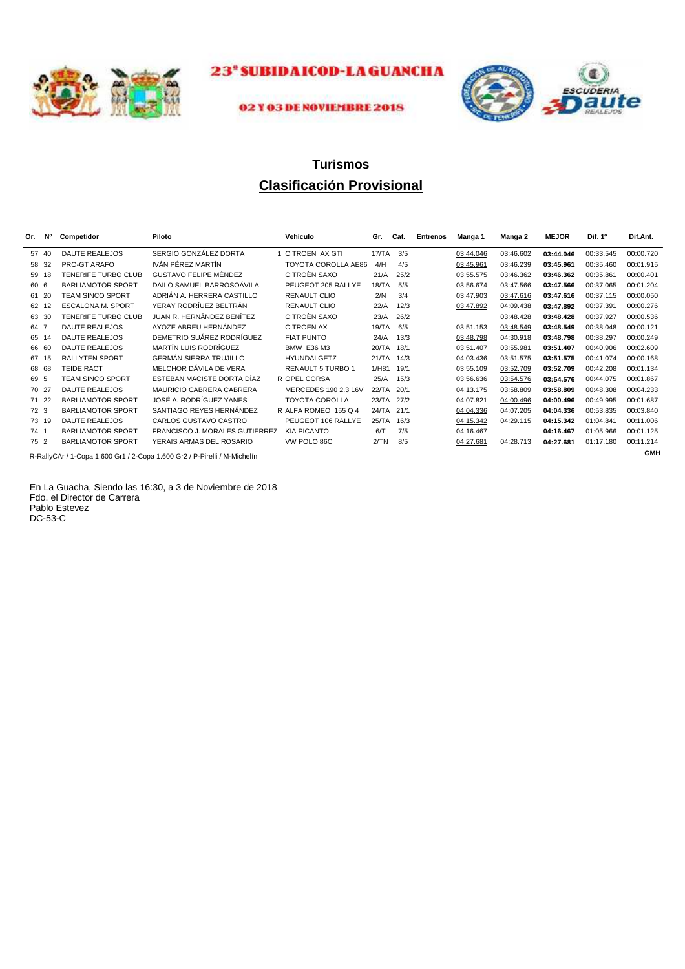



#### 02 Y 03 DE NOVIEMBRE 2018

## **Clasificación Provisional Turismos**

| Or. | Ν°    | Competidor                 | Piloto                                                                                  | Vehículo              | Gr.        | Cat. | <b>Entrenos</b> | Manga 1   | Manga 2   | <b>MEJOR</b> | Dif. 1º   | Dif.Ant.   |
|-----|-------|----------------------------|-----------------------------------------------------------------------------------------|-----------------------|------------|------|-----------------|-----------|-----------|--------------|-----------|------------|
| 57  | 40    | <b>DAUTE REALEJOS</b>      | SERGIO GONZÁLEZ DORTA                                                                   | <b>CITROEN AX GTI</b> | 17/TA      | 3/5  |                 | 03:44.046 | 03:46.602 | 03:44.046    | 00:33.545 | 00:00.720  |
| 58  | 32    | PRO-GT ARAFO               | IVÁN PÉREZ MARTÍN                                                                       | TOYOTA COROLLA AE86   | 4/H        | 4/5  |                 | 03:45.961 | 03:46.239 | 03:45.961    | 00:35.460 | 00:01.915  |
| 59  | 18    | <b>TENERIFE TURBO CLUB</b> | GUSTAVO FELIPE MÉNDEZ                                                                   | CITROËN SAXO          | 21/A       | 25/2 |                 | 03:55.575 | 03:46.362 | 03:46.362    | 00:35.861 | 00:00.401  |
|     | 60 6  | <b>BARLIAMOTOR SPORT</b>   | DAILO SAMUEL BARROSOÁVILA                                                               | PEUGEOT 205 RALLYE    | 18/TA      | 5/5  |                 | 03:56.674 | 03:47.566 | 03:47.566    | 00:37.065 | 00:01.204  |
| 61  | 20    | <b>TEAM SINCO SPORT</b>    | ADRIÁN A. HERRERA CASTILLO                                                              | <b>RENAULT CLIO</b>   | 2/N        | 3/4  |                 | 03:47.903 | 03:47.616 | 03:47.616    | 00:37.115 | 00:00.050  |
| 62  | 12    | <b>ESCALONA M. SPORT</b>   | YERAY RODRÍUEZ BELTRÁN                                                                  | <b>RENAULT CLIO</b>   | 22/A       | 12/3 |                 | 03:47.892 | 04:09.438 | 03:47.892    | 00:37.391 | 00:00.276  |
| 63  | -30   | <b>TENERIFE TURBO CLUB</b> | JUAN R. HERNÁNDEZ BENÍTEZ                                                               | <b>CITROËN SAXO</b>   | 23/A       | 26/2 |                 |           | 03:48.428 | 03:48.428    | 00:37.927 | 00:00.536  |
|     | 64 7  | <b>DAUTE REALEJOS</b>      | AYOZE ABREU HERNÁNDEZ                                                                   | CITROËN AX            | 19/TA      | 6/5  |                 | 03:51.153 | 03:48.549 | 03:48.549    | 00:38.048 | 00:00.121  |
| 65  | 14    | <b>DAUTE REALEJOS</b>      | DEMETRIO SUÁREZ RODRÍGUEZ                                                               | <b>FIAT PUNTO</b>     | 24/A       | 13/3 |                 | 03:48.798 | 04:30.918 | 03:48.798    | 00:38.297 | 00:00.249  |
| 66  | -60   | <b>DAUTE REALEJOS</b>      | MARTÍN LUIS RODRÍGUEZ                                                                   | <b>BMW E36 M3</b>     | 20/TA      | 18/1 |                 | 03:51.407 | 03:55.981 | 03:51.407    | 00:40.906 | 00:02.609  |
| 67  | 15    | <b>RALLYTEN SPORT</b>      | <b>GERMÁN SIERRA TRUJILLO</b>                                                           | <b>HYUNDAI GETZ</b>   | 21/TA      | 14/3 |                 | 04:03.436 | 03:51.575 | 03:51.575    | 00:41.074 | 00:00.168  |
| 68  | 68    | <b>TEIDE RACT</b>          | MELCHOR DÁVILA DE VERA                                                                  | RENAULT 5 TURBO 1     | 1/H81      | 19/1 |                 | 03:55.109 | 03:52.709 | 03:52.709    | 00:42.208 | 00:01.134  |
|     | 69 5  | <b>TEAM SINCO SPORT</b>    | ESTEBAN MACISTE DORTA DÍAZ                                                              | R OPEL CORSA          | 25/A       | 15/3 |                 | 03:56.636 | 03:54.576 | 03:54.576    | 00:44.075 | 00:01.867  |
|     | 70 27 | <b>DAUTE REALEJOS</b>      | MAURICIO CABRERA CABRERA                                                                | MERCEDES 190 2.3 16V  | 22/TA      | 20/1 |                 | 04:13.175 | 03:58.809 | 03:58.809    | 00:48.308 | 00:04.233  |
|     | 71 22 | <b>BARLIAMOTOR SPORT</b>   | JOSÉ A. RODRÍGUEZ YANES                                                                 | <b>TOYOTA COROLLA</b> | 23/TA 27/2 |      |                 | 04:07.821 | 04:00.496 | 04:00.496    | 00:49.995 | 00:01.687  |
|     | 72 3  | <b>BARLIAMOTOR SPORT</b>   | SANTIAGO REYES HERNÁNDEZ                                                                | R ALFA ROMEO 155 Q 4  | 24/TA      | 21/1 |                 | 04:04.336 | 04:07.205 | 04:04.336    | 00:53.835 | 00:03.840  |
|     | 73 19 | <b>DAUTE REALEJOS</b>      | <b>CARLOS GUSTAVO CASTRO</b>                                                            | PEUGEOT 106 RALLYE    | 25/TA      | 16/3 |                 | 04:15.342 | 04:29.115 | 04:15.342    | 01:04.841 | 00:11.006  |
|     | 74 1  | <b>BARLIAMOTOR SPORT</b>   | <b>FRANCISCO J. MORALES GUTIERREZ</b>                                                   | <b>KIA PICANTO</b>    | 6/T        | 7/5  |                 | 04:16.467 |           | 04:16.467    | 01:05.966 | 00:01.125  |
|     | 75 2  | <b>BARLIAMOTOR SPORT</b>   | YERAIS ARMAS DEL ROSARIO                                                                | VW POLO 86C           | 2/TN       | 8/5  |                 | 04:27.681 | 04:28.713 | 04:27.681    | 01:17.180 | 00:11.214  |
|     |       |                            | D. DelluCA + / 4. Cana, 4. COO Cat. / 9. Cana, 4. COO Ca9. / D. Diselli, / M. Michalie. |                       |            |      |                 |           |           |              |           | <b>GMH</b> |

R-RallyCAr / 1-Copa 1.600 Gr1 / 2-Copa 1.600 Gr2 / P-Pirelli / M-Michelín

En La Guacha, Siendo las 16:30, a 3 de Noviembre de 2018 Fdo. el Director de Carrera Pablo Estevez DC-53-C